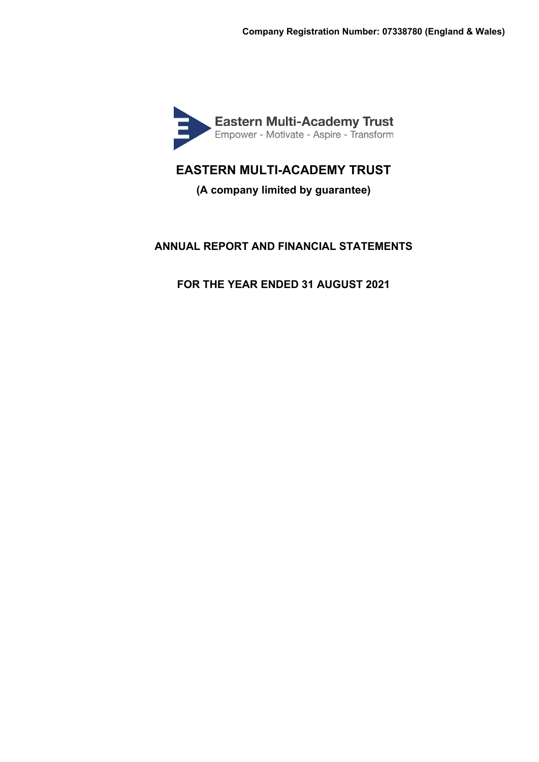

**(A company limited by guarantee)**

# **ANNUAL REPORT AND FINANCIAL STATEMENTS**

**FOR THE YEAR ENDED 31 AUGUST 2021**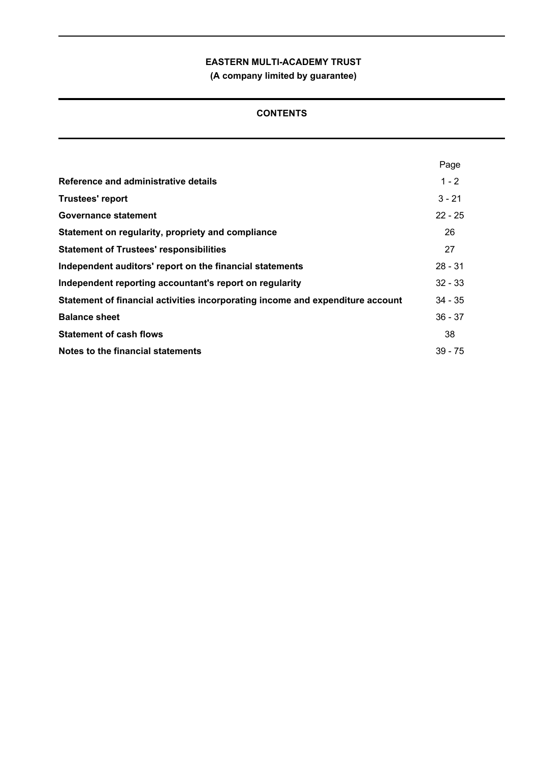**(A company limited by guarantee)**

# **CONTENTS**

|                                                                                | Page      |
|--------------------------------------------------------------------------------|-----------|
| Reference and administrative details                                           | $1 - 2$   |
| <b>Trustees' report</b>                                                        | $3 - 21$  |
| Governance statement                                                           | $22 - 25$ |
| Statement on regularity, propriety and compliance                              | 26        |
| <b>Statement of Trustees' responsibilities</b>                                 | 27        |
| Independent auditors' report on the financial statements                       | $28 - 31$ |
| Independent reporting accountant's report on regularity                        | $32 - 33$ |
| Statement of financial activities incorporating income and expenditure account | $34 - 35$ |
| <b>Balance sheet</b>                                                           | $36 - 37$ |
| <b>Statement of cash flows</b>                                                 | 38        |
| Notes to the financial statements                                              | $39 - 75$ |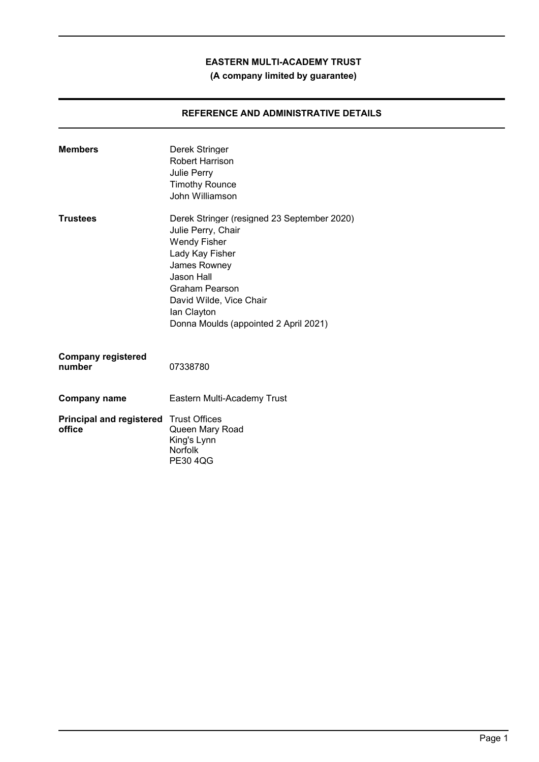# **(A company limited by guarantee)**

# **REFERENCE AND ADMINISTRATIVE DETAILS**

| <b>Members</b>                                          | Derek Stringer<br>Robert Harrison<br>Julie Perry<br><b>Timothy Rounce</b><br>John Williamson                                                                                                                                                   |
|---------------------------------------------------------|------------------------------------------------------------------------------------------------------------------------------------------------------------------------------------------------------------------------------------------------|
| <b>Trustees</b>                                         | Derek Stringer (resigned 23 September 2020)<br>Julie Perry, Chair<br><b>Wendy Fisher</b><br>Lady Kay Fisher<br>James Rowney<br>Jason Hall<br>Graham Pearson<br>David Wilde, Vice Chair<br>lan Clayton<br>Donna Moulds (appointed 2 April 2021) |
| <b>Company registered</b><br>number                     | 07338780                                                                                                                                                                                                                                       |
| Company name                                            | Eastern Multi-Academy Trust                                                                                                                                                                                                                    |
| <b>Principal and registered</b> Trust Offices<br>office | Queen Mary Road<br>King's Lynn<br><b>Norfolk</b><br><b>PE30 4QG</b>                                                                                                                                                                            |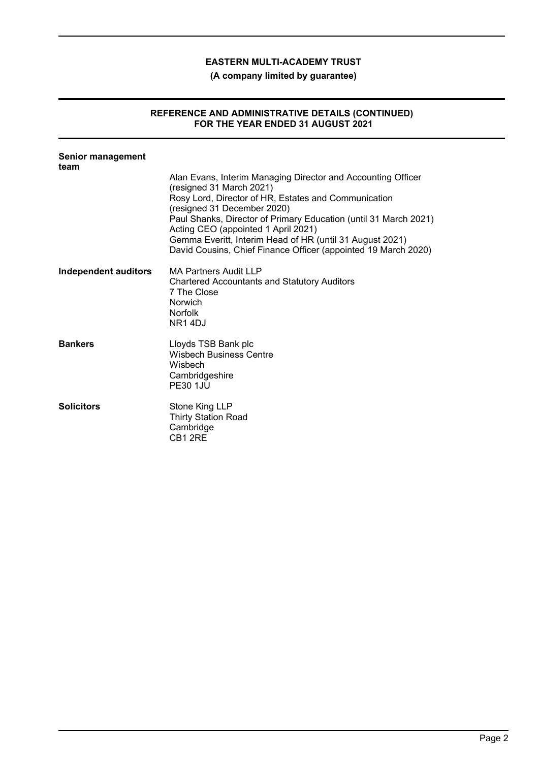**(A company limited by guarantee)**

# **REFERENCE AND ADMINISTRATIVE DETAILS (CONTINUED) FOR THE YEAR ENDED 31 AUGUST 2021**

| <b>Senior management</b><br>team |                                                                                                                                                                                                                                                                                                                                                                                                                          |
|----------------------------------|--------------------------------------------------------------------------------------------------------------------------------------------------------------------------------------------------------------------------------------------------------------------------------------------------------------------------------------------------------------------------------------------------------------------------|
|                                  | Alan Evans, Interim Managing Director and Accounting Officer<br>(resigned 31 March 2021)<br>Rosy Lord, Director of HR, Estates and Communication<br>(resigned 31 December 2020)<br>Paul Shanks, Director of Primary Education (until 31 March 2021)<br>Acting CEO (appointed 1 April 2021)<br>Gemma Everitt, Interim Head of HR (until 31 August 2021)<br>David Cousins, Chief Finance Officer (appointed 19 March 2020) |
| Independent auditors             | <b>MA Partners Audit LLP</b><br><b>Chartered Accountants and Statutory Auditors</b><br>7 The Close<br>Norwich<br><b>Norfolk</b><br><b>NR14DJ</b>                                                                                                                                                                                                                                                                         |
| <b>Bankers</b>                   | Lloyds TSB Bank plc<br><b>Wisbech Business Centre</b><br>Wisbech<br>Cambridgeshire<br><b>PE30 1.JU</b>                                                                                                                                                                                                                                                                                                                   |
| <b>Solicitors</b>                | Stone King LLP<br><b>Thirty Station Road</b><br>Cambridge<br>CB <sub>1</sub> 2RE                                                                                                                                                                                                                                                                                                                                         |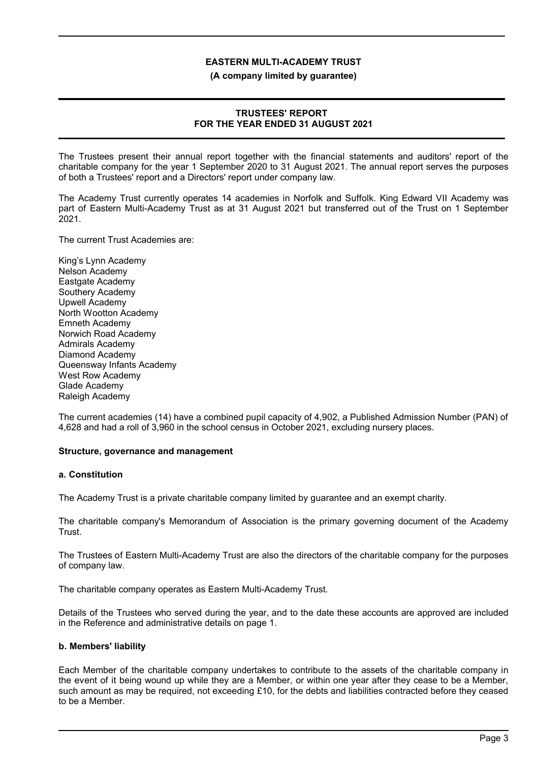#### **(A company limited by guarantee)**

## **TRUSTEES' REPORT FOR THE YEAR ENDED 31 AUGUST 2021**

The Trustees present their annual report together with the financial statements and auditors' report of the charitable company for the year 1 September 2020 to 31 August 2021. The annual report serves the purposes of both a Trustees' report and a Directors' report under company law.

The Academy Trust currently operates 14 academies in Norfolk and Suffolk. King Edward VII Academy was part of Eastern Multi-Academy Trust as at 31 August 2021 but transferred out of the Trust on 1 September 2021.

The current Trust Academies are:

King's Lynn Academy Nelson Academy Eastgate Academy Southery Academy Upwell Academy North Wootton Academy Emneth Academy Norwich Road Academy Admirals Academy Diamond Academy Queensway Infants Academy West Row Academy Glade Academy Raleigh Academy

The current academies (14) have a combined pupil capacity of 4,902, a Published Admission Number (PAN) of 4,628 and had a roll of 3,960 in the school census in October 2021, excluding nursery places.

## **Structure, governance and management**

## **a. Constitution**

The Academy Trust is a private charitable company limited by guarantee and an exempt charity.

The charitable company's Memorandum of Association is the primary governing document of the Academy Trust.

The Trustees of Eastern Multi-Academy Trust are also the directors of the charitable company for the purposes of company law.

The charitable company operates as Eastern Multi-Academy Trust.

Details of the Trustees who served during the year, and to the date these accounts are approved are included in the Reference and administrative details on page 1.

## **b. Members' liability**

Each Member of the charitable company undertakes to contribute to the assets of the charitable company in the event of it being wound up while they are a Member, or within one year after they cease to be a Member, such amount as may be required, not exceeding £10, for the debts and liabilities contracted before they ceased to be a Member.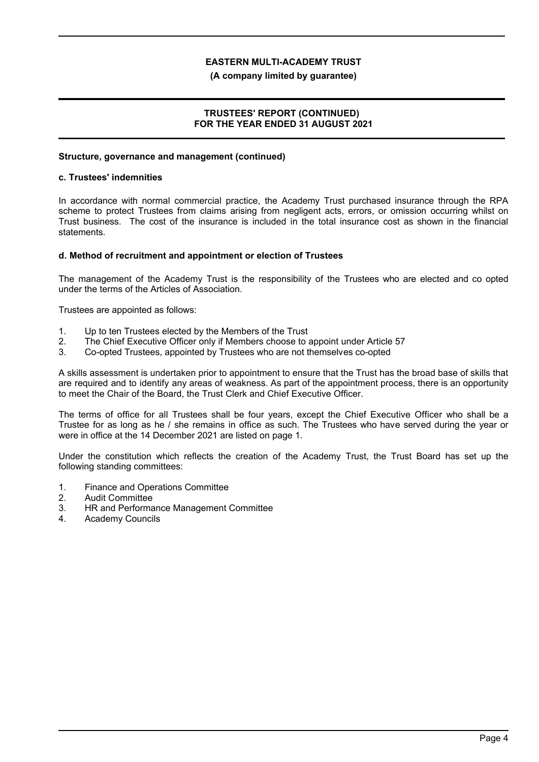### **(A company limited by guarantee)**

## **TRUSTEES' REPORT (CONTINUED) FOR THE YEAR ENDED 31 AUGUST 2021**

#### **Structure, governance and management (continued)**

#### **c. Trustees' indemnities**

In accordance with normal commercial practice, the Academy Trust purchased insurance through the RPA scheme to protect Trustees from claims arising from negligent acts, errors, or omission occurring whilst on Trust business. The cost of the insurance is included in the total insurance cost as shown in the financial statements.

### **d. Method of recruitment and appointment or election of Trustees**

The management of the Academy Trust is the responsibility of the Trustees who are elected and co opted under the terms of the Articles of Association.

Trustees are appointed as follows:

- 1. Up to ten Trustees elected by the Members of the Trust
- 2. The Chief Executive Officer only if Members choose to appoint under Article 57
- 3. Co-opted Trustees, appointed by Trustees who are not themselves co-opted

A skills assessment is undertaken prior to appointment to ensure that the Trust has the broad base of skills that are required and to identify any areas of weakness. As part of the appointment process, there is an opportunity to meet the Chair of the Board, the Trust Clerk and Chief Executive Officer.

The terms of office for all Trustees shall be four years, except the Chief Executive Officer who shall be a Trustee for as long as he / she remains in office as such. The Trustees who have served during the year or were in office at the 14 December 2021 are listed on page 1.

Under the constitution which reflects the creation of the Academy Trust, the Trust Board has set up the following standing committees:

- 1. Finance and Operations Committee
- 2. Audit Committee
- 3. HR and Performance Management Committee
- 4. Academy Councils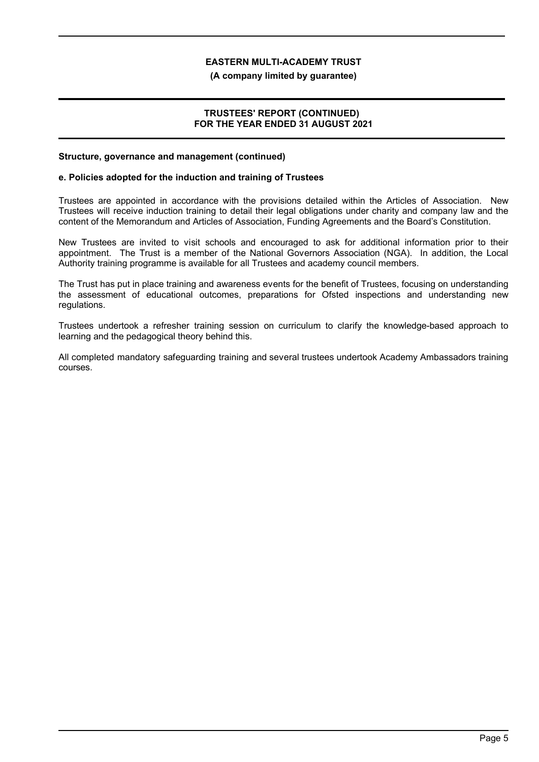#### **(A company limited by guarantee)**

## **TRUSTEES' REPORT (CONTINUED) FOR THE YEAR ENDED 31 AUGUST 2021**

#### **Structure, governance and management (continued)**

### **e. Policies adopted for the induction and training of Trustees**

Trustees are appointed in accordance with the provisions detailed within the Articles of Association. New Trustees will receive induction training to detail their legal obligations under charity and company law and the content of the Memorandum and Articles of Association, Funding Agreements and the Board's Constitution.

New Trustees are invited to visit schools and encouraged to ask for additional information prior to their appointment. The Trust is a member of the National Governors Association (NGA). In addition, the Local Authority training programme is available for all Trustees and academy council members.

The Trust has put in place training and awareness events for the benefit of Trustees, focusing on understanding the assessment of educational outcomes, preparations for Ofsted inspections and understanding new regulations.

Trustees undertook a refresher training session on curriculum to clarify the knowledge-based approach to learning and the pedagogical theory behind this.

All completed mandatory safeguarding training and several trustees undertook Academy Ambassadors training courses.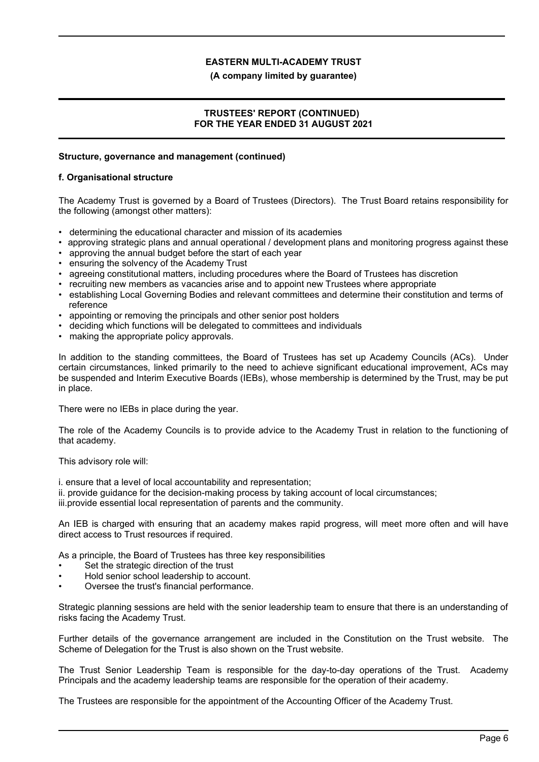### **(A company limited by guarantee)**

## **TRUSTEES' REPORT (CONTINUED) FOR THE YEAR ENDED 31 AUGUST 2021**

### **Structure, governance and management (continued)**

### **f. Organisational structure**

The Academy Trust is governed by a Board of Trustees (Directors). The Trust Board retains responsibility for the following (amongst other matters):

- determining the educational character and mission of its academies
- approving strategic plans and annual operational / development plans and monitoring progress against these
- approving the annual budget before the start of each year
- ensuring the solvency of the Academy Trust
- agreeing constitutional matters, including procedures where the Board of Trustees has discretion
- recruiting new members as vacancies arise and to appoint new Trustees where appropriate
- establishing Local Governing Bodies and relevant committees and determine their constitution and terms of reference
- appointing or removing the principals and other senior post holders
- deciding which functions will be delegated to committees and individuals
- making the appropriate policy approvals.

In addition to the standing committees, the Board of Trustees has set up Academy Councils (ACs). Under certain circumstances, linked primarily to the need to achieve significant educational improvement, ACs may be suspended and Interim Executive Boards (IEBs), whose membership is determined by the Trust, may be put in place.

There were no IEBs in place during the year.

The role of the Academy Councils is to provide advice to the Academy Trust in relation to the functioning of that academy.

This advisory role will:

i. ensure that a level of local accountability and representation;

ii. provide guidance for the decision-making process by taking account of local circumstances;

iii.provide essential local representation of parents and the community.

An IEB is charged with ensuring that an academy makes rapid progress, will meet more often and will have direct access to Trust resources if required.

As a principle, the Board of Trustees has three key responsibilities

- Set the strategic direction of the trust
- Hold senior school leadership to account.
- Oversee the trust's financial performance.

Strategic planning sessions are held with the senior leadership team to ensure that there is an understanding of risks facing the Academy Trust.

Further details of the governance arrangement are included in the Constitution on the Trust website. The Scheme of Delegation for the Trust is also shown on the Trust website.

The Trust Senior Leadership Team is responsible for the day-to-day operations of the Trust. Academy Principals and the academy leadership teams are responsible for the operation of their academy.

The Trustees are responsible for the appointment of the Accounting Officer of the Academy Trust.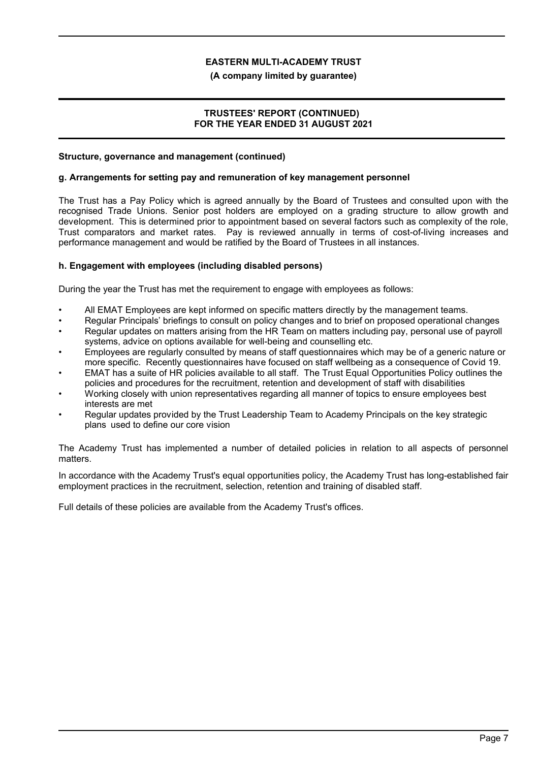### **(A company limited by guarantee)**

## **TRUSTEES' REPORT (CONTINUED) FOR THE YEAR ENDED 31 AUGUST 2021**

### **Structure, governance and management (continued)**

### **g. Arrangements for setting pay and remuneration of key management personnel**

The Trust has a Pay Policy which is agreed annually by the Board of Trustees and consulted upon with the recognised Trade Unions. Senior post holders are employed on a grading structure to allow growth and development. This is determined prior to appointment based on several factors such as complexity of the role, Trust comparators and market rates. Pay is reviewed annually in terms of cost-of-living increases and performance management and would be ratified by the Board of Trustees in all instances.

## **h. Engagement with employees (including disabled persons)**

During the year the Trust has met the requirement to engage with employees as follows:

- All EMAT Employees are kept informed on specific matters directly by the management teams.
- Regular Principals' briefings to consult on policy changes and to brief on proposed operational changes
- Regular updates on matters arising from the HR Team on matters including pay, personal use of payroll systems, advice on options available for well-being and counselling etc.
- Employees are regularly consulted by means of staff questionnaires which may be of a generic nature or more specific. Recently questionnaires have focused on staff wellbeing as a consequence of Covid 19.
- EMAT has a suite of HR policies available to all staff. The Trust Equal Opportunities Policy outlines the policies and procedures for the recruitment, retention and development of staff with disabilities
- Working closely with union representatives regarding all manner of topics to ensure employees best interests are met
- Regular updates provided by the Trust Leadership Team to Academy Principals on the key strategic plans used to define our core vision

The Academy Trust has implemented a number of detailed policies in relation to all aspects of personnel matters.

In accordance with the Academy Trust's equal opportunities policy, the Academy Trust has long-established fair employment practices in the recruitment, selection, retention and training of disabled staff.

Full details of these policies are available from the Academy Trust's offices.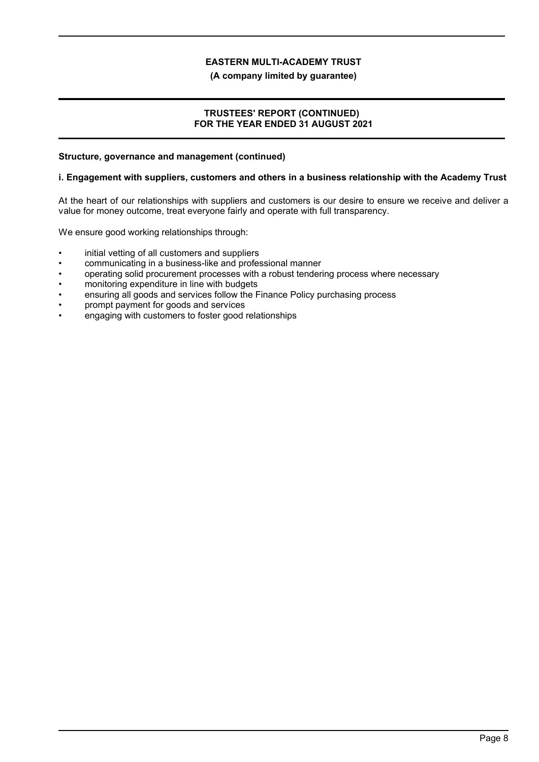**(A company limited by guarantee)**

## **TRUSTEES' REPORT (CONTINUED) FOR THE YEAR ENDED 31 AUGUST 2021**

### **Structure, governance and management (continued)**

### **i. Engagement with suppliers, customers and others in a business relationship with the Academy Trust**

At the heart of our relationships with suppliers and customers is our desire to ensure we receive and deliver a value for money outcome, treat everyone fairly and operate with full transparency.

We ensure good working relationships through:

- initial vetting of all customers and suppliers
- communicating in a business-like and professional manner
- operating solid procurement processes with a robust tendering process where necessary
- monitoring expenditure in line with budgets
- ensuring all goods and services follow the Finance Policy purchasing process
- prompt payment for goods and services
- engaging with customers to foster good relationships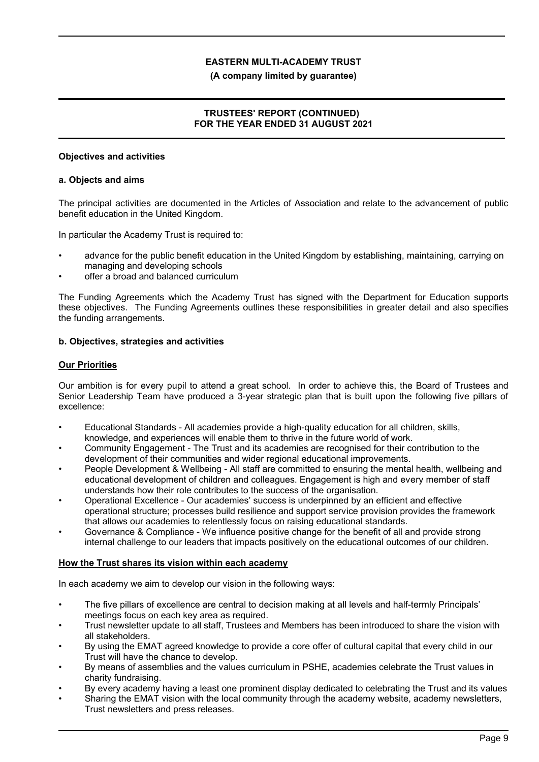## **(A company limited by guarantee)**

# **TRUSTEES' REPORT (CONTINUED) FOR THE YEAR ENDED 31 AUGUST 2021**

## **Objectives and activities**

### **a. Objects and aims**

The principal activities are documented in the Articles of Association and relate to the advancement of public benefit education in the United Kingdom.

In particular the Academy Trust is required to:

- advance for the public benefit education in the United Kingdom by establishing, maintaining, carrying on managing and developing schools
- offer a broad and balanced curriculum

The Funding Agreements which the Academy Trust has signed with the Department for Education supports these objectives. The Funding Agreements outlines these responsibilities in greater detail and also specifies the funding arrangements.

## **b. Objectives, strategies and activities**

### **Our Priorities**

Our ambition is for every pupil to attend a great school. In order to achieve this, the Board of Trustees and Senior Leadership Team have produced a 3-year strategic plan that is built upon the following five pillars of excellence:

- Educational Standards All academies provide a high-quality education for all children, skills, knowledge, and experiences will enable them to thrive in the future world of work.
- Community Engagement The Trust and its academies are recognised for their contribution to the development of their communities and wider regional educational improvements.
- People Development & Wellbeing All staff are committed to ensuring the mental health, wellbeing and educational development of children and colleagues. Engagement is high and every member of staff understands how their role contributes to the success of the organisation.
- Operational Excellence Our academies' success is underpinned by an efficient and effective operational structure; processes build resilience and support service provision provides the framework that allows our academies to relentlessly focus on raising educational standards.
- Governance & Compliance We influence positive change for the benefit of all and provide strong internal challenge to our leaders that impacts positively on the educational outcomes of our children.

#### **How the Trust shares its vision within each academy**

In each academy we aim to develop our vision in the following ways:

- The five pillars of excellence are central to decision making at all levels and half-termly Principals' meetings focus on each key area as required.
- Trust newsletter update to all staff, Trustees and Members has been introduced to share the vision with all stakeholders.
- By using the EMAT agreed knowledge to provide a core offer of cultural capital that every child in our Trust will have the chance to develop.
- By means of assemblies and the values curriculum in PSHE, academies celebrate the Trust values in charity fundraising.
- By every academy having a least one prominent display dedicated to celebrating the Trust and its values
- Sharing the EMAT vision with the local community through the academy website, academy newsletters, Trust newsletters and press releases.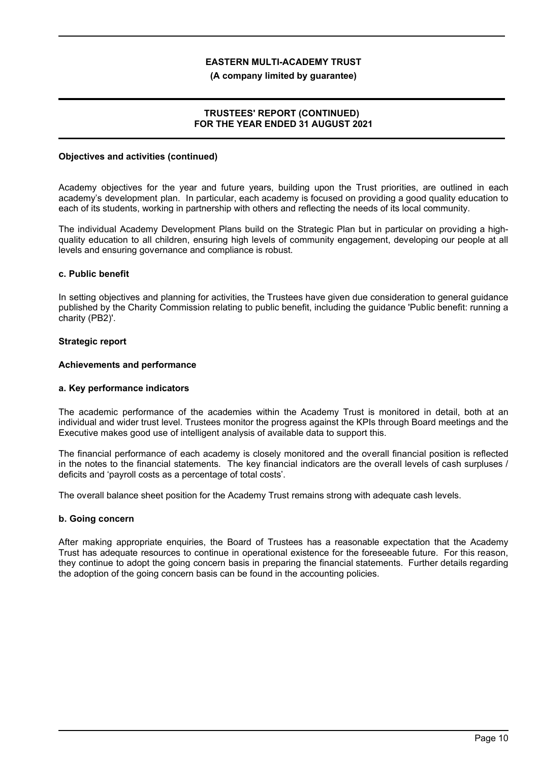### **(A company limited by guarantee)**

## **TRUSTEES' REPORT (CONTINUED) FOR THE YEAR ENDED 31 AUGUST 2021**

### **Objectives and activities (continued)**

Academy objectives for the year and future years, building upon the Trust priorities, are outlined in each academy's development plan. In particular, each academy is focused on providing a good quality education to each of its students, working in partnership with others and reflecting the needs of its local community.

The individual Academy Development Plans build on the Strategic Plan but in particular on providing a highquality education to all children, ensuring high levels of community engagement, developing our people at all levels and ensuring governance and compliance is robust.

### **c. Public benefit**

In setting objectives and planning for activities, the Trustees have given due consideration to general guidance published by the Charity Commission relating to public benefit, including the guidance 'Public benefit: running a charity (PB2)'.

### **Strategic report**

### **Achievements and performance**

#### **a. Key performance indicators**

The academic performance of the academies within the Academy Trust is monitored in detail, both at an individual and wider trust level. Trustees monitor the progress against the KPIs through Board meetings and the Executive makes good use of intelligent analysis of available data to support this.

The financial performance of each academy is closely monitored and the overall financial position is reflected in the notes to the financial statements. The key financial indicators are the overall levels of cash surpluses / deficits and 'payroll costs as a percentage of total costs'.

The overall balance sheet position for the Academy Trust remains strong with adequate cash levels.

#### **b. Going concern**

After making appropriate enquiries, the Board of Trustees has a reasonable expectation that the Academy Trust has adequate resources to continue in operational existence for the foreseeable future. For this reason, they continue to adopt the going concern basis in preparing the financial statements. Further details regarding the adoption of the going concern basis can be found in the accounting policies.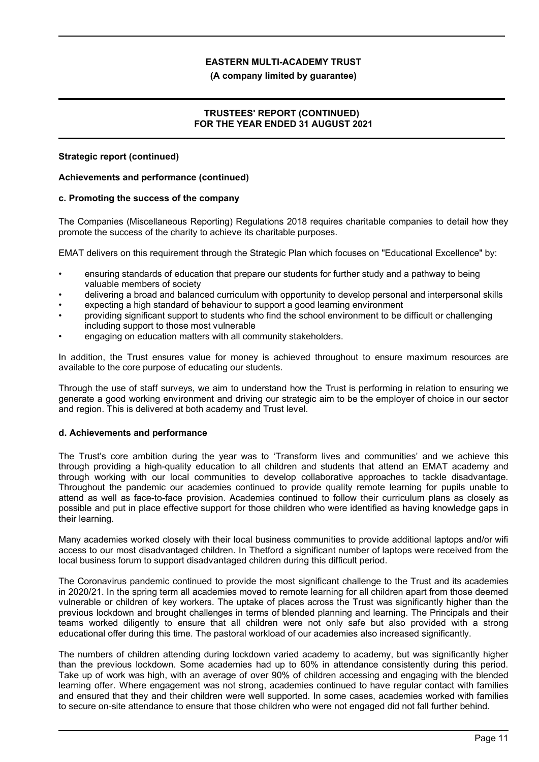### **(A company limited by guarantee)**

## **TRUSTEES' REPORT (CONTINUED) FOR THE YEAR ENDED 31 AUGUST 2021**

### **Strategic report (continued)**

### **Achievements and performance (continued)**

### **c. Promoting the success of the company**

The Companies (Miscellaneous Reporting) Regulations 2018 requires charitable companies to detail how they promote the success of the charity to achieve its charitable purposes.

EMAT delivers on this requirement through the Strategic Plan which focuses on "Educational Excellence" by:

- ensuring standards of education that prepare our students for further study and a pathway to being valuable members of society
- delivering a broad and balanced curriculum with opportunity to develop personal and interpersonal skills
- expecting a high standard of behaviour to support a good learning environment
- providing significant support to students who find the school environment to be difficult or challenging including support to those most vulnerable
- engaging on education matters with all community stakeholders.

In addition, the Trust ensures value for money is achieved throughout to ensure maximum resources are available to the core purpose of educating our students.

Through the use of staff surveys, we aim to understand how the Trust is performing in relation to ensuring we generate a good working environment and driving our strategic aim to be the employer of choice in our sector and region. This is delivered at both academy and Trust level.

## **d. Achievements and performance**

The Trust's core ambition during the year was to 'Transform lives and communities' and we achieve this through providing a high-quality education to all children and students that attend an EMAT academy and through working with our local communities to develop collaborative approaches to tackle disadvantage. Throughout the pandemic our academies continued to provide quality remote learning for pupils unable to attend as well as face-to-face provision. Academies continued to follow their curriculum plans as closely as possible and put in place effective support for those children who were identified as having knowledge gaps in their learning.

Many academies worked closely with their local business communities to provide additional laptops and/or wifi access to our most disadvantaged children. In Thetford a significant number of laptops were received from the local business forum to support disadvantaged children during this difficult period.

The Coronavirus pandemic continued to provide the most significant challenge to the Trust and its academies in 2020/21. In the spring term all academies moved to remote learning for all children apart from those deemed vulnerable or children of key workers. The uptake of places across the Trust was significantly higher than the previous lockdown and brought challenges in terms of blended planning and learning. The Principals and their teams worked diligently to ensure that all children were not only safe but also provided with a strong educational offer during this time. The pastoral workload of our academies also increased significantly.

The numbers of children attending during lockdown varied academy to academy, but was significantly higher than the previous lockdown. Some academies had up to 60% in attendance consistently during this period. Take up of work was high, with an average of over 90% of children accessing and engaging with the blended learning offer. Where engagement was not strong, academies continued to have regular contact with families and ensured that they and their children were well supported. In some cases, academies worked with families to secure on-site attendance to ensure that those children who were not engaged did not fall further behind.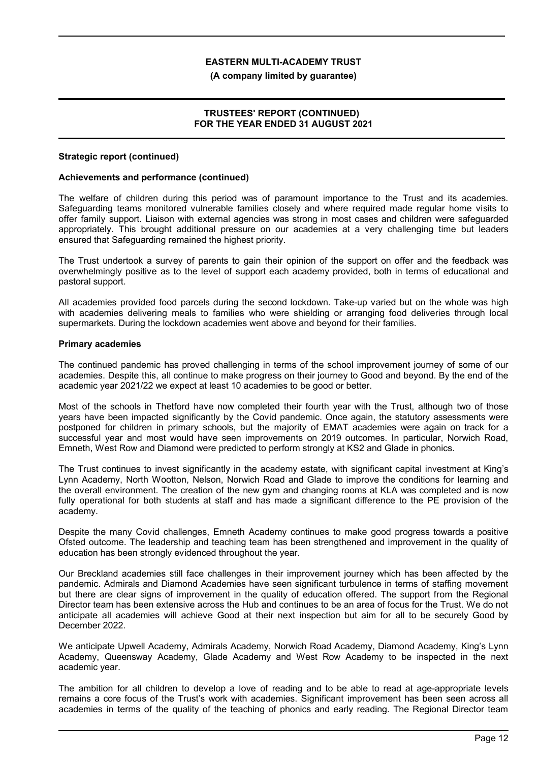#### **(A company limited by guarantee)**

## **TRUSTEES' REPORT (CONTINUED) FOR THE YEAR ENDED 31 AUGUST 2021**

#### **Strategic report (continued)**

### **Achievements and performance (continued)**

The welfare of children during this period was of paramount importance to the Trust and its academies. Safeguarding teams monitored vulnerable families closely and where required made regular home visits to offer family support. Liaison with external agencies was strong in most cases and children were safeguarded appropriately. This brought additional pressure on our academies at a very challenging time but leaders ensured that Safeguarding remained the highest priority.

The Trust undertook a survey of parents to gain their opinion of the support on offer and the feedback was overwhelmingly positive as to the level of support each academy provided, both in terms of educational and pastoral support.

All academies provided food parcels during the second lockdown. Take-up varied but on the whole was high with academies delivering meals to families who were shielding or arranging food deliveries through local supermarkets. During the lockdown academies went above and beyond for their families.

### **Primary academies**

The continued pandemic has proved challenging in terms of the school improvement journey of some of our academies. Despite this, all continue to make progress on their journey to Good and beyond. By the end of the academic year 2021/22 we expect at least 10 academies to be good or better.

Most of the schools in Thetford have now completed their fourth year with the Trust, although two of those years have been impacted significantly by the Covid pandemic. Once again, the statutory assessments were postponed for children in primary schools, but the majority of EMAT academies were again on track for a successful year and most would have seen improvements on 2019 outcomes. In particular, Norwich Road, Emneth, West Row and Diamond were predicted to perform strongly at KS2 and Glade in phonics.

The Trust continues to invest significantly in the academy estate, with significant capital investment at King's Lynn Academy, North Wootton, Nelson, Norwich Road and Glade to improve the conditions for learning and the overall environment. The creation of the new gym and changing rooms at KLA was completed and is now fully operational for both students at staff and has made a significant difference to the PE provision of the academy.

Despite the many Covid challenges, Emneth Academy continues to make good progress towards a positive Ofsted outcome. The leadership and teaching team has been strengthened and improvement in the quality of education has been strongly evidenced throughout the year.

Our Breckland academies still face challenges in their improvement journey which has been affected by the pandemic. Admirals and Diamond Academies have seen significant turbulence in terms of staffing movement but there are clear signs of improvement in the quality of education offered. The support from the Regional Director team has been extensive across the Hub and continues to be an area of focus for the Trust. We do not anticipate all academies will achieve Good at their next inspection but aim for all to be securely Good by December 2022.

We anticipate Upwell Academy, Admirals Academy, Norwich Road Academy, Diamond Academy, King's Lynn Academy, Queensway Academy, Glade Academy and West Row Academy to be inspected in the next academic year.

The ambition for all children to develop a love of reading and to be able to read at age-appropriate levels remains a core focus of the Trust's work with academies. Significant improvement has been seen across all academies in terms of the quality of the teaching of phonics and early reading. The Regional Director team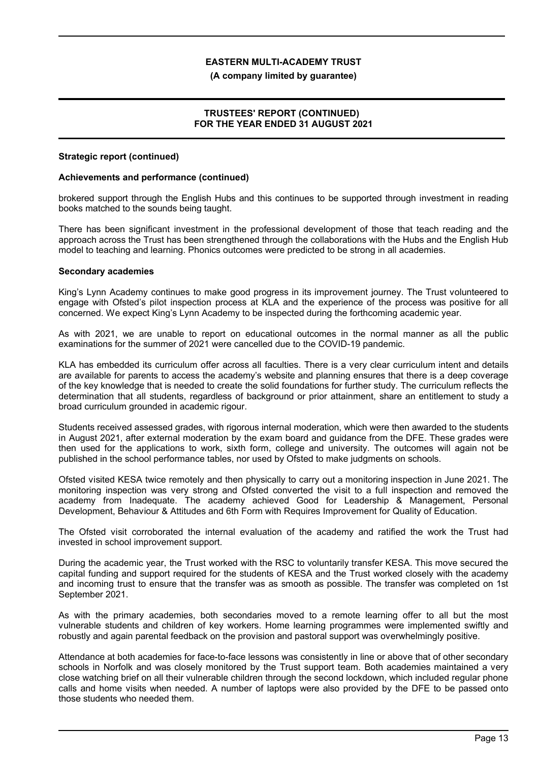#### **(A company limited by guarantee)**

## **TRUSTEES' REPORT (CONTINUED) FOR THE YEAR ENDED 31 AUGUST 2021**

#### **Strategic report (continued)**

### **Achievements and performance (continued)**

brokered support through the English Hubs and this continues to be supported through investment in reading books matched to the sounds being taught.

There has been significant investment in the professional development of those that teach reading and the approach across the Trust has been strengthened through the collaborations with the Hubs and the English Hub model to teaching and learning. Phonics outcomes were predicted to be strong in all academies.

#### **Secondary academies**

King's Lynn Academy continues to make good progress in its improvement journey. The Trust volunteered to engage with Ofsted's pilot inspection process at KLA and the experience of the process was positive for all concerned. We expect King's Lynn Academy to be inspected during the forthcoming academic year.

As with 2021, we are unable to report on educational outcomes in the normal manner as all the public examinations for the summer of 2021 were cancelled due to the COVID-19 pandemic.

KLA has embedded its curriculum offer across all faculties. There is a very clear curriculum intent and details are available for parents to access the academy's website and planning ensures that there is a deep coverage of the key knowledge that is needed to create the solid foundations for further study. The curriculum reflects the determination that all students, regardless of background or prior attainment, share an entitlement to study a broad curriculum grounded in academic rigour.

Students received assessed grades, with rigorous internal moderation, which were then awarded to the students in August 2021, after external moderation by the exam board and guidance from the DFE. These grades were then used for the applications to work, sixth form, college and university. The outcomes will again not be published in the school performance tables, nor used by Ofsted to make judgments on schools.

Ofsted visited KESA twice remotely and then physically to carry out a monitoring inspection in June 2021. The monitoring inspection was very strong and Ofsted converted the visit to a full inspection and removed the academy from Inadequate. The academy achieved Good for Leadership & Management, Personal Development, Behaviour & Attitudes and 6th Form with Requires Improvement for Quality of Education.

The Ofsted visit corroborated the internal evaluation of the academy and ratified the work the Trust had invested in school improvement support.

During the academic year, the Trust worked with the RSC to voluntarily transfer KESA. This move secured the capital funding and support required for the students of KESA and the Trust worked closely with the academy and incoming trust to ensure that the transfer was as smooth as possible. The transfer was completed on 1st September 2021.

As with the primary academies, both secondaries moved to a remote learning offer to all but the most vulnerable students and children of key workers. Home learning programmes were implemented swiftly and robustly and again parental feedback on the provision and pastoral support was overwhelmingly positive.

Attendance at both academies for face-to-face lessons was consistently in line or above that of other secondary schools in Norfolk and was closely monitored by the Trust support team. Both academies maintained a very close watching brief on all their vulnerable children through the second lockdown, which included regular phone calls and home visits when needed. A number of laptops were also provided by the DFE to be passed onto those students who needed them.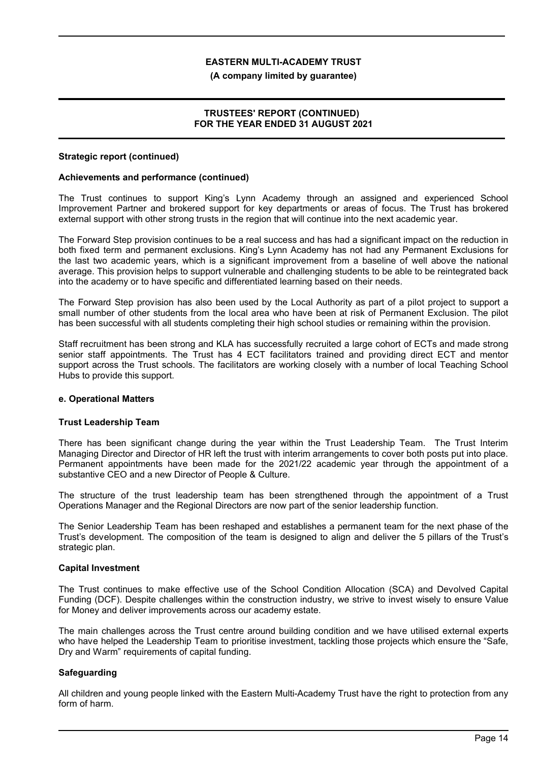### **(A company limited by guarantee)**

## **TRUSTEES' REPORT (CONTINUED) FOR THE YEAR ENDED 31 AUGUST 2021**

### **Strategic report (continued)**

### **Achievements and performance (continued)**

The Trust continues to support King's Lynn Academy through an assigned and experienced School Improvement Partner and brokered support for key departments or areas of focus. The Trust has brokered external support with other strong trusts in the region that will continue into the next academic year.

The Forward Step provision continues to be a real success and has had a significant impact on the reduction in both fixed term and permanent exclusions. King's Lynn Academy has not had any Permanent Exclusions for the last two academic years, which is a significant improvement from a baseline of well above the national average. This provision helps to support vulnerable and challenging students to be able to be reintegrated back into the academy or to have specific and differentiated learning based on their needs.

The Forward Step provision has also been used by the Local Authority as part of a pilot project to support a small number of other students from the local area who have been at risk of Permanent Exclusion. The pilot has been successful with all students completing their high school studies or remaining within the provision.

Staff recruitment has been strong and KLA has successfully recruited a large cohort of ECTs and made strong senior staff appointments. The Trust has 4 ECT facilitators trained and providing direct ECT and mentor support across the Trust schools. The facilitators are working closely with a number of local Teaching School Hubs to provide this support.

## **e. Operational Matters**

#### **Trust Leadership Team**

There has been significant change during the year within the Trust Leadership Team. The Trust Interim Managing Director and Director of HR left the trust with interim arrangements to cover both posts put into place. Permanent appointments have been made for the 2021/22 academic year through the appointment of a substantive CEO and a new Director of People & Culture.

The structure of the trust leadership team has been strengthened through the appointment of a Trust Operations Manager and the Regional Directors are now part of the senior leadership function.

The Senior Leadership Team has been reshaped and establishes a permanent team for the next phase of the Trust's development. The composition of the team is designed to align and deliver the 5 pillars of the Trust's strategic plan.

#### **Capital Investment**

The Trust continues to make effective use of the School Condition Allocation (SCA) and Devolved Capital Funding (DCF). Despite challenges within the construction industry, we strive to invest wisely to ensure Value for Money and deliver improvements across our academy estate.

The main challenges across the Trust centre around building condition and we have utilised external experts who have helped the Leadership Team to prioritise investment, tackling those projects which ensure the "Safe, Dry and Warm" requirements of capital funding.

## **Safeguarding**

All children and young people linked with the Eastern Multi-Academy Trust have the right to protection from any form of harm.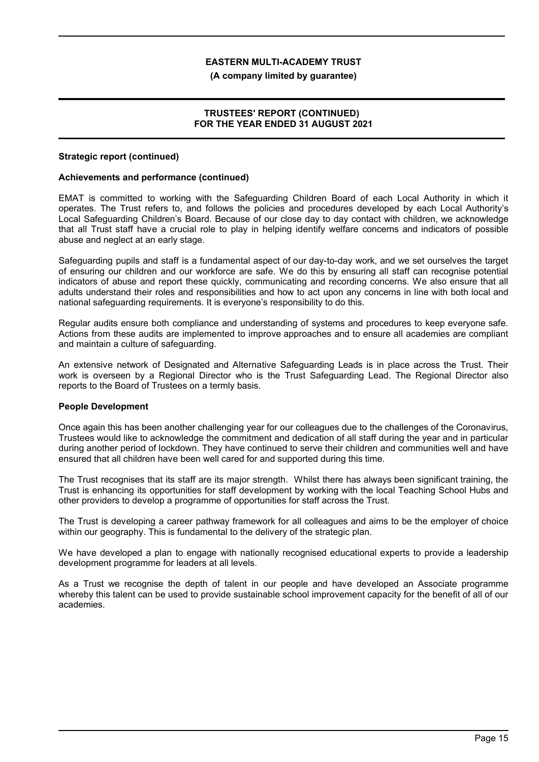### **(A company limited by guarantee)**

## **TRUSTEES' REPORT (CONTINUED) FOR THE YEAR ENDED 31 AUGUST 2021**

### **Strategic report (continued)**

### **Achievements and performance (continued)**

EMAT is committed to working with the Safeguarding Children Board of each Local Authority in which it operates. The Trust refers to, and follows the policies and procedures developed by each Local Authority's Local Safeguarding Children's Board. Because of our close day to day contact with children, we acknowledge that all Trust staff have a crucial role to play in helping identify welfare concerns and indicators of possible abuse and neglect at an early stage.

Safeguarding pupils and staff is a fundamental aspect of our day-to-day work, and we set ourselves the target of ensuring our children and our workforce are safe. We do this by ensuring all staff can recognise potential indicators of abuse and report these quickly, communicating and recording concerns. We also ensure that all adults understand their roles and responsibilities and how to act upon any concerns in line with both local and national safeguarding requirements. It is everyone's responsibility to do this.

Regular audits ensure both compliance and understanding of systems and procedures to keep everyone safe. Actions from these audits are implemented to improve approaches and to ensure all academies are compliant and maintain a culture of safeguarding.

An extensive network of Designated and Alternative Safeguarding Leads is in place across the Trust. Their work is overseen by a Regional Director who is the Trust Safeguarding Lead. The Regional Director also reports to the Board of Trustees on a termly basis.

#### **People Development**

Once again this has been another challenging year for our colleagues due to the challenges of the Coronavirus, Trustees would like to acknowledge the commitment and dedication of all staff during the year and in particular during another period of lockdown. They have continued to serve their children and communities well and have ensured that all children have been well cared for and supported during this time.

The Trust recognises that its staff are its major strength. Whilst there has always been significant training, the Trust is enhancing its opportunities for staff development by working with the local Teaching School Hubs and other providers to develop a programme of opportunities for staff across the Trust.

The Trust is developing a career pathway framework for all colleagues and aims to be the employer of choice within our geography. This is fundamental to the delivery of the strategic plan.

We have developed a plan to engage with nationally recognised educational experts to provide a leadership development programme for leaders at all levels.

As a Trust we recognise the depth of talent in our people and have developed an Associate programme whereby this talent can be used to provide sustainable school improvement capacity for the benefit of all of our academies.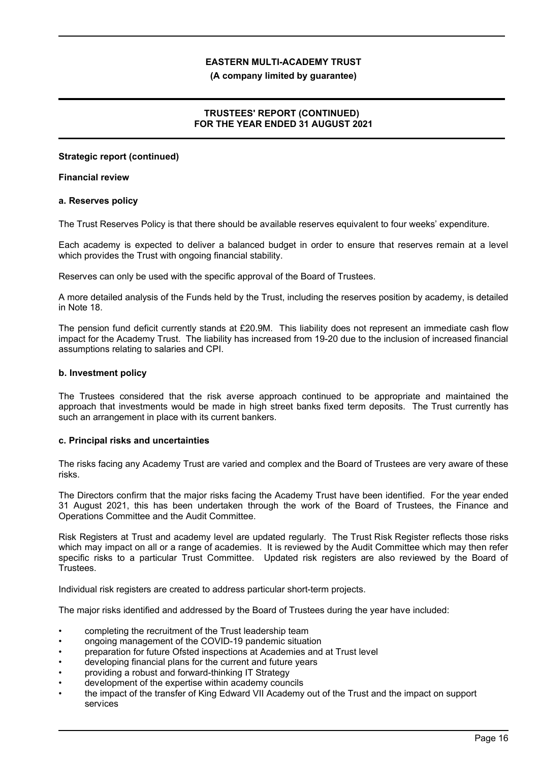### **(A company limited by guarantee)**

# **TRUSTEES' REPORT (CONTINUED) FOR THE YEAR ENDED 31 AUGUST 2021**

### **Strategic report (continued)**

### **Financial review**

### **a. Reserves policy**

The Trust Reserves Policy is that there should be available reserves equivalent to four weeks' expenditure.

Each academy is expected to deliver a balanced budget in order to ensure that reserves remain at a level which provides the Trust with ongoing financial stability.

Reserves can only be used with the specific approval of the Board of Trustees.

A more detailed analysis of the Funds held by the Trust, including the reserves position by academy, is detailed in Note 18.

The pension fund deficit currently stands at £20.9M. This liability does not represent an immediate cash flow impact for the Academy Trust. The liability has increased from 19-20 due to the inclusion of increased financial assumptions relating to salaries and CPI.

### **b. Investment policy**

The Trustees considered that the risk averse approach continued to be appropriate and maintained the approach that investments would be made in high street banks fixed term deposits. The Trust currently has such an arrangement in place with its current bankers.

## **c. Principal risks and uncertainties**

The risks facing any Academy Trust are varied and complex and the Board of Trustees are very aware of these risks.

The Directors confirm that the major risks facing the Academy Trust have been identified. For the year ended 31 August 2021, this has been undertaken through the work of the Board of Trustees, the Finance and Operations Committee and the Audit Committee.

Risk Registers at Trust and academy level are updated regularly. The Trust Risk Register reflects those risks which may impact on all or a range of academies. It is reviewed by the Audit Committee which may then refer specific risks to a particular Trust Committee. Updated risk registers are also reviewed by the Board of Trustees.

Individual risk registers are created to address particular short-term projects.

The major risks identified and addressed by the Board of Trustees during the year have included:

- completing the recruitment of the Trust leadership team
- ongoing management of the COVID-19 pandemic situation
- preparation for future Ofsted inspections at Academies and at Trust level
- developing financial plans for the current and future years
- providing a robust and forward-thinking IT Strategy
- development of the expertise within academy councils
- the impact of the transfer of King Edward VII Academy out of the Trust and the impact on support services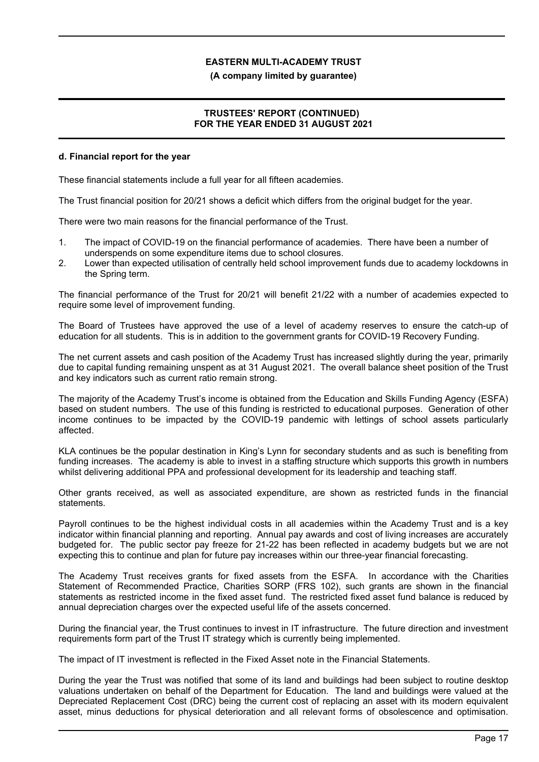### **(A company limited by guarantee)**

## **TRUSTEES' REPORT (CONTINUED) FOR THE YEAR ENDED 31 AUGUST 2021**

### **d. Financial report for the year**

These financial statements include a full year for all fifteen academies.

The Trust financial position for 20/21 shows a deficit which differs from the original budget for the year.

There were two main reasons for the financial performance of the Trust.

- 1. The impact of COVID-19 on the financial performance of academies. There have been a number of underspends on some expenditure items due to school closures.
- 2. Lower than expected utilisation of centrally held school improvement funds due to academy lockdowns in the Spring term.

The financial performance of the Trust for 20/21 will benefit 21/22 with a number of academies expected to require some level of improvement funding.

The Board of Trustees have approved the use of a level of academy reserves to ensure the catch-up of education for all students. This is in addition to the government grants for COVID-19 Recovery Funding.

The net current assets and cash position of the Academy Trust has increased slightly during the year, primarily due to capital funding remaining unspent as at 31 August 2021. The overall balance sheet position of the Trust and key indicators such as current ratio remain strong.

The majority of the Academy Trust's income is obtained from the Education and Skills Funding Agency (ESFA) based on student numbers. The use of this funding is restricted to educational purposes. Generation of other income continues to be impacted by the COVID-19 pandemic with lettings of school assets particularly affected.

KLA continues be the popular destination in King's Lynn for secondary students and as such is benefiting from funding increases. The academy is able to invest in a staffing structure which supports this growth in numbers whilst delivering additional PPA and professional development for its leadership and teaching staff.

Other grants received, as well as associated expenditure, are shown as restricted funds in the financial statements.

Payroll continues to be the highest individual costs in all academies within the Academy Trust and is a key indicator within financial planning and reporting. Annual pay awards and cost of living increases are accurately budgeted for. The public sector pay freeze for 21-22 has been reflected in academy budgets but we are not expecting this to continue and plan for future pay increases within our three-year financial forecasting.

The Academy Trust receives grants for fixed assets from the ESFA. In accordance with the Charities Statement of Recommended Practice, Charities SORP (FRS 102), such grants are shown in the financial statements as restricted income in the fixed asset fund. The restricted fixed asset fund balance is reduced by annual depreciation charges over the expected useful life of the assets concerned.

During the financial year, the Trust continues to invest in IT infrastructure. The future direction and investment requirements form part of the Trust IT strategy which is currently being implemented.

The impact of IT investment is reflected in the Fixed Asset note in the Financial Statements.

During the year the Trust was notified that some of its land and buildings had been subject to routine desktop valuations undertaken on behalf of the Department for Education. The land and buildings were valued at the Depreciated Replacement Cost (DRC) being the current cost of replacing an asset with its modern equivalent asset, minus deductions for physical deterioration and all relevant forms of obsolescence and optimisation.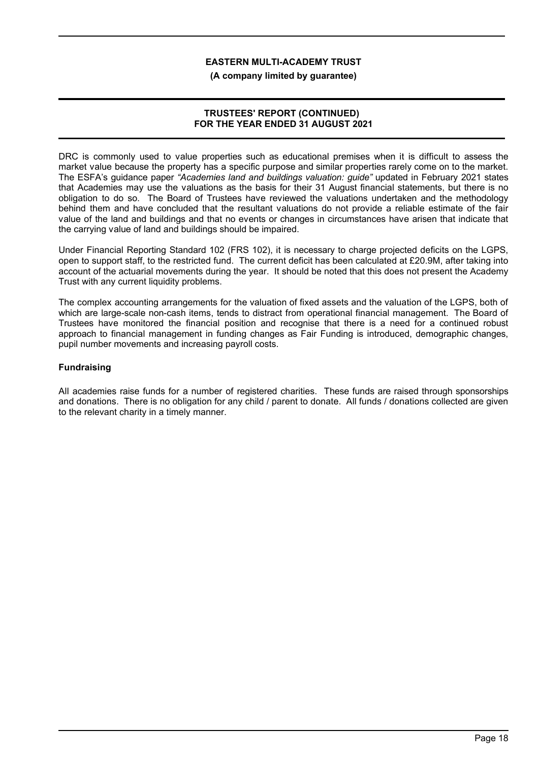**(A company limited by guarantee)**

## **TRUSTEES' REPORT (CONTINUED) FOR THE YEAR ENDED 31 AUGUST 2021**

DRC is commonly used to value properties such as educational premises when it is difficult to assess the market value because the property has a specific purpose and similar properties rarely come on to the market. The ESFA's guidance paper *"Academies land and buildings valuation: guide"* updated in February 2021 states that Academies may use the valuations as the basis for their 31 August financial statements, but there is no obligation to do so. The Board of Trustees have reviewed the valuations undertaken and the methodology behind them and have concluded that the resultant valuations do not provide a reliable estimate of the fair value of the land and buildings and that no events or changes in circumstances have arisen that indicate that the carrying value of land and buildings should be impaired.

Under Financial Reporting Standard 102 (FRS 102), it is necessary to charge projected deficits on the LGPS, open to support staff, to the restricted fund. The current deficit has been calculated at £20.9M, after taking into account of the actuarial movements during the year. It should be noted that this does not present the Academy Trust with any current liquidity problems.

The complex accounting arrangements for the valuation of fixed assets and the valuation of the LGPS, both of which are large-scale non-cash items, tends to distract from operational financial management. The Board of Trustees have monitored the financial position and recognise that there is a need for a continued robust approach to financial management in funding changes as Fair Funding is introduced, demographic changes, pupil number movements and increasing payroll costs.

# **Fundraising**

All academies raise funds for a number of registered charities. These funds are raised through sponsorships and donations. There is no obligation for any child / parent to donate. All funds / donations collected are given to the relevant charity in a timely manner.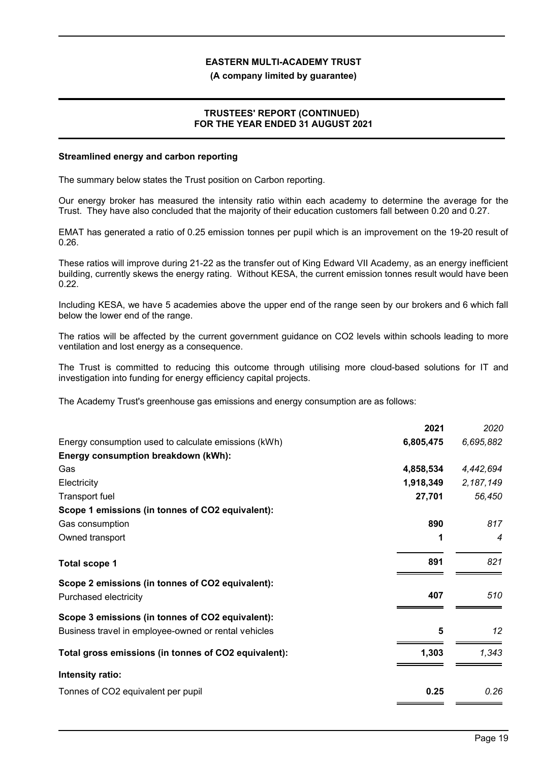#### **(A company limited by guarantee)**

## **TRUSTEES' REPORT (CONTINUED) FOR THE YEAR ENDED 31 AUGUST 2021**

#### **Streamlined energy and carbon reporting**

The summary below states the Trust position on Carbon reporting.

Our energy broker has measured the intensity ratio within each academy to determine the average for the Trust. They have also concluded that the majority of their education customers fall between 0.20 and 0.27.

EMAT has generated a ratio of 0.25 emission tonnes per pupil which is an improvement on the 19-20 result of 0.26.

These ratios will improve during 21-22 as the transfer out of King Edward VII Academy, as an energy inefficient building, currently skews the energy rating. Without KESA, the current emission tonnes result would have been 0.22.

Including KESA, we have 5 academies above the upper end of the range seen by our brokers and 6 which fall below the lower end of the range.

The ratios will be affected by the current government guidance on CO2 levels within schools leading to more ventilation and lost energy as a consequence.

The Trust is committed to reducing this outcome through utilising more cloud-based solutions for IT and investigation into funding for energy efficiency capital projects.

The Academy Trust's greenhouse gas emissions and energy consumption are as follows:

|                                                                           | 2021      | 2020        |
|---------------------------------------------------------------------------|-----------|-------------|
| Energy consumption used to calculate emissions (kWh)                      | 6,805,475 | 6,695,882   |
| Energy consumption breakdown (kWh):                                       |           |             |
| Gas                                                                       | 4,858,534 | 4,442,694   |
| Electricity                                                               | 1,918,349 | 2, 187, 149 |
| <b>Transport fuel</b>                                                     | 27,701    | 56,450      |
| Scope 1 emissions (in tonnes of CO2 equivalent):                          |           |             |
| Gas consumption                                                           | 890       | 817         |
| Owned transport                                                           | 1         | 4           |
| <b>Total scope 1</b>                                                      | 891       | 821         |
| Scope 2 emissions (in tonnes of CO2 equivalent):<br>Purchased electricity | 407       | 510         |
|                                                                           |           |             |
| Scope 3 emissions (in tonnes of CO2 equivalent):                          |           |             |
| Business travel in employee-owned or rental vehicles                      | 5         | 12          |
| Total gross emissions (in tonnes of CO2 equivalent):                      | 1,303     | 1,343       |
| Intensity ratio:                                                          |           |             |
| Tonnes of CO2 equivalent per pupil                                        | 0.25      | 0.26        |
|                                                                           |           |             |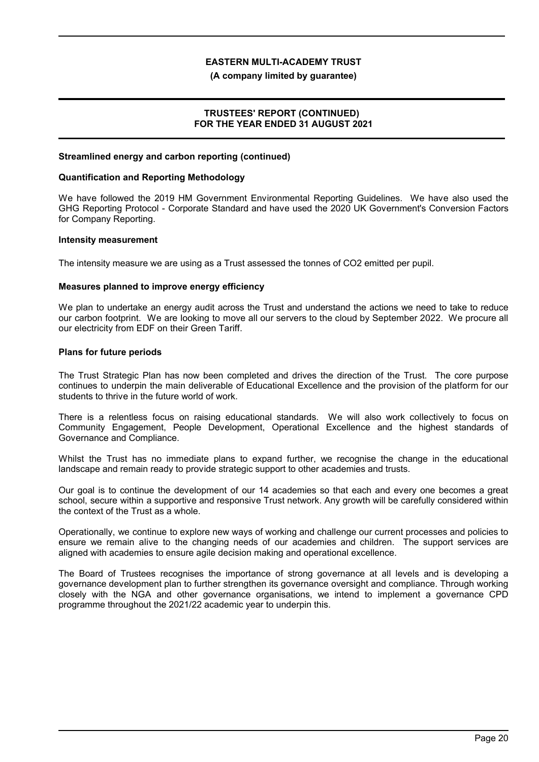#### **(A company limited by guarantee)**

# **TRUSTEES' REPORT (CONTINUED) FOR THE YEAR ENDED 31 AUGUST 2021**

### **Streamlined energy and carbon reporting (continued)**

#### **Quantification and Reporting Methodology**

We have followed the 2019 HM Government Environmental Reporting Guidelines. We have also used the GHG Reporting Protocol - Corporate Standard and have used the 2020 UK Government's Conversion Factors for Company Reporting.

#### **Intensity measurement**

The intensity measure we are using as a Trust assessed the tonnes of CO2 emitted per pupil.

### **Measures planned to improve energy efficiency**

We plan to undertake an energy audit across the Trust and understand the actions we need to take to reduce our carbon footprint. We are looking to move all our servers to the cloud by September 2022. We procure all our electricity from EDF on their Green Tariff.

### **Plans for future periods**

The Trust Strategic Plan has now been completed and drives the direction of the Trust. The core purpose continues to underpin the main deliverable of Educational Excellence and the provision of the platform for our students to thrive in the future world of work.

There is a relentless focus on raising educational standards. We will also work collectively to focus on Community Engagement, People Development, Operational Excellence and the highest standards of Governance and Compliance.

Whilst the Trust has no immediate plans to expand further, we recognise the change in the educational landscape and remain ready to provide strategic support to other academies and trusts.

Our goal is to continue the development of our 14 academies so that each and every one becomes a great school, secure within a supportive and responsive Trust network. Any growth will be carefully considered within the context of the Trust as a whole.

Operationally, we continue to explore new ways of working and challenge our current processes and policies to ensure we remain alive to the changing needs of our academies and children. The support services are aligned with academies to ensure agile decision making and operational excellence.

The Board of Trustees recognises the importance of strong governance at all levels and is developing a governance development plan to further strengthen its governance oversight and compliance. Through working closely with the NGA and other governance organisations, we intend to implement a governance CPD programme throughout the 2021/22 academic year to underpin this.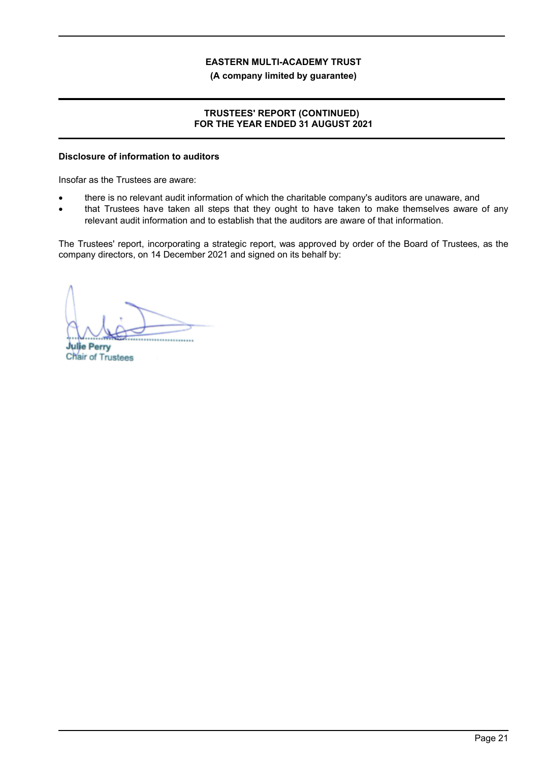**(A company limited by guarantee)**

# **TRUSTEES' REPORT (CONTINUED) FOR THE YEAR ENDED 31 AUGUST 2021**

# **Disclosure of information to auditors**

Insofar as the Trustees are aware:

- there is no relevant audit information of which the charitable company's auditors are unaware, and
- that Trustees have taken all steps that they ought to have taken to make themselves aware of any relevant audit information and to establish that the auditors are aware of that information.

The Trustees' report, incorporating a strategic report, was approved by order of the Board of Trustees, as the company directors, on 14 December 2021 and signed on its behalf by:

 $M_{\rm A}$ 

**Julie Perry** Chair of Trustees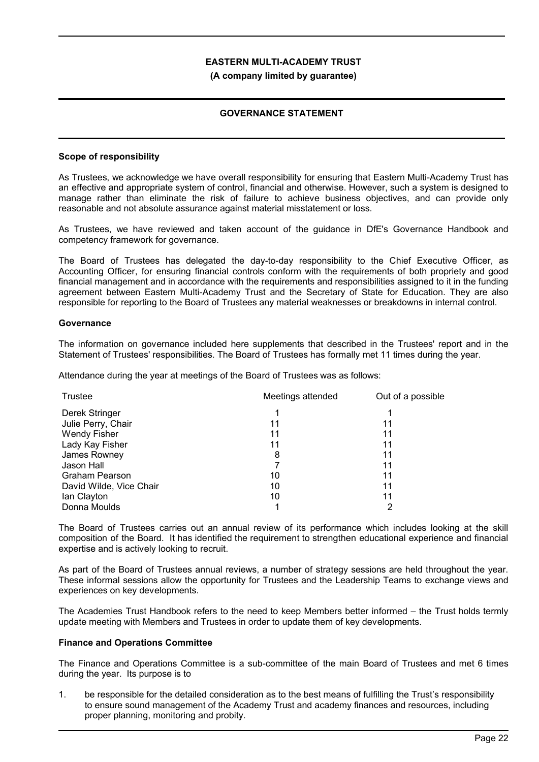### **(A company limited by guarantee)**

## **GOVERNANCE STATEMENT**

### **Scope of responsibility**

As Trustees, we acknowledge we have overall responsibility for ensuring that Eastern Multi-Academy Trust has an effective and appropriate system of control, financial and otherwise. However, such a system is designed to manage rather than eliminate the risk of failure to achieve business objectives, and can provide only reasonable and not absolute assurance against material misstatement or loss.

As Trustees, we have reviewed and taken account of the guidance in DfE's Governance Handbook and competency framework for governance.

The Board of Trustees has delegated the day-to-day responsibility to the Chief Executive Officer, as Accounting Officer, for ensuring financial controls conform with the requirements of both propriety and good financial management and in accordance with the requirements and responsibilities assigned to it in the funding agreement between Eastern Multi-Academy Trust and the Secretary of State for Education. They are also responsible for reporting to the Board of Trustees any material weaknesses or breakdowns in internal control.

### **Governance**

The information on governance included here supplements that described in the Trustees' report and in the Statement of Trustees' responsibilities. The Board of Trustees has formally met 11 times during the year.

Attendance during the year at meetings of the Board of Trustees was as follows:

| Trustee                 | Meetings attended | Out of a possible |  |
|-------------------------|-------------------|-------------------|--|
| Derek Stringer          |                   |                   |  |
| Julie Perry, Chair      | 11                | 11                |  |
| <b>Wendy Fisher</b>     | 11                | 11                |  |
| Lady Kay Fisher         | 11                | 11                |  |
| James Rowney            | 8                 | 11                |  |
| Jason Hall              |                   | 11                |  |
| <b>Graham Pearson</b>   | 10                | 11                |  |
| David Wilde, Vice Chair | 10                | 11                |  |
| lan Clayton             | 10                | 11                |  |
| Donna Moulds            |                   |                   |  |

The Board of Trustees carries out an annual review of its performance which includes looking at the skill composition of the Board. It has identified the requirement to strengthen educational experience and financial expertise and is actively looking to recruit.

As part of the Board of Trustees annual reviews, a number of strategy sessions are held throughout the year. These informal sessions allow the opportunity for Trustees and the Leadership Teams to exchange views and experiences on key developments.

The Academies Trust Handbook refers to the need to keep Members better informed – the Trust holds termly update meeting with Members and Trustees in order to update them of key developments.

#### **Finance and Operations Committee**

The Finance and Operations Committee is a sub-committee of the main Board of Trustees and met 6 times during the year. Its purpose is to

1. be responsible for the detailed consideration as to the best means of fulfilling the Trust's responsibility to ensure sound management of the Academy Trust and academy finances and resources, including proper planning, monitoring and probity.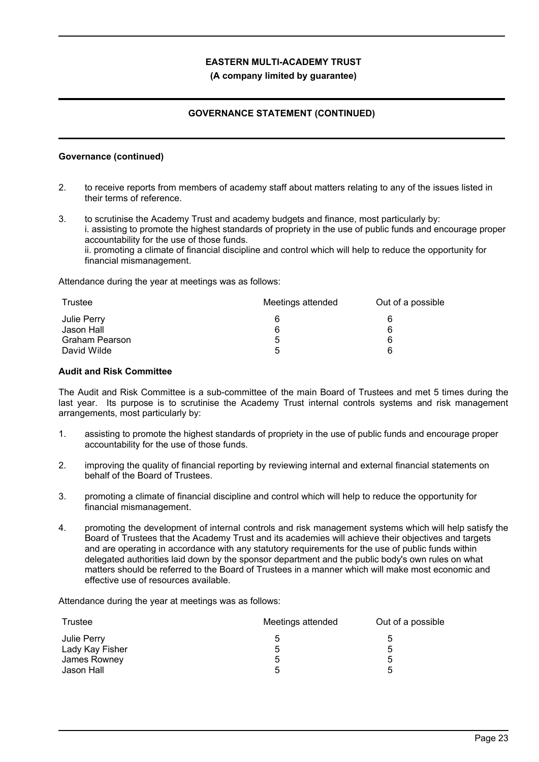### **(A company limited by guarantee)**

# **GOVERNANCE STATEMENT (CONTINUED)**

### **Governance (continued)**

- 2. to receive reports from members of academy staff about matters relating to any of the issues listed in their terms of reference.
- 3. to scrutinise the Academy Trust and academy budgets and finance, most particularly by: i. assisting to promote the highest standards of propriety in the use of public funds and encourage proper accountability for the use of those funds. ii. promoting a climate of financial discipline and control which will help to reduce the opportunity for financial mismanagement.

Attendance during the year at meetings was as follows:

| Trustee               | Meetings attended | Out of a possible |  |
|-----------------------|-------------------|-------------------|--|
| Julie Perry           |                   | 6                 |  |
| Jason Hall            | 6                 | 6                 |  |
| <b>Graham Pearson</b> | b                 | 6                 |  |
| David Wilde           | 5                 | ี                 |  |

### **Audit and Risk Committee**

The Audit and Risk Committee is a sub-committee of the main Board of Trustees and met 5 times during the last year. Its purpose is to scrutinise the Academy Trust internal controls systems and risk management arrangements, most particularly by:

- 1. assisting to promote the highest standards of propriety in the use of public funds and encourage proper accountability for the use of those funds.
- 2. improving the quality of financial reporting by reviewing internal and external financial statements on behalf of the Board of Trustees.
- 3. promoting a climate of financial discipline and control which will help to reduce the opportunity for financial mismanagement.
- 4. promoting the development of internal controls and risk management systems which will help satisfy the Board of Trustees that the Academy Trust and its academies will achieve their objectives and targets and are operating in accordance with any statutory requirements for the use of public funds within delegated authorities laid down by the sponsor department and the public body's own rules on what matters should be referred to the Board of Trustees in a manner which will make most economic and effective use of resources available.

Attendance during the year at meetings was as follows:

| Trustee         | Meetings attended | Out of a possible |  |
|-----------------|-------------------|-------------------|--|
| Julie Perry     | b                 | <sub>5</sub>      |  |
| Lady Kay Fisher | 5                 | 5                 |  |
| James Rowney    | 5                 | 5                 |  |
| Jason Hall      | 5                 | 5                 |  |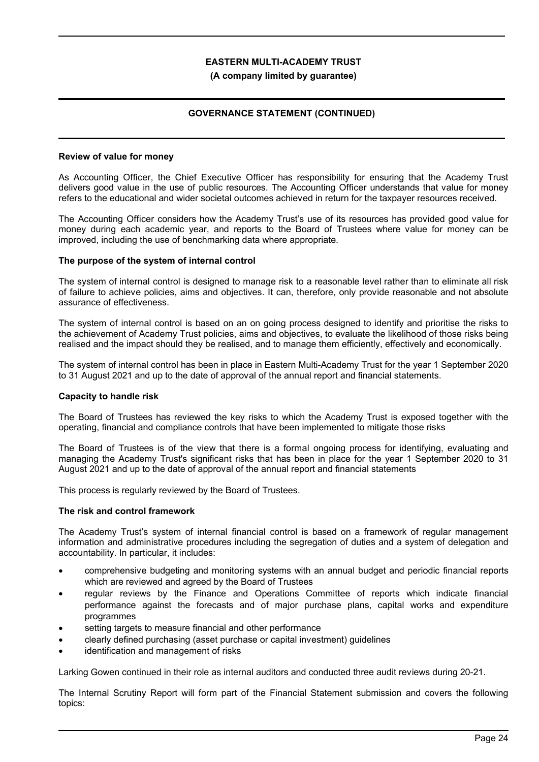### **(A company limited by guarantee)**

# **GOVERNANCE STATEMENT (CONTINUED)**

### **Review of value for money**

As Accounting Officer, the Chief Executive Officer has responsibility for ensuring that the Academy Trust delivers good value in the use of public resources. The Accounting Officer understands that value for money refers to the educational and wider societal outcomes achieved in return for the taxpayer resources received.

The Accounting Officer considers how the Academy Trust's use of its resources has provided good value for money during each academic year, and reports to the Board of Trustees where value for money can be improved, including the use of benchmarking data where appropriate.

### **The purpose of the system of internal control**

The system of internal control is designed to manage risk to a reasonable level rather than to eliminate all risk of failure to achieve policies, aims and objectives. It can, therefore, only provide reasonable and not absolute assurance of effectiveness.

The system of internal control is based on an on going process designed to identify and prioritise the risks to the achievement of Academy Trust policies, aims and objectives, to evaluate the likelihood of those risks being realised and the impact should they be realised, and to manage them efficiently, effectively and economically.

The system of internal control has been in place in Eastern Multi-Academy Trust for the year 1 September 2020 to 31 August 2021 and up to the date of approval of the annual report and financial statements.

## **Capacity to handle risk**

The Board of Trustees has reviewed the key risks to which the Academy Trust is exposed together with the operating, financial and compliance controls that have been implemented to mitigate those risks

The Board of Trustees is of the view that there is a formal ongoing process for identifying, evaluating and managing the Academy Trust's significant risks that has been in place for the year 1 September 2020 to 31 August 2021 and up to the date of approval of the annual report and financial statements

This process is regularly reviewed by the Board of Trustees.

## **The risk and control framework**

The Academy Trust's system of internal financial control is based on a framework of regular management information and administrative procedures including the segregation of duties and a system of delegation and accountability. In particular, it includes:

- comprehensive budgeting and monitoring systems with an annual budget and periodic financial reports which are reviewed and agreed by the Board of Trustees
- regular reviews by the Finance and Operations Committee of reports which indicate financial performance against the forecasts and of major purchase plans, capital works and expenditure programmes
- setting targets to measure financial and other performance
- clearly defined purchasing (asset purchase or capital investment) guidelines
- identification and management of risks

Larking Gowen continued in their role as internal auditors and conducted three audit reviews during 20-21.

The Internal Scrutiny Report will form part of the Financial Statement submission and covers the following topics: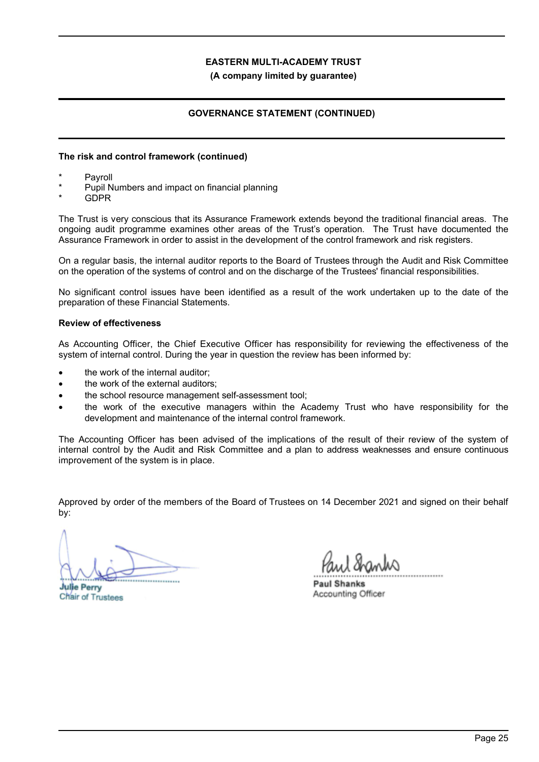### **(A company limited by guarantee)**

## **GOVERNANCE STATEMENT (CONTINUED)**

### **The risk and control framework (continued)**

- **Payroll**
- Pupil Numbers and impact on financial planning
- GDPR

The Trust is very conscious that its Assurance Framework extends beyond the traditional financial areas. The ongoing audit programme examines other areas of the Trust's operation. The Trust have documented the Assurance Framework in order to assist in the development of the control framework and risk registers.

On a regular basis, the internal auditor reports to the Board of Trustees through the Audit and Risk Committee on the operation of the systems of control and on the discharge of the Trustees' financial responsibilities.

No significant control issues have been identified as a result of the work undertaken up to the date of the preparation of these Financial Statements.

### **Review of effectiveness**

As Accounting Officer, the Chief Executive Officer has responsibility for reviewing the effectiveness of the system of internal control. During the year in question the review has been informed by:

- the work of the internal auditor:
- the work of the external auditors;
- the school resource management self-assessment tool;
- the work of the executive managers within the Academy Trust who have responsibility for the development and maintenance of the internal control framework.

The Accounting Officer has been advised of the implications of the result of their review of the system of internal control by the Audit and Risk Committee and a plan to address weaknesses and ensure continuous improvement of the system is in place.

Approved by order of the members of the Board of Trustees on 14 December 2021 and signed on their behalf by:

................................................

**Julie Perry** Chair of Trustees

................................................

**Paul Shanks** Accounting Officer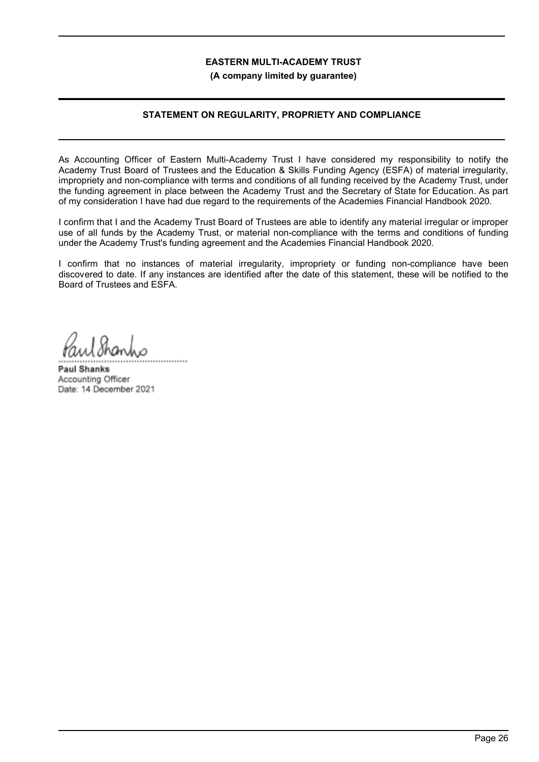**(A company limited by guarantee)**

# **STATEMENT ON REGULARITY, PROPRIETY AND COMPLIANCE**

As Accounting Officer of Eastern Multi-Academy Trust I have considered my responsibility to notify the Academy Trust Board of Trustees and the Education & Skills Funding Agency (ESFA) of material irregularity, impropriety and non-compliance with terms and conditions of all funding received by the Academy Trust, under the funding agreement in place between the Academy Trust and the Secretary of State for Education. As part of my consideration I have had due regard to the requirements of the Academies Financial Handbook 2020.

I confirm that I and the Academy Trust Board of Trustees are able to identify any material irregular or improper use of all funds by the Academy Trust, or material non-compliance with the terms and conditions of funding under the Academy Trust's funding agreement and the Academies Financial Handbook 2020.

I confirm that no instances of material irregularity, impropriety or funding non-compliance have been discovered to date. If any instances are identified after the date of this statement, these will be notified to the Board of Trustees and ESFA.

 $1$ hand ................................................

**Paul Shanks** Accounting Officer Date: 14 December 2021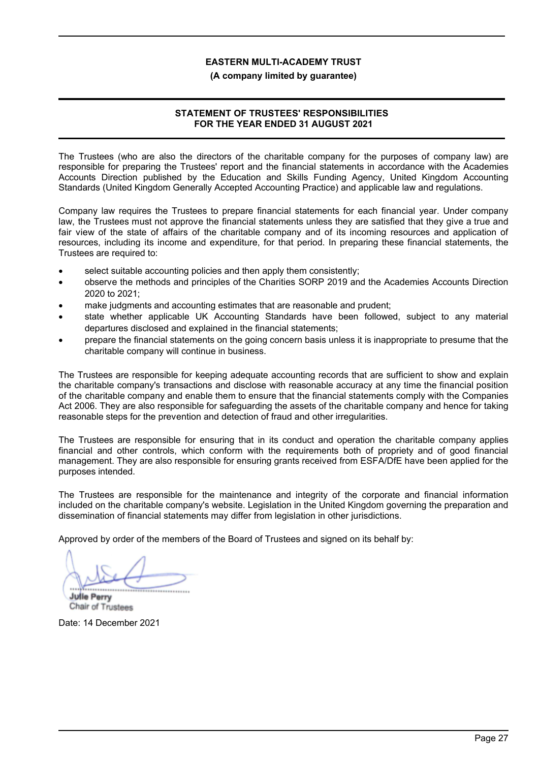## **(A company limited by guarantee)**

# **STATEMENT OF TRUSTEES' RESPONSIBILITIES FOR THE YEAR ENDED 31 AUGUST 2021**

The Trustees (who are also the directors of the charitable company for the purposes of company law) are responsible for preparing the Trustees' report and the financial statements in accordance with the Academies Accounts Direction published by the Education and Skills Funding Agency, United Kingdom Accounting Standards (United Kingdom Generally Accepted Accounting Practice) and applicable law and regulations.

Company law requires the Trustees to prepare financial statements for each financial year. Under company law, the Trustees must not approve the financial statements unless they are satisfied that they give a true and fair view of the state of affairs of the charitable company and of its incoming resources and application of resources, including its income and expenditure, for that period. In preparing these financial statements, the Trustees are required to:

- select suitable accounting policies and then apply them consistently;
- observe the methods and principles of the Charities SORP 2019 and the Academies Accounts Direction 2020 to 2021;
- make judgments and accounting estimates that are reasonable and prudent;
- state whether applicable UK Accounting Standards have been followed, subject to any material departures disclosed and explained in the financial statements;
- prepare the financial statements on the going concern basis unless it is inappropriate to presume that the charitable company will continue in business.

The Trustees are responsible for keeping adequate accounting records that are sufficient to show and explain the charitable company's transactions and disclose with reasonable accuracy at any time the financial position of the charitable company and enable them to ensure that the financial statements comply with the Companies Act 2006. They are also responsible for safeguarding the assets of the charitable company and hence for taking reasonable steps for the prevention and detection of fraud and other irregularities.

The Trustees are responsible for ensuring that in its conduct and operation the charitable company applies financial and other controls, which conform with the requirements both of propriety and of good financial management. They are also responsible for ensuring grants received from ESFA/DfE have been applied for the purposes intended.

The Trustees are responsible for the maintenance and integrity of the corporate and financial information included on the charitable company's website. Legislation in the United Kingdom governing the preparation and dissemination of financial statements may differ from legislation in other jurisdictions.

Approved by order of the members of the Board of Trustees and signed on its behalf by:

**Julie Perry** 

Chair of T Chair of Trustees

Date: 14 December 2021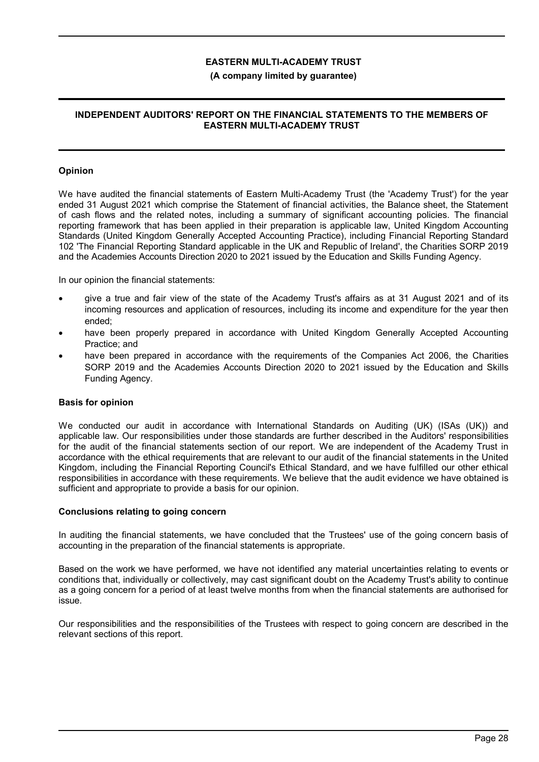### **(A company limited by guarantee)**

## **INDEPENDENT AUDITORS' REPORT ON THE FINANCIAL STATEMENTS TO THE MEMBERS OF EASTERN MULTI-ACADEMY TRUST**

### **Opinion**

We have audited the financial statements of Eastern Multi-Academy Trust (the 'Academy Trust') for the year ended 31 August 2021 which comprise the Statement of financial activities, the Balance sheet, the Statement of cash flows and the related notes, including a summary of significant accounting policies. The financial reporting framework that has been applied in their preparation is applicable law, United Kingdom Accounting Standards (United Kingdom Generally Accepted Accounting Practice), including Financial Reporting Standard 102 'The Financial Reporting Standard applicable in the UK and Republic of Ireland', the Charities SORP 2019 and the Academies Accounts Direction 2020 to 2021 issued by the Education and Skills Funding Agency.

In our opinion the financial statements:

- give a true and fair view of the state of the Academy Trust's affairs as at 31 August 2021 and of its incoming resources and application of resources, including its income and expenditure for the year then ended;
- have been properly prepared in accordance with United Kingdom Generally Accepted Accounting Practice; and
- have been prepared in accordance with the requirements of the Companies Act 2006, the Charities SORP 2019 and the Academies Accounts Direction 2020 to 2021 issued by the Education and Skills Funding Agency.

#### **Basis for opinion**

We conducted our audit in accordance with International Standards on Auditing (UK) (ISAs (UK)) and applicable law. Our responsibilities under those standards are further described in the Auditors' responsibilities for the audit of the financial statements section of our report. We are independent of the Academy Trust in accordance with the ethical requirements that are relevant to our audit of the financial statements in the United Kingdom, including the Financial Reporting Council's Ethical Standard, and we have fulfilled our other ethical responsibilities in accordance with these requirements. We believe that the audit evidence we have obtained is sufficient and appropriate to provide a basis for our opinion.

#### **Conclusions relating to going concern**

In auditing the financial statements, we have concluded that the Trustees' use of the going concern basis of accounting in the preparation of the financial statements is appropriate.

Based on the work we have performed, we have not identified any material uncertainties relating to events or conditions that, individually or collectively, may cast significant doubt on the Academy Trust's ability to continue as a going concern for a period of at least twelve months from when the financial statements are authorised for issue.

Our responsibilities and the responsibilities of the Trustees with respect to going concern are described in the relevant sections of this report.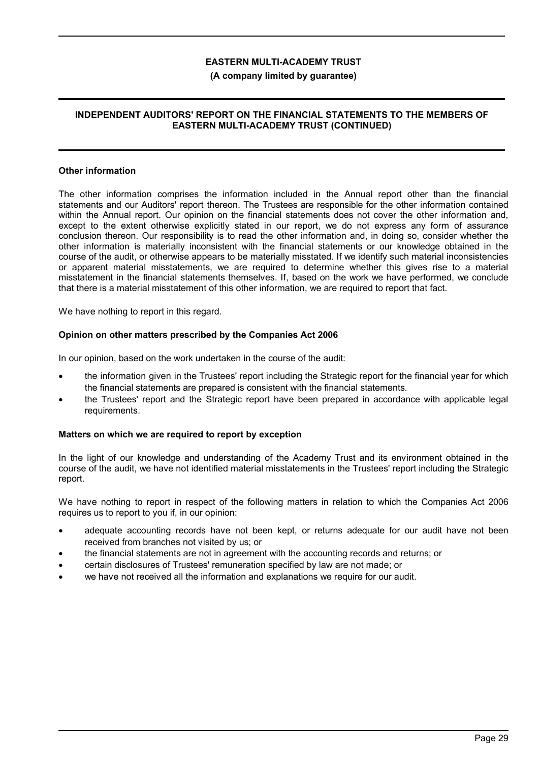### **(A company limited by guarantee)**

### **INDEPENDENT AUDITORS' REPORT ON THE FINANCIAL STATEMENTS TO THE MEMBERS OF EASTERN MULTI-ACADEMY TRUST (CONTINUED)**

#### **Other information**

The other information comprises the information included in the Annual report other than the financial statements and our Auditors' report thereon. The Trustees are responsible for the other information contained within the Annual report. Our opinion on the financial statements does not cover the other information and, except to the extent otherwise explicitly stated in our report, we do not express any form of assurance conclusion thereon. Our responsibility is to read the other information and, in doing so, consider whether the other information is materially inconsistent with the financial statements or our knowledge obtained in the course of the audit, or otherwise appears to be materially misstated. If we identify such material inconsistencies or apparent material misstatements, we are required to determine whether this gives rise to a material misstatement in the financial statements themselves. If, based on the work we have performed, we conclude that there is a material misstatement of this other information, we are required to report that fact.

We have nothing to report in this regard.

### **Opinion on other matters prescribed by the Companies Act 2006**

In our opinion, based on the work undertaken in the course of the audit:

- the information given in the Trustees' report including the Strategic report for the financial year for which the financial statements are prepared is consistent with the financial statements.
- the Trustees' report and the Strategic report have been prepared in accordance with applicable legal requirements.

## **Matters on which we are required to report by exception**

In the light of our knowledge and understanding of the Academy Trust and its environment obtained in the course of the audit, we have not identified material misstatements in the Trustees' report including the Strategic report.

We have nothing to report in respect of the following matters in relation to which the Companies Act 2006 requires us to report to you if, in our opinion:

- adequate accounting records have not been kept, or returns adequate for our audit have not been received from branches not visited by us; or
- the financial statements are not in agreement with the accounting records and returns; or
- certain disclosures of Trustees' remuneration specified by law are not made; or
- we have not received all the information and explanations we require for our audit.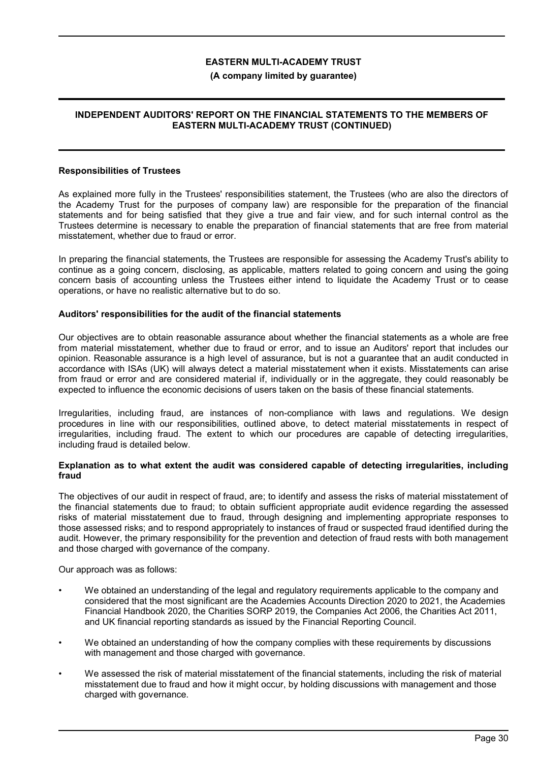### **(A company limited by guarantee)**

### **INDEPENDENT AUDITORS' REPORT ON THE FINANCIAL STATEMENTS TO THE MEMBERS OF EASTERN MULTI-ACADEMY TRUST (CONTINUED)**

#### **Responsibilities of Trustees**

As explained more fully in the Trustees' responsibilities statement, the Trustees (who are also the directors of the Academy Trust for the purposes of company law) are responsible for the preparation of the financial statements and for being satisfied that they give a true and fair view, and for such internal control as the Trustees determine is necessary to enable the preparation of financial statements that are free from material misstatement, whether due to fraud or error.

In preparing the financial statements, the Trustees are responsible for assessing the Academy Trust's ability to continue as a going concern, disclosing, as applicable, matters related to going concern and using the going concern basis of accounting unless the Trustees either intend to liquidate the Academy Trust or to cease operations, or have no realistic alternative but to do so.

#### **Auditors' responsibilities for the audit of the financial statements**

Our objectives are to obtain reasonable assurance about whether the financial statements as a whole are free from material misstatement, whether due to fraud or error, and to issue an Auditors' report that includes our opinion. Reasonable assurance is a high level of assurance, but is not a guarantee that an audit conducted in accordance with ISAs (UK) will always detect a material misstatement when it exists. Misstatements can arise from fraud or error and are considered material if, individually or in the aggregate, they could reasonably be expected to influence the economic decisions of users taken on the basis of these financial statements.

Irregularities, including fraud, are instances of non-compliance with laws and regulations. We design procedures in line with our responsibilities, outlined above, to detect material misstatements in respect of irregularities, including fraud. The extent to which our procedures are capable of detecting irregularities, including fraud is detailed below.

#### **Explanation as to what extent the audit was considered capable of detecting irregularities, including fraud**

The objectives of our audit in respect of fraud, are; to identify and assess the risks of material misstatement of the financial statements due to fraud; to obtain sufficient appropriate audit evidence regarding the assessed risks of material misstatement due to fraud, through designing and implementing appropriate responses to those assessed risks; and to respond appropriately to instances of fraud or suspected fraud identified during the audit. However, the primary responsibility for the prevention and detection of fraud rests with both management and those charged with governance of the company.

Our approach was as follows:

- We obtained an understanding of the legal and regulatory requirements applicable to the company and considered that the most significant are the Academies Accounts Direction 2020 to 2021, the Academies Financial Handbook 2020, the Charities SORP 2019, the Companies Act 2006, the Charities Act 2011, and UK financial reporting standards as issued by the Financial Reporting Council.
- We obtained an understanding of how the company complies with these requirements by discussions with management and those charged with governance.
- We assessed the risk of material misstatement of the financial statements, including the risk of material misstatement due to fraud and how it might occur, by holding discussions with management and those charged with governance.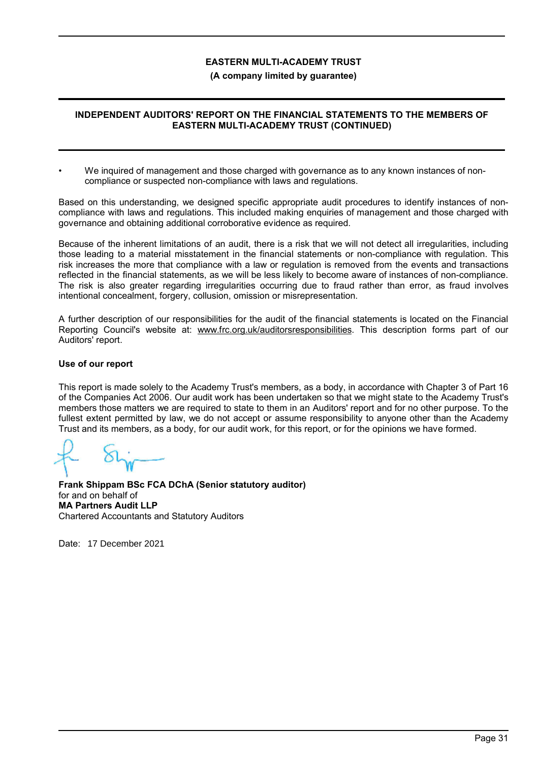### **(A company limited by guarantee)**

## **INDEPENDENT AUDITORS' REPORT ON THE FINANCIAL STATEMENTS TO THE MEMBERS OF EASTERN MULTI-ACADEMY TRUST (CONTINUED)**

• We inquired of management and those charged with governance as to any known instances of noncompliance or suspected non-compliance with laws and regulations.

Based on this understanding, we designed specific appropriate audit procedures to identify instances of noncompliance with laws and regulations. This included making enquiries of management and those charged with governance and obtaining additional corroborative evidence as required.

Because of the inherent limitations of an audit, there is a risk that we will not detect all irregularities, including those leading to a material misstatement in the financial statements or non-compliance with regulation. This risk increases the more that compliance with a law or regulation is removed from the events and transactions reflected in the financial statements, as we will be less likely to become aware of instances of non-compliance. The risk is also greater regarding irregularities occurring due to fraud rather than error, as fraud involves intentional concealment, forgery, collusion, omission or misrepresentation.

A further description of our responsibilities for the audit of the financial statements is located on the Financial Reporting Council's website at: www.frc.org.uk/auditorsresponsibilities. This description forms part of our Auditors' report.

### **Use of our report**

This report is made solely to the Academy Trust's members, as a body, in accordance with Chapter 3 of Part 16 of the Companies Act 2006. Our audit work has been undertaken so that we might state to the Academy Trust's members those matters we are required to state to them in an Auditors' report and for no other purpose. To the fullest extent permitted by law, we do not accept or assume responsibility to anyone other than the Academy Trust and its members, as a body, for our audit work, for this report, or for the opinions we have formed.

**Frank Shippam BSc FCA DChA (Senior statutory auditor)** for and on behalf of **MA Partners Audit LLP** Chartered Accountants and Statutory Auditors

Date: 17 December 2021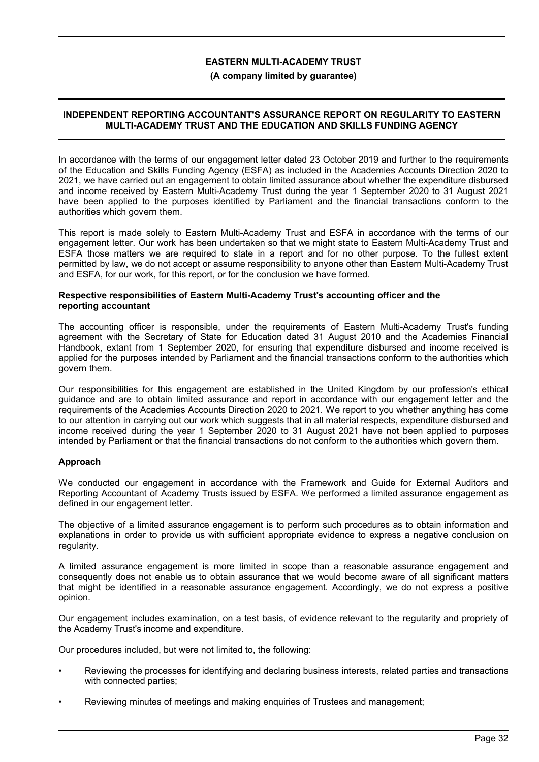#### **(A company limited by guarantee)**

### **INDEPENDENT REPORTING ACCOUNTANT'S ASSURANCE REPORT ON REGULARITY TO EASTERN MULTI-ACADEMY TRUST AND THE EDUCATION AND SKILLS FUNDING AGENCY**

In accordance with the terms of our engagement letter dated 23 October 2019 and further to the requirements of the Education and Skills Funding Agency (ESFA) as included in the Academies Accounts Direction 2020 to 2021, we have carried out an engagement to obtain limited assurance about whether the expenditure disbursed and income received by Eastern Multi-Academy Trust during the year 1 September 2020 to 31 August 2021 have been applied to the purposes identified by Parliament and the financial transactions conform to the authorities which govern them.

This report is made solely to Eastern Multi-Academy Trust and ESFA in accordance with the terms of our engagement letter. Our work has been undertaken so that we might state to Eastern Multi-Academy Trust and ESFA those matters we are required to state in a report and for no other purpose. To the fullest extent permitted by law, we do not accept or assume responsibility to anyone other than Eastern Multi-Academy Trust and ESFA, for our work, for this report, or for the conclusion we have formed.

#### **Respective responsibilities of Eastern Multi-Academy Trust's accounting officer and the reporting accountant**

The accounting officer is responsible, under the requirements of Eastern Multi-Academy Trust's funding agreement with the Secretary of State for Education dated 31 August 2010 and the Academies Financial Handbook, extant from 1 September 2020, for ensuring that expenditure disbursed and income received is applied for the purposes intended by Parliament and the financial transactions conform to the authorities which govern them.

Our responsibilities for this engagement are established in the United Kingdom by our profession's ethical guidance and are to obtain limited assurance and report in accordance with our engagement letter and the requirements of the Academies Accounts Direction 2020 to 2021. We report to you whether anything has come to our attention in carrying out our work which suggests that in all material respects, expenditure disbursed and income received during the year 1 September 2020 to 31 August 2021 have not been applied to purposes intended by Parliament or that the financial transactions do not conform to the authorities which govern them.

## **Approach**

We conducted our engagement in accordance with the Framework and Guide for External Auditors and Reporting Accountant of Academy Trusts issued by ESFA. We performed a limited assurance engagement as defined in our engagement letter.

The objective of a limited assurance engagement is to perform such procedures as to obtain information and explanations in order to provide us with sufficient appropriate evidence to express a negative conclusion on regularity.

A limited assurance engagement is more limited in scope than a reasonable assurance engagement and consequently does not enable us to obtain assurance that we would become aware of all significant matters that might be identified in a reasonable assurance engagement. Accordingly, we do not express a positive opinion.

Our engagement includes examination, on a test basis, of evidence relevant to the regularity and propriety of the Academy Trust's income and expenditure.

Our procedures included, but were not limited to, the following:

- Reviewing the processes for identifying and declaring business interests, related parties and transactions with connected parties;
- Reviewing minutes of meetings and making enquiries of Trustees and management;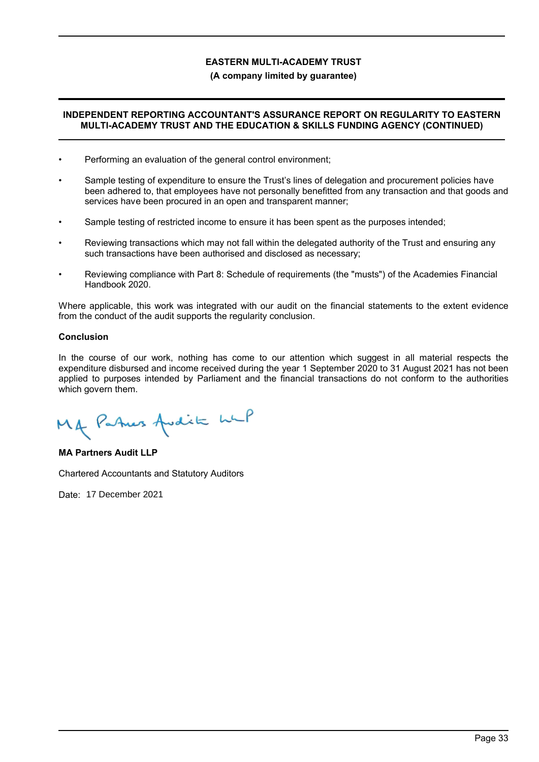## **(A company limited by guarantee)**

## **INDEPENDENT REPORTING ACCOUNTANT'S ASSURANCE REPORT ON REGULARITY TO EASTERN MULTI-ACADEMY TRUST AND THE EDUCATION & SKILLS FUNDING AGENCY (CONTINUED)**

- Performing an evaluation of the general control environment;
- Sample testing of expenditure to ensure the Trust's lines of delegation and procurement policies have been adhered to, that employees have not personally benefitted from any transaction and that goods and services have been procured in an open and transparent manner;
- Sample testing of restricted income to ensure it has been spent as the purposes intended;
- Reviewing transactions which may not fall within the delegated authority of the Trust and ensuring any such transactions have been authorised and disclosed as necessary;
- Reviewing compliance with Part 8: Schedule of requirements (the "musts") of the Academies Financial Handbook 2020.

Where applicable, this work was integrated with our audit on the financial statements to the extent evidence from the conduct of the audit supports the regularity conclusion.

## **Conclusion**

In the course of our work, nothing has come to our attention which suggest in all material respects the expenditure disbursed and income received during the year 1 September 2020 to 31 August 2021 has not been applied to purposes intended by Parliament and the financial transactions do not conform to the authorities which govern them.

Mg Patres Avdit wil

**MA Partners Audit LLP**

Chartered Accountants and Statutory Auditors

Date: 17 December 2021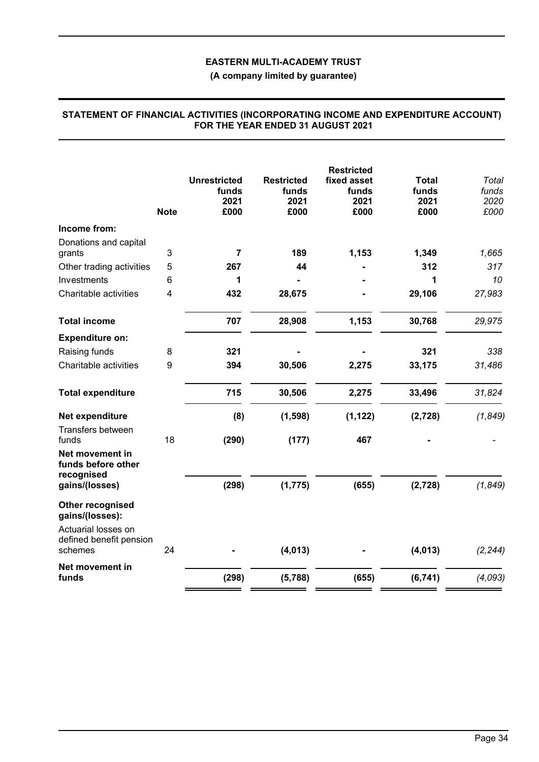**(A company limited by guarantee)**

|                                                                       | <b>Note</b> | <b>Unrestricted</b><br>funds<br>2021<br>£000 | <b>Restricted</b><br>funds<br>2021<br>£000 | <b>Restricted</b><br>fixed asset<br>funds<br>2021<br>£000 | <b>Total</b><br>funds<br>2021<br>£000 | Total<br>funds<br>2020<br>£000 |
|-----------------------------------------------------------------------|-------------|----------------------------------------------|--------------------------------------------|-----------------------------------------------------------|---------------------------------------|--------------------------------|
| Income from:                                                          |             |                                              |                                            |                                                           |                                       |                                |
| Donations and capital<br>grants                                       | 3           | 7                                            | 189                                        | 1,153                                                     | 1,349                                 | 1,665                          |
| Other trading activities                                              | 5           | 267                                          | 44                                         |                                                           | 312                                   | 317                            |
| Investments                                                           | 6           | 1                                            |                                            |                                                           | 1                                     | 10                             |
| Charitable activities                                                 | 4           | 432                                          | 28,675                                     |                                                           | 29,106                                | 27,983                         |
| <b>Total income</b>                                                   |             | 707                                          | 28,908                                     | 1,153                                                     | 30,768                                | 29,975                         |
| <b>Expenditure on:</b>                                                |             |                                              |                                            |                                                           |                                       |                                |
| Raising funds                                                         | 8           | 321                                          |                                            |                                                           | 321                                   | 338                            |
| Charitable activities                                                 | 9           | 394                                          | 30,506                                     | 2,275                                                     | 33,175                                | 31,486                         |
| <b>Total expenditure</b>                                              |             | 715                                          | 30,506                                     | 2,275                                                     | 33,496                                | 31,824                         |
| Net expenditure                                                       |             | (8)                                          | (1, 598)                                   | (1, 122)                                                  | (2, 728)                              | (1, 849)                       |
| Transfers between<br>funds                                            | 18          | (290)                                        | (177)                                      | 467                                                       |                                       |                                |
| Net movement in<br>funds before other<br>recognised<br>gains/(losses) |             | (298)                                        | (1, 775)                                   | (655)                                                     | (2, 728)                              | (1, 849)                       |
| Other recognised<br>gains/(losses):<br>Actuarial losses on            |             |                                              |                                            |                                                           |                                       |                                |
| defined benefit pension<br>schemes                                    | 24          |                                              | (4, 013)                                   |                                                           | (4, 013)                              | (2, 244)                       |
| Net movement in<br>funds                                              |             | (298)                                        | (5,788)                                    | (655)                                                     | (6, 741)                              | (4,093)                        |

### **STATEMENT OF FINANCIAL ACTIVITIES (INCORPORATING INCOME AND EXPENDITURE ACCOUNT) FOR THE YEAR ENDED 31 AUGUST 2021**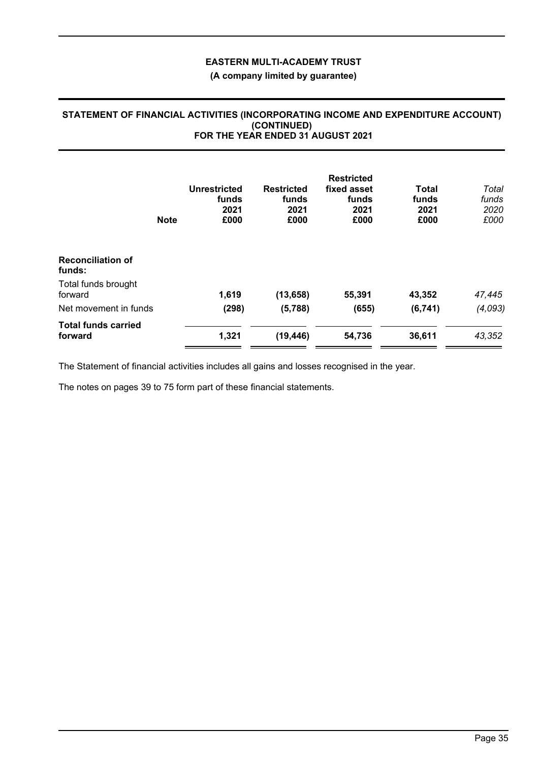# **(A company limited by guarantee)**

### **STATEMENT OF FINANCIAL ACTIVITIES (INCORPORATING INCOME AND EXPENDITURE ACCOUNT) (CONTINUED) FOR THE YEAR ENDED 31 AUGUST 2021**

|                                       | <b>Note</b> | Unrestricted<br>funds<br>2021<br>£000 | <b>Restricted</b><br>funds<br>2021<br>£000 | <b>Restricted</b><br>fixed asset<br>funds<br>2021<br>£000 | <b>Total</b><br>funds<br>2021<br>£000 | Total<br>funds<br>2020<br>£000 |
|---------------------------------------|-------------|---------------------------------------|--------------------------------------------|-----------------------------------------------------------|---------------------------------------|--------------------------------|
| <b>Reconciliation of</b><br>funds:    |             |                                       |                                            |                                                           |                                       |                                |
| Total funds brought<br>forward        |             | 1,619                                 | (13, 658)                                  | 55,391                                                    | 43,352                                | 47,445                         |
| Net movement in funds                 |             | (298)                                 | (5,788)                                    | (655)                                                     | (6, 741)                              | (4,093)                        |
| <b>Total funds carried</b><br>forward |             | 1,321                                 | (19, 446)                                  | 54,736                                                    | 36,611                                | 43,352                         |

The Statement of financial activities includes all gains and losses recognised in the year.

The notes on pages 39 to 75 form part of these financial statements.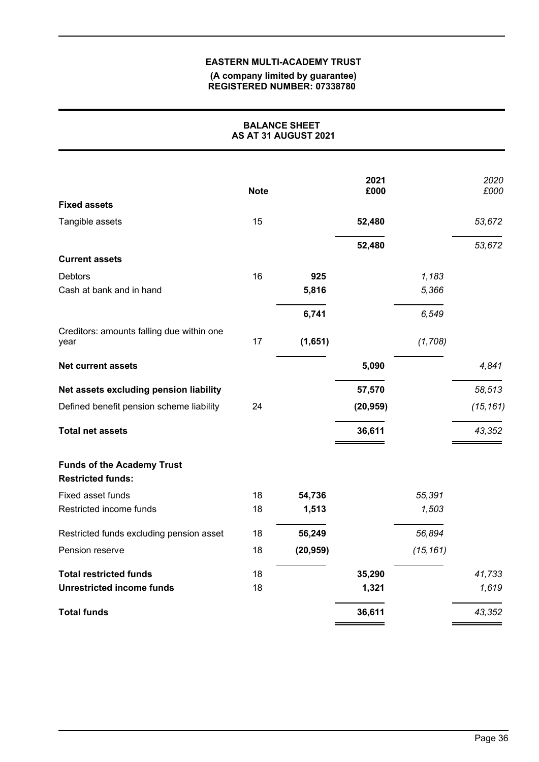#### **(A company limited by guarantee) REGISTERED NUMBER: 07338780**

| <b>BALANCE SHEET</b><br>AS AT 31 AUGUST 2021                  |             |           |              |           |              |
|---------------------------------------------------------------|-------------|-----------|--------------|-----------|--------------|
| <b>Fixed assets</b>                                           | <b>Note</b> |           | 2021<br>£000 |           | 2020<br>£000 |
| Tangible assets                                               | 15          |           | 52,480       |           | 53,672       |
|                                                               |             |           | 52,480       |           | 53,672       |
| <b>Current assets</b>                                         |             |           |              |           |              |
| <b>Debtors</b>                                                | 16          | 925       |              | 1,183     |              |
| Cash at bank and in hand                                      |             | 5,816     |              | 5,366     |              |
|                                                               |             | 6,741     |              | 6,549     |              |
| Creditors: amounts falling due within one<br>year             | 17          | (1,651)   |              | (1,708)   |              |
| <b>Net current assets</b>                                     |             |           | 5,090        |           | 4,841        |
| Net assets excluding pension liability                        |             |           | 57,570       |           | 58,513       |
| Defined benefit pension scheme liability                      | 24          |           | (20, 959)    |           | (15, 161)    |
| <b>Total net assets</b>                                       |             |           | 36,611       |           | 43,352       |
| <b>Funds of the Academy Trust</b><br><b>Restricted funds:</b> |             |           |              |           |              |
| Fixed asset funds                                             | 18          | 54,736    |              | 55,391    |              |
| Restricted income funds                                       | 18          | 1,513     |              | 1,503     |              |
| Restricted funds excluding pension asset                      | 18          | 56,249    |              | 56,894    |              |
| Pension reserve                                               | 18          | (20, 959) |              | (15, 161) |              |
| <b>Total restricted funds</b>                                 | 18          |           | 35,290       |           | 41,733       |
| <b>Unrestricted income funds</b>                              | 18          |           | 1,321        |           | 1,619        |
| <b>Total funds</b>                                            |             |           | 36,611       |           | 43,352       |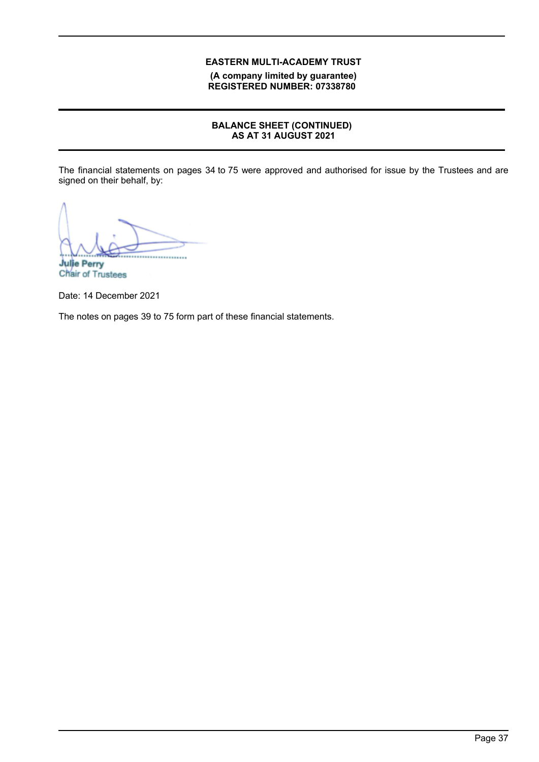**(A company limited by guarantee) REGISTERED NUMBER: 07338780**

# **BALANCE SHEET (CONTINUED) AS AT 31 AUGUST 2021**

The financial statements on pages 34 to 75 were approved and authorised for issue by the Trustees and are signed on their behalf, by:

................................................ **Julie Perry**

Chair of Trustees

Date: 14 December 2021

The notes on pages 39 to 75 form part of these financial statements.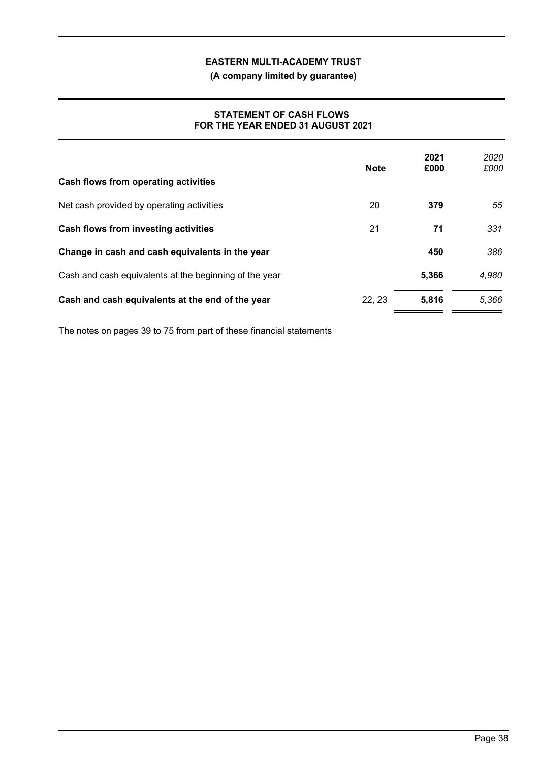**(A company limited by guarantee)**

## **STATEMENT OF CASH FLOWS FOR THE YEAR ENDED 31 AUGUST 2021**

| Cash flows from operating activities                   | <b>Note</b> | 2021<br>£000 | 2020<br>£000 |
|--------------------------------------------------------|-------------|--------------|--------------|
| Net cash provided by operating activities              | 20          | 379          | 55           |
| Cash flows from investing activities                   | 21          | 71           | 331          |
| Change in cash and cash equivalents in the year        |             | 450          | 386          |
| Cash and cash equivalents at the beginning of the year |             | 5,366        | 4,980        |
| Cash and cash equivalents at the end of the year       | 22, 23      | 5,816        | 5.366        |

The notes on pages 39 to 75 from part of these financial statements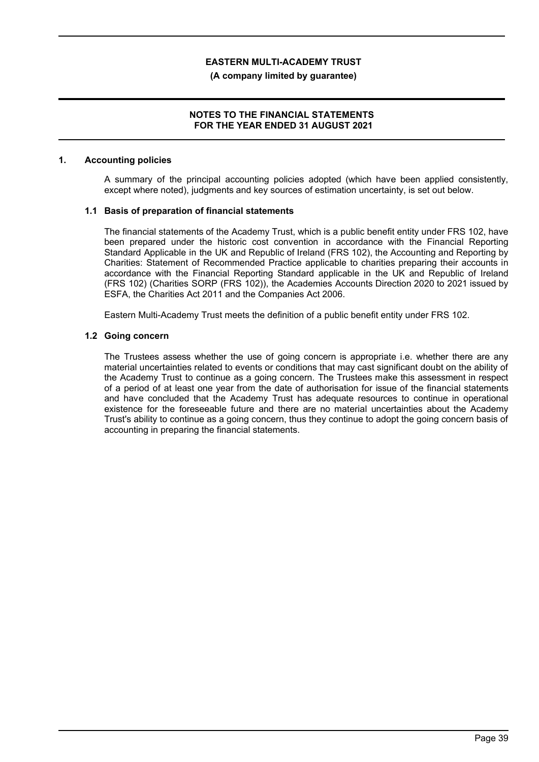#### **(A company limited by guarantee)**

### **NOTES TO THE FINANCIAL STATEMENTS FOR THE YEAR ENDED 31 AUGUST 2021**

#### **1. Accounting policies**

A summary of the principal accounting policies adopted (which have been applied consistently, except where noted), judgments and key sources of estimation uncertainty, is set out below.

#### **1.1 Basis of preparation of financial statements**

The financial statements of the Academy Trust, which is a public benefit entity under FRS 102, have been prepared under the historic cost convention in accordance with the Financial Reporting Standard Applicable in the UK and Republic of Ireland (FRS 102), the Accounting and Reporting by Charities: Statement of Recommended Practice applicable to charities preparing their accounts in accordance with the Financial Reporting Standard applicable in the UK and Republic of Ireland (FRS 102) (Charities SORP (FRS 102)), the Academies Accounts Direction 2020 to 2021 issued by ESFA, the Charities Act 2011 and the Companies Act 2006.

Eastern Multi-Academy Trust meets the definition of a public benefit entity under FRS 102.

#### **1.2 Going concern**

The Trustees assess whether the use of going concern is appropriate i.e. whether there are any material uncertainties related to events or conditions that may cast significant doubt on the ability of the Academy Trust to continue as a going concern. The Trustees make this assessment in respect of a period of at least one year from the date of authorisation for issue of the financial statements and have concluded that the Academy Trust has adequate resources to continue in operational existence for the foreseeable future and there are no material uncertainties about the Academy Trust's ability to continue as a going concern, thus they continue to adopt the going concern basis of accounting in preparing the financial statements.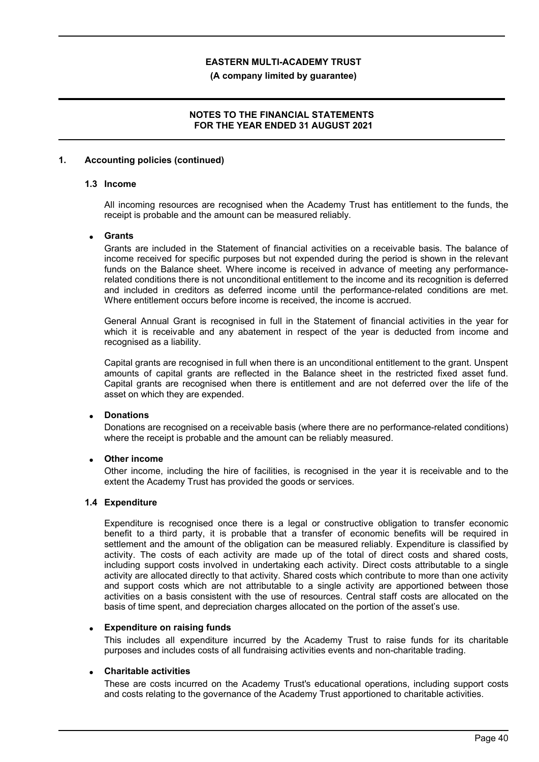#### **(A company limited by guarantee)**

### **NOTES TO THE FINANCIAL STATEMENTS FOR THE YEAR ENDED 31 AUGUST 2021**

#### **1. Accounting policies (continued)**

### **1.3 Income**

All incoming resources are recognised when the Academy Trust has entitlement to the funds, the receipt is probable and the amount can be measured reliably.

#### **Grants**

Grants are included in the Statement of financial activities on a receivable basis. The balance of income received for specific purposes but not expended during the period is shown in the relevant funds on the Balance sheet. Where income is received in advance of meeting any performancerelated conditions there is not unconditional entitlement to the income and its recognition is deferred and included in creditors as deferred income until the performance-related conditions are met. Where entitlement occurs before income is received, the income is accrued.

General Annual Grant is recognised in full in the Statement of financial activities in the year for which it is receivable and any abatement in respect of the year is deducted from income and recognised as a liability.

Capital grants are recognised in full when there is an unconditional entitlement to the grant. Unspent amounts of capital grants are reflected in the Balance sheet in the restricted fixed asset fund. Capital grants are recognised when there is entitlement and are not deferred over the life of the asset on which they are expended.

## **Donations**

Donations are recognised on a receivable basis (where there are no performance-related conditions) where the receipt is probable and the amount can be reliably measured.

### **Other income**

Other income, including the hire of facilities, is recognised in the year it is receivable and to the extent the Academy Trust has provided the goods or services.

#### **1.4 Expenditure**

Expenditure is recognised once there is a legal or constructive obligation to transfer economic benefit to a third party, it is probable that a transfer of economic benefits will be required in settlement and the amount of the obligation can be measured reliably. Expenditure is classified by activity. The costs of each activity are made up of the total of direct costs and shared costs, including support costs involved in undertaking each activity. Direct costs attributable to a single activity are allocated directly to that activity. Shared costs which contribute to more than one activity and support costs which are not attributable to a single activity are apportioned between those activities on a basis consistent with the use of resources. Central staff costs are allocated on the basis of time spent, and depreciation charges allocated on the portion of the asset's use.

### **Expenditure on raising funds**

This includes all expenditure incurred by the Academy Trust to raise funds for its charitable purposes and includes costs of all fundraising activities events and non-charitable trading.

### **Charitable activities**

These are costs incurred on the Academy Trust's educational operations, including support costs and costs relating to the governance of the Academy Trust apportioned to charitable activities.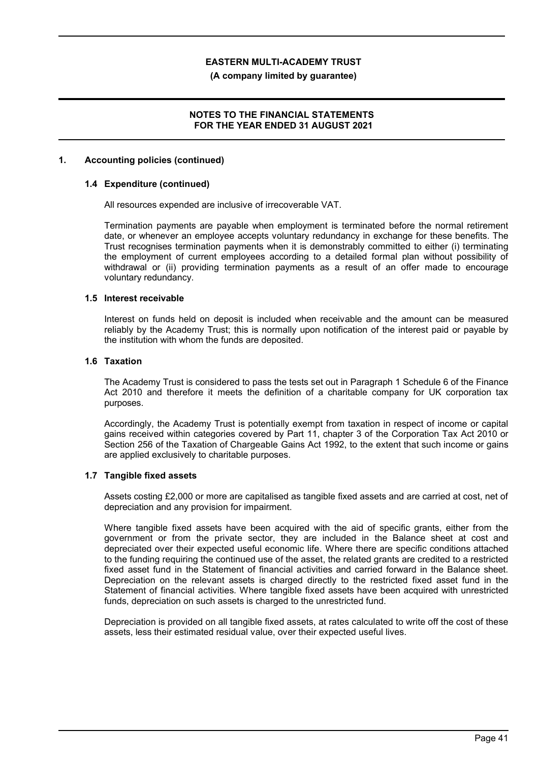**(A company limited by guarantee)**

### **NOTES TO THE FINANCIAL STATEMENTS FOR THE YEAR ENDED 31 AUGUST 2021**

#### **1. Accounting policies (continued)**

### **1.4 Expenditure (continued)**

All resources expended are inclusive of irrecoverable VAT.

Termination payments are payable when employment is terminated before the normal retirement date, or whenever an employee accepts voluntary redundancy in exchange for these benefits. The Trust recognises termination payments when it is demonstrably committed to either (i) terminating the employment of current employees according to a detailed formal plan without possibility of withdrawal or (ii) providing termination payments as a result of an offer made to encourage voluntary redundancy.

#### **1.5 Interest receivable**

Interest on funds held on deposit is included when receivable and the amount can be measured reliably by the Academy Trust; this is normally upon notification of the interest paid or payable by the institution with whom the funds are deposited.

#### **1.6 Taxation**

The Academy Trust is considered to pass the tests set out in Paragraph 1 Schedule 6 of the Finance Act 2010 and therefore it meets the definition of a charitable company for UK corporation tax purposes.

Accordingly, the Academy Trust is potentially exempt from taxation in respect of income or capital gains received within categories covered by Part 11, chapter 3 of the Corporation Tax Act 2010 or Section 256 of the Taxation of Chargeable Gains Act 1992, to the extent that such income or gains are applied exclusively to charitable purposes.

#### **1.7 Tangible fixed assets**

Assets costing £2,000 or more are capitalised as tangible fixed assets and are carried at cost, net of depreciation and any provision for impairment.

Where tangible fixed assets have been acquired with the aid of specific grants, either from the government or from the private sector, they are included in the Balance sheet at cost and depreciated over their expected useful economic life. Where there are specific conditions attached to the funding requiring the continued use of the asset, the related grants are credited to a restricted fixed asset fund in the Statement of financial activities and carried forward in the Balance sheet. Depreciation on the relevant assets is charged directly to the restricted fixed asset fund in the Statement of financial activities. Where tangible fixed assets have been acquired with unrestricted funds, depreciation on such assets is charged to the unrestricted fund.

Depreciation is provided on all tangible fixed assets, at rates calculated to write off the cost of these assets, less their estimated residual value, over their expected useful lives.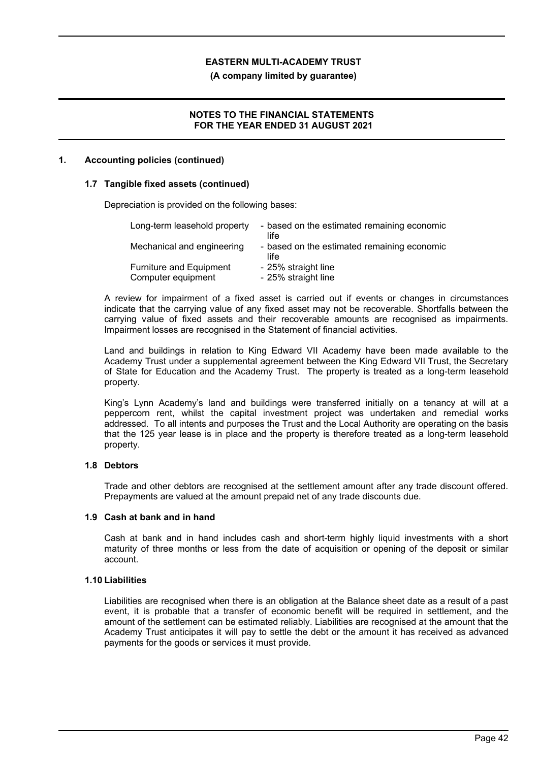**(A company limited by guarantee)**

### **NOTES TO THE FINANCIAL STATEMENTS FOR THE YEAR ENDED 31 AUGUST 2021**

#### **1. Accounting policies (continued)**

#### **1.7 Tangible fixed assets (continued)**

Depreciation is provided on the following bases:

| Long-term leasehold property                         | - based on the estimated remaining economic<br>life |
|------------------------------------------------------|-----------------------------------------------------|
| Mechanical and engineering                           | - based on the estimated remaining economic<br>life |
| <b>Furniture and Equipment</b><br>Computer equipment | - 25% straight line<br>- 25% straight line          |

A review for impairment of a fixed asset is carried out if events or changes in circumstances indicate that the carrying value of any fixed asset may not be recoverable. Shortfalls between the carrying value of fixed assets and their recoverable amounts are recognised as impairments. Impairment losses are recognised in the Statement of financial activities.

Land and buildings in relation to King Edward VII Academy have been made available to the Academy Trust under a supplemental agreement between the King Edward VII Trust, the Secretary of State for Education and the Academy Trust. The property is treated as a long-term leasehold property.

King's Lynn Academy's land and buildings were transferred initially on a tenancy at will at a peppercorn rent, whilst the capital investment project was undertaken and remedial works addressed. To all intents and purposes the Trust and the Local Authority are operating on the basis that the 125 year lease is in place and the property is therefore treated as a long-term leasehold property.

### **1.8 Debtors**

Trade and other debtors are recognised at the settlement amount after any trade discount offered. Prepayments are valued at the amount prepaid net of any trade discounts due.

#### **1.9 Cash at bank and in hand**

Cash at bank and in hand includes cash and short-term highly liquid investments with a short maturity of three months or less from the date of acquisition or opening of the deposit or similar account.

#### **1.10 Liabilities**

Liabilities are recognised when there is an obligation at the Balance sheet date as a result of a past event, it is probable that a transfer of economic benefit will be required in settlement, and the amount of the settlement can be estimated reliably. Liabilities are recognised at the amount that the Academy Trust anticipates it will pay to settle the debt or the amount it has received as advanced payments for the goods or services it must provide.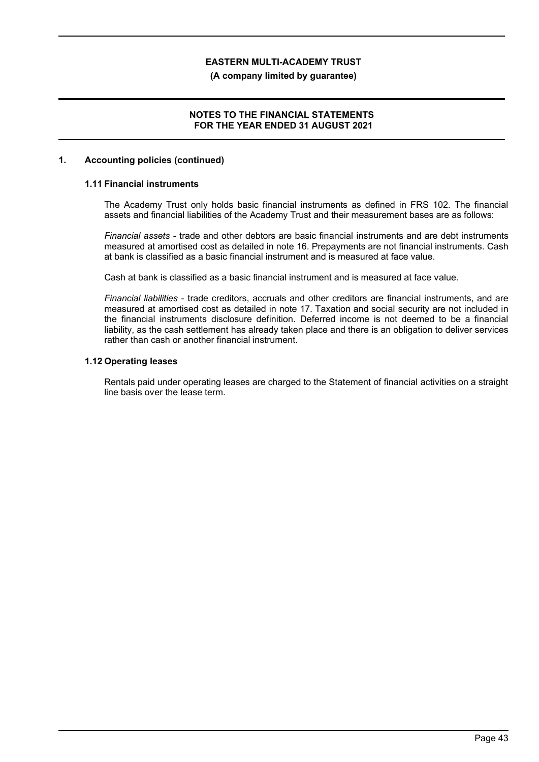#### **(A company limited by guarantee)**

### **NOTES TO THE FINANCIAL STATEMENTS FOR THE YEAR ENDED 31 AUGUST 2021**

#### **1. Accounting policies (continued)**

## **1.11 Financial instruments**

The Academy Trust only holds basic financial instruments as defined in FRS 102. The financial assets and financial liabilities of the Academy Trust and their measurement bases are as follows:

*Financial assets* - trade and other debtors are basic financial instruments and are debt instruments measured at amortised cost as detailed in note 16. Prepayments are not financial instruments. Cash at bank is classified as a basic financial instrument and is measured at face value.

Cash at bank is classified as a basic financial instrument and is measured at face value.

*Financial liabilities* - trade creditors, accruals and other creditors are financial instruments, and are measured at amortised cost as detailed in note 17. Taxation and social security are not included in the financial instruments disclosure definition. Deferred income is not deemed to be a financial liability, as the cash settlement has already taken place and there is an obligation to deliver services rather than cash or another financial instrument.

### **1.12 Operating leases**

Rentals paid under operating leases are charged to the Statement of financial activities on a straight line basis over the lease term.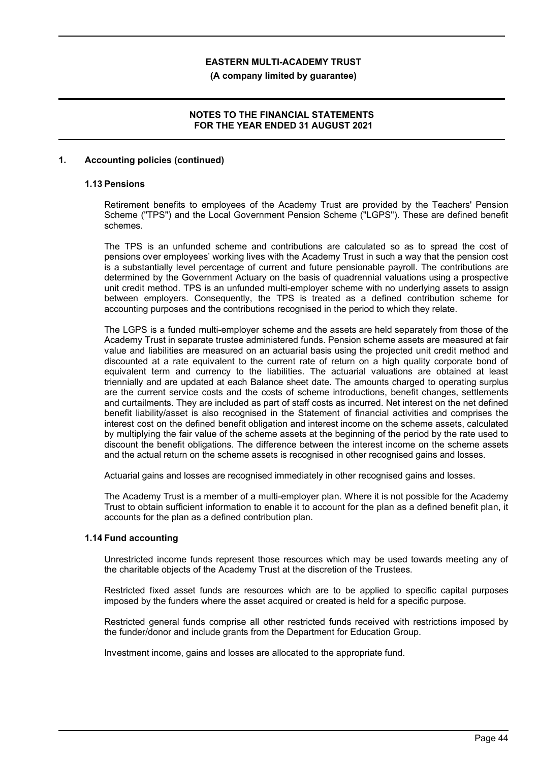**(A company limited by guarantee)**

### **NOTES TO THE FINANCIAL STATEMENTS FOR THE YEAR ENDED 31 AUGUST 2021**

#### **1. Accounting policies (continued)**

### **1.13 Pensions**

Retirement benefits to employees of the Academy Trust are provided by the Teachers' Pension Scheme ("TPS") and the Local Government Pension Scheme ("LGPS"). These are defined benefit schemes.

The TPS is an unfunded scheme and contributions are calculated so as to spread the cost of pensions over employees' working lives with the Academy Trust in such a way that the pension cost is a substantially level percentage of current and future pensionable payroll. The contributions are determined by the Government Actuary on the basis of quadrennial valuations using a prospective unit credit method. TPS is an unfunded multi-employer scheme with no underlying assets to assign between employers. Consequently, the TPS is treated as a defined contribution scheme for accounting purposes and the contributions recognised in the period to which they relate.

The LGPS is a funded multi-employer scheme and the assets are held separately from those of the Academy Trust in separate trustee administered funds. Pension scheme assets are measured at fair value and liabilities are measured on an actuarial basis using the projected unit credit method and discounted at a rate equivalent to the current rate of return on a high quality corporate bond of equivalent term and currency to the liabilities. The actuarial valuations are obtained at least triennially and are updated at each Balance sheet date. The amounts charged to operating surplus are the current service costs and the costs of scheme introductions, benefit changes, settlements and curtailments. They are included as part of staff costs as incurred. Net interest on the net defined benefit liability/asset is also recognised in the Statement of financial activities and comprises the interest cost on the defined benefit obligation and interest income on the scheme assets, calculated by multiplying the fair value of the scheme assets at the beginning of the period by the rate used to discount the benefit obligations. The difference between the interest income on the scheme assets and the actual return on the scheme assets is recognised in other recognised gains and losses.

Actuarial gains and losses are recognised immediately in other recognised gains and losses.

The Academy Trust is a member of a multi-employer plan. Where it is not possible for the Academy Trust to obtain sufficient information to enable it to account for the plan as a defined benefit plan, it accounts for the plan as a defined contribution plan.

#### **1.14 Fund accounting**

Unrestricted income funds represent those resources which may be used towards meeting any of the charitable objects of the Academy Trust at the discretion of the Trustees.

Restricted fixed asset funds are resources which are to be applied to specific capital purposes imposed by the funders where the asset acquired or created is held for a specific purpose.

Restricted general funds comprise all other restricted funds received with restrictions imposed by the funder/donor and include grants from the Department for Education Group.

Investment income, gains and losses are allocated to the appropriate fund.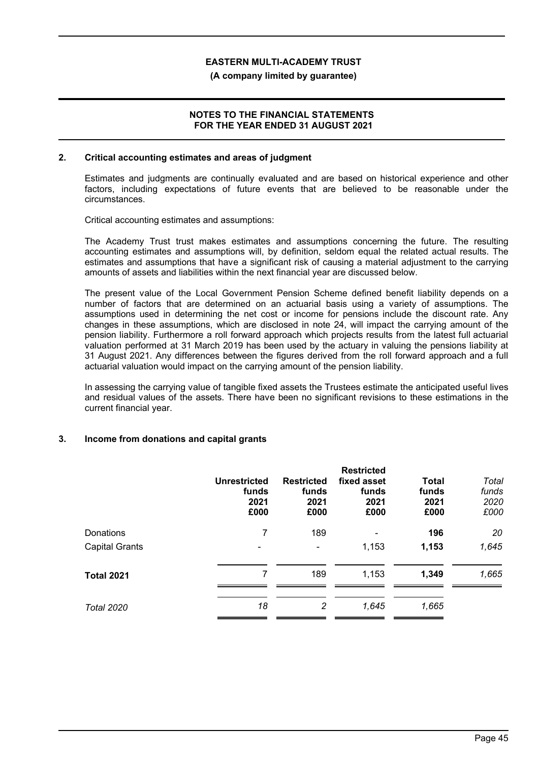#### **(A company limited by guarantee)**

### **NOTES TO THE FINANCIAL STATEMENTS FOR THE YEAR ENDED 31 AUGUST 2021**

#### **2. Critical accounting estimates and areas of judgment**

Estimates and judgments are continually evaluated and are based on historical experience and other factors, including expectations of future events that are believed to be reasonable under the circumstances.

Critical accounting estimates and assumptions:

The Academy Trust trust makes estimates and assumptions concerning the future. The resulting accounting estimates and assumptions will, by definition, seldom equal the related actual results. The estimates and assumptions that have a significant risk of causing a material adjustment to the carrying amounts of assets and liabilities within the next financial year are discussed below.

The present value of the Local Government Pension Scheme defined benefit liability depends on a number of factors that are determined on an actuarial basis using a variety of assumptions. The assumptions used in determining the net cost or income for pensions include the discount rate. Any changes in these assumptions, which are disclosed in note 24, will impact the carrying amount of the pension liability. Furthermore a roll forward approach which projects results from the latest full actuarial valuation performed at 31 March 2019 has been used by the actuary in valuing the pensions liability at 31 August 2021. Any differences between the figures derived from the roll forward approach and a full actuarial valuation would impact on the carrying amount of the pension liability.

In assessing the carrying value of tangible fixed assets the Trustees estimate the anticipated useful lives and residual values of the assets. There have been no significant revisions to these estimations in the current financial year.

### **3. Income from donations and capital grants**

|                       | <b>Unrestricted</b><br>funds<br>2021<br>£000 | <b>Restricted</b><br>funds<br>2021<br>£000 | <b>Restricted</b><br>fixed asset<br>funds<br>2021<br>£000 | Total<br>funds<br>2021<br>£000 | Total<br>funds<br>2020<br>£000 |
|-----------------------|----------------------------------------------|--------------------------------------------|-----------------------------------------------------------|--------------------------------|--------------------------------|
| Donations             | 7                                            | 189                                        | ۰                                                         | 196                            | 20                             |
| <b>Capital Grants</b> |                                              | $\blacksquare$                             | 1,153                                                     | 1,153                          | 1,645                          |
| <b>Total 2021</b>     | 7                                            | 189                                        | 1,153                                                     | 1,349                          | 1,665                          |
| <b>Total 2020</b>     | 18                                           | 2                                          | 1,645                                                     | 1,665                          |                                |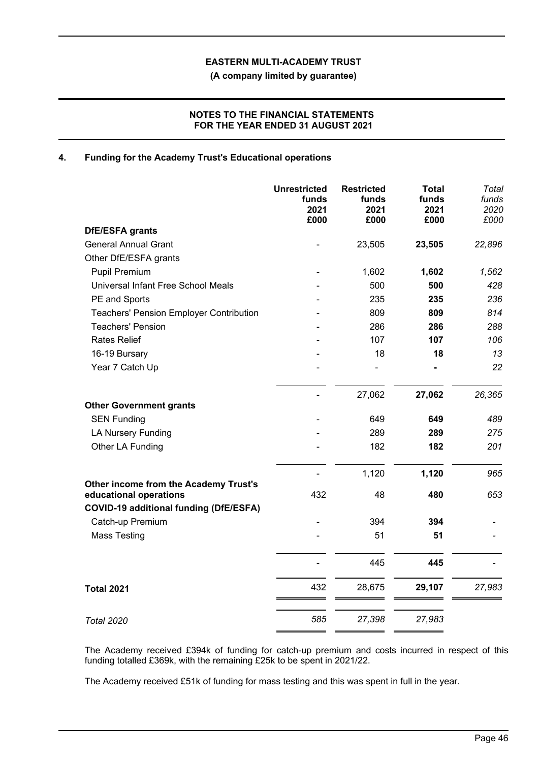**(A company limited by guarantee)**

## **NOTES TO THE FINANCIAL STATEMENTS FOR THE YEAR ENDED 31 AUGUST 2021**

## **4. Funding for the Academy Trust's Educational operations**

|                                                                 | <b>Unrestricted</b><br>funds<br>2021<br>£000 | <b>Restricted</b><br>funds<br>2021<br>£000 | <b>Total</b><br>funds<br>2021<br>£000 | Total<br>funds<br>2020<br>£000 |
|-----------------------------------------------------------------|----------------------------------------------|--------------------------------------------|---------------------------------------|--------------------------------|
| <b>DfE/ESFA grants</b>                                          |                                              |                                            |                                       |                                |
| <b>General Annual Grant</b>                                     |                                              | 23,505                                     | 23,505                                | 22,896                         |
| Other DfE/ESFA grants                                           |                                              |                                            |                                       |                                |
| <b>Pupil Premium</b>                                            |                                              | 1,602                                      | 1,602                                 | 1,562                          |
| Universal Infant Free School Meals                              |                                              | 500                                        | 500                                   | 428                            |
| PE and Sports                                                   |                                              | 235                                        | 235                                   | 236                            |
| <b>Teachers' Pension Employer Contribution</b>                  |                                              | 809                                        | 809                                   | 814                            |
| <b>Teachers' Pension</b>                                        |                                              | 286                                        | 286                                   | 288                            |
| <b>Rates Relief</b>                                             |                                              | 107                                        | 107                                   | 106                            |
| 16-19 Bursary                                                   |                                              | 18                                         | 18                                    | 13                             |
| Year 7 Catch Up                                                 |                                              |                                            |                                       | 22                             |
|                                                                 |                                              | 27,062                                     | 27,062                                | 26,365                         |
| <b>Other Government grants</b>                                  |                                              |                                            |                                       |                                |
| <b>SEN Funding</b>                                              |                                              | 649                                        | 649                                   | 489                            |
| <b>LA Nursery Funding</b>                                       |                                              | 289                                        | 289                                   | 275                            |
| Other LA Funding                                                |                                              | 182                                        | 182                                   | 201                            |
|                                                                 |                                              | 1,120                                      | 1,120                                 | 965                            |
| Other income from the Academy Trust's<br>educational operations | 432                                          | 48                                         | 480                                   | 653                            |
| <b>COVID-19 additional funding (DfE/ESFA)</b>                   |                                              |                                            |                                       |                                |
| Catch-up Premium                                                |                                              | 394                                        | 394                                   |                                |
| <b>Mass Testing</b>                                             |                                              | 51                                         | 51                                    |                                |
|                                                                 |                                              | 445                                        | 445                                   |                                |
| <b>Total 2021</b>                                               | 432                                          | 28,675                                     | 29,107                                | 27,983                         |
| <b>Total 2020</b>                                               | 585                                          | 27,398                                     | 27,983                                |                                |
|                                                                 |                                              |                                            |                                       |                                |

The Academy received £394k of funding for catch-up premium and costs incurred in respect of this funding totalled £369k, with the remaining £25k to be spent in 2021/22.

The Academy received £51k of funding for mass testing and this was spent in full in the year.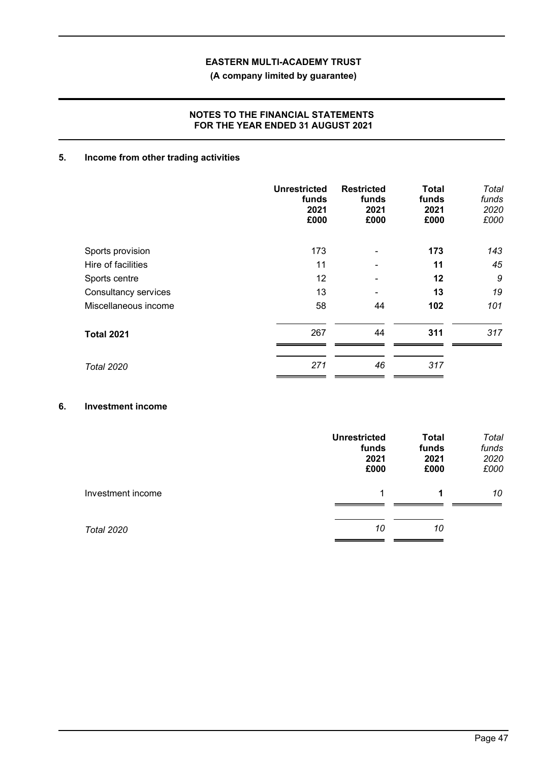# **(A company limited by guarantee)**

## **NOTES TO THE FINANCIAL STATEMENTS FOR THE YEAR ENDED 31 AUGUST 2021**

# **5. Income from other trading activities**

|                      | <b>Unrestricted</b><br>funds<br>2021<br>£000 | <b>Restricted</b><br>funds<br>2021<br>£000 | <b>Total</b><br>funds<br>2021<br>£000 | <b>Total</b><br>funds<br>2020<br>£000 |
|----------------------|----------------------------------------------|--------------------------------------------|---------------------------------------|---------------------------------------|
| Sports provision     | 173                                          |                                            | 173                                   | 143                                   |
| Hire of facilities   | 11                                           |                                            | 11                                    | 45                                    |
| Sports centre        | 12                                           |                                            | 12                                    | 9                                     |
| Consultancy services | 13                                           |                                            | 13                                    | 19                                    |
| Miscellaneous income | 58                                           | 44                                         | 102                                   | 101                                   |
| <b>Total 2021</b>    | 267                                          | 44                                         | 311                                   | 317                                   |
| <b>Total 2020</b>    | 271                                          | 46                                         | 317                                   |                                       |

#### **6. Investment income**

|                   | <b>Unrestricted</b><br>funds<br>2021<br>£000 | <b>Total</b><br>funds<br>2021<br>£000 | Total<br>funds<br>2020<br>£000 |
|-------------------|----------------------------------------------|---------------------------------------|--------------------------------|
| Investment income | 1                                            | 1                                     | 10                             |
| <b>Total 2020</b> | 10                                           | 10                                    |                                |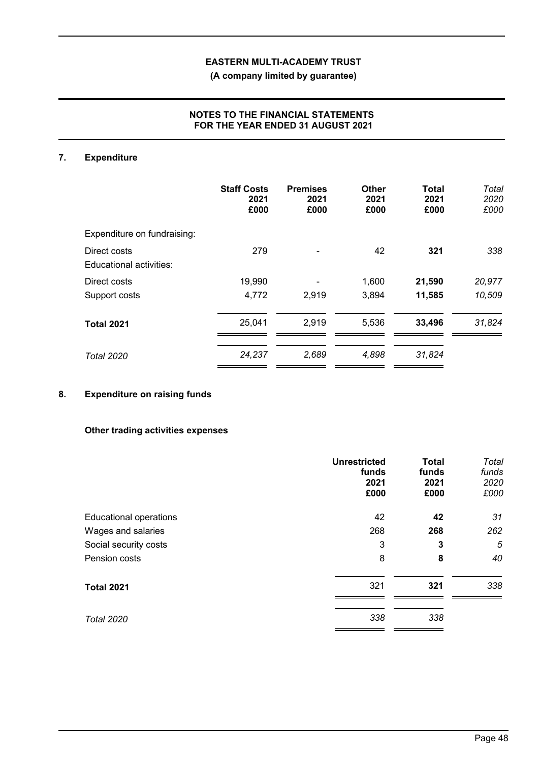**(A company limited by guarantee)**

## **NOTES TO THE FINANCIAL STATEMENTS FOR THE YEAR ENDED 31 AUGUST 2021**

# **7. Expenditure**

|                                         | <b>Staff Costs</b><br>2021<br>£000 | <b>Premises</b><br>2021<br>£000 | Other<br>2021<br>£000 | <b>Total</b><br>2021<br>£000 | Total<br>2020<br>£000 |
|-----------------------------------------|------------------------------------|---------------------------------|-----------------------|------------------------------|-----------------------|
| Expenditure on fundraising:             |                                    |                                 |                       |                              |                       |
| Direct costs<br>Educational activities: | 279                                |                                 | 42                    | 321                          | 338                   |
| Direct costs                            | 19,990                             |                                 | 1,600                 | 21,590                       | 20,977                |
| Support costs                           | 4,772                              | 2,919                           | 3,894                 | 11,585                       | 10,509                |
| <b>Total 2021</b>                       | 25,041                             | 2,919                           | 5,536                 | 33,496                       | 31,824                |
| <b>Total 2020</b>                       | 24,237                             | 2,689                           | 4,898                 | 31,824                       |                       |

# **8. Expenditure on raising funds**

#### **Other trading activities expenses**

|                               | <b>Unrestricted</b><br>funds<br>2021<br>£000 | <b>Total</b><br>funds<br>2021<br>£000 | Total<br>funds<br>2020<br>£000 |
|-------------------------------|----------------------------------------------|---------------------------------------|--------------------------------|
| <b>Educational operations</b> | 42                                           | 42                                    | 31                             |
| Wages and salaries            | 268                                          | 268                                   | 262                            |
| Social security costs         | 3                                            | 3                                     | 5                              |
| Pension costs                 | 8                                            | 8                                     | 40                             |
| <b>Total 2021</b>             | 321                                          | 321                                   | 338                            |
| <b>Total 2020</b>             | 338                                          | 338                                   |                                |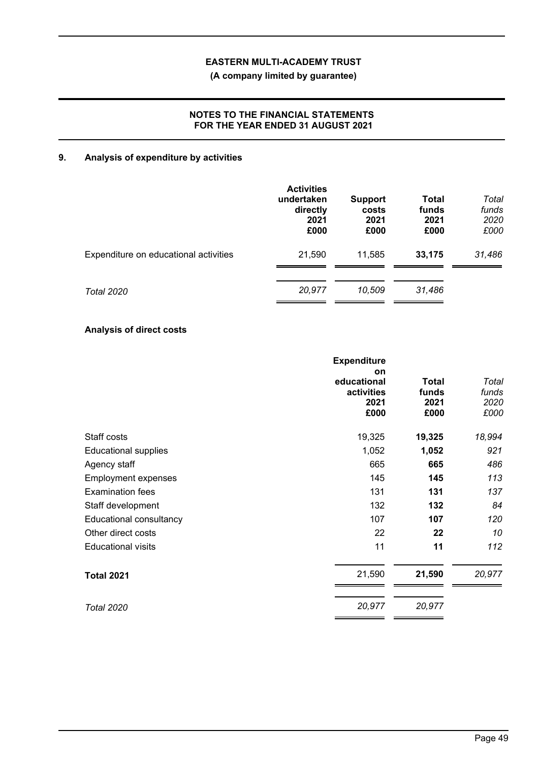**(A company limited by guarantee)**

## **NOTES TO THE FINANCIAL STATEMENTS FOR THE YEAR ENDED 31 AUGUST 2021**

# **9. Analysis of expenditure by activities**

|                                       | <b>Activities</b><br>undertaken<br>directly<br>2021<br>£000 | <b>Support</b><br>costs<br>2021<br>£000 | <b>Total</b><br>funds<br>2021<br>£000 | Total<br>funds<br>2020<br>£000 |
|---------------------------------------|-------------------------------------------------------------|-----------------------------------------|---------------------------------------|--------------------------------|
| Expenditure on educational activities | 21,590                                                      | 11,585                                  | 33,175                                | 31,486                         |
| Total 2020                            | 20,977                                                      | 10,509                                  | 31,486                                |                                |

# **Analysis of direct costs**

|                             | <b>Expenditure</b>                              |                                       |                                |
|-----------------------------|-------------------------------------------------|---------------------------------------|--------------------------------|
|                             | on<br>educational<br>activities<br>2021<br>£000 | <b>Total</b><br>funds<br>2021<br>£000 | Total<br>funds<br>2020<br>£000 |
| Staff costs                 | 19,325                                          | 19,325                                | 18,994                         |
| <b>Educational supplies</b> | 1,052                                           | 1,052                                 | 921                            |
| Agency staff                | 665                                             | 665                                   | 486                            |
| <b>Employment expenses</b>  | 145                                             | 145                                   | 113                            |
| <b>Examination fees</b>     | 131                                             | 131                                   | 137                            |
| Staff development           | 132                                             | 132                                   | 84                             |
| Educational consultancy     | 107                                             | 107                                   | 120                            |
| Other direct costs          | 22                                              | 22                                    | 10                             |
| <b>Educational visits</b>   | 11                                              | 11                                    | 112                            |
| <b>Total 2021</b>           | 21,590                                          | 21,590                                | 20,977                         |
| <b>Total 2020</b>           | 20,977                                          | 20,977                                |                                |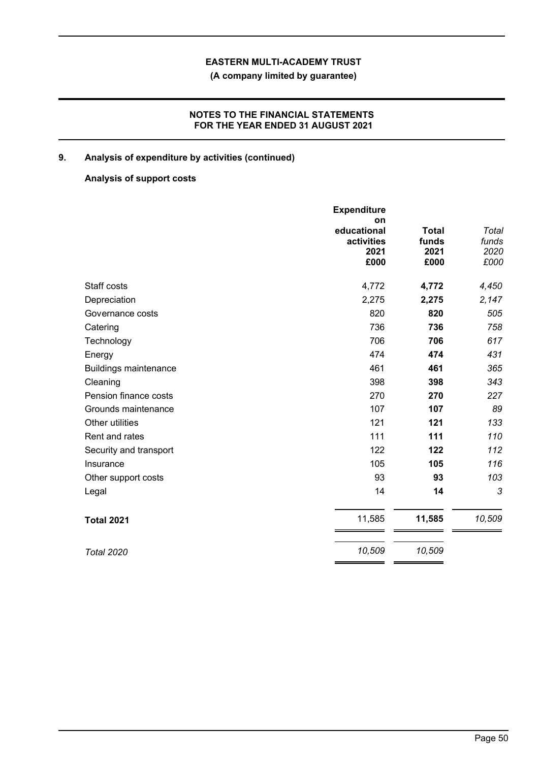**(A company limited by guarantee)**

## **NOTES TO THE FINANCIAL STATEMENTS FOR THE YEAR ENDED 31 AUGUST 2021**

# **9. Analysis of expenditure by activities (continued)**

# **Analysis of support costs**

|                              | <b>Expenditure</b><br>on                  |                                       |                                |
|------------------------------|-------------------------------------------|---------------------------------------|--------------------------------|
|                              | educational<br>activities<br>2021<br>£000 | <b>Total</b><br>funds<br>2021<br>£000 | Total<br>funds<br>2020<br>£000 |
| Staff costs                  | 4,772                                     | 4,772                                 | 4,450                          |
| Depreciation                 | 2,275                                     | 2,275                                 | 2,147                          |
| Governance costs             | 820                                       | 820                                   | 505                            |
| Catering                     | 736                                       | 736                                   | 758                            |
| Technology                   | 706                                       | 706                                   | 617                            |
| Energy                       | 474                                       | 474                                   | 431                            |
| <b>Buildings maintenance</b> | 461                                       | 461                                   | 365                            |
| Cleaning                     | 398                                       | 398                                   | 343                            |
| Pension finance costs        | 270                                       | 270                                   | 227                            |
| Grounds maintenance          | 107                                       | 107                                   | 89                             |
| Other utilities              | 121                                       | 121                                   | 133                            |
| Rent and rates               | 111                                       | 111                                   | 110                            |
| Security and transport       | 122                                       | 122                                   | 112                            |
| Insurance                    | 105                                       | 105                                   | 116                            |
| Other support costs          | 93                                        | 93                                    | 103                            |
| Legal                        | 14                                        | 14                                    | 3                              |
| <b>Total 2021</b>            | 11,585                                    | 11,585                                | 10,509                         |
| <b>Total 2020</b>            | 10,509                                    | 10,509                                |                                |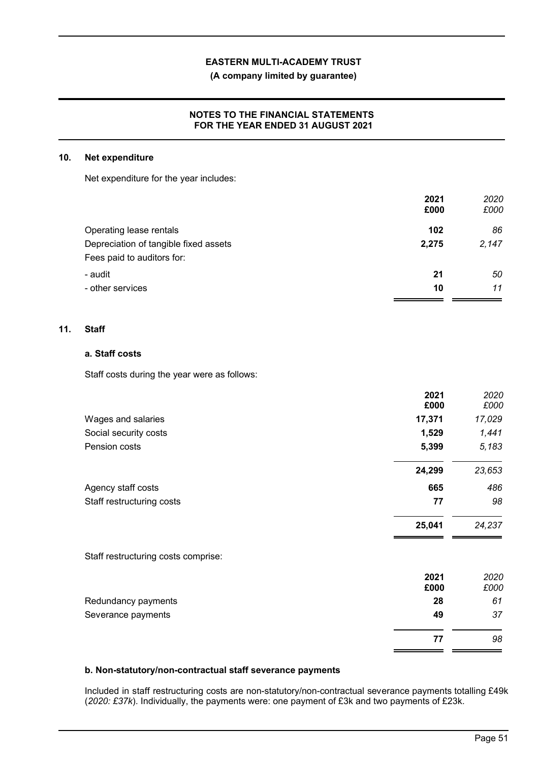**(A company limited by guarantee)**

### **NOTES TO THE FINANCIAL STATEMENTS FOR THE YEAR ENDED 31 AUGUST 2021**

#### **10. Net expenditure**

Net expenditure for the year includes:

|                                       | 2021  | 2020  |
|---------------------------------------|-------|-------|
|                                       | £000  | £000  |
| Operating lease rentals               | 102   | 86    |
| Depreciation of tangible fixed assets | 2,275 | 2.147 |
| Fees paid to auditors for:            |       |       |
| - audit                               | 21    | 50    |
| - other services                      | 10    | 11    |
|                                       |       |       |

### **11. Staff**

### **a. Staff costs**

Staff costs during the year were as follows:

|                                     | 2021<br>£000 | 2020<br>£000 |
|-------------------------------------|--------------|--------------|
| Wages and salaries                  | 17,371       | 17,029       |
| Social security costs               | 1,529        | 1,441        |
| Pension costs                       | 5,399        | 5,183        |
|                                     | 24,299       | 23,653       |
| Agency staff costs                  | 665          | 486          |
| Staff restructuring costs           | 77           | 98           |
|                                     | 25,041       | 24,237       |
| Staff restructuring costs comprise: |              |              |
|                                     | 2021<br>£000 | 2020<br>£000 |
| Redundancy payments                 | 28           | 61           |
| Severance payments                  | 49           | 37           |
|                                     | 77           | 98           |

### **b. Non-statutory/non-contractual staff severance payments**

Included in staff restructuring costs are non-statutory/non-contractual severance payments totalling £49k (*2020: £37k*). Individually, the payments were: one payment of £3k and two payments of £23k.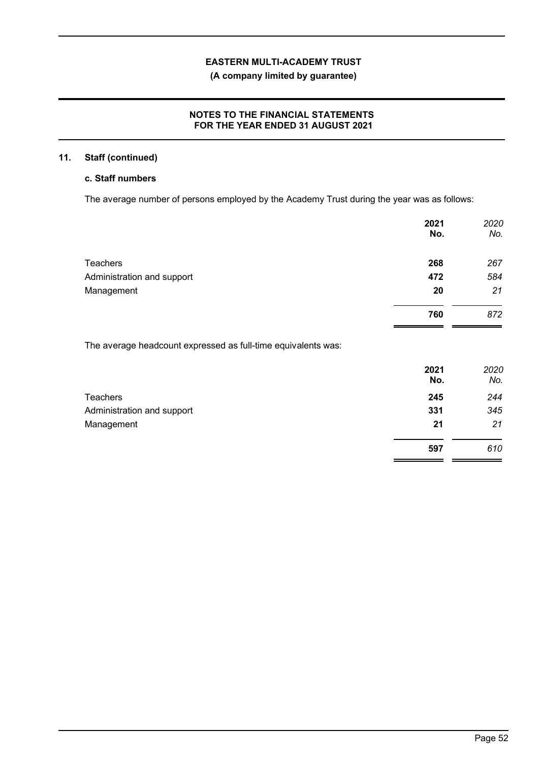# **(A company limited by guarantee)**

## **NOTES TO THE FINANCIAL STATEMENTS FOR THE YEAR ENDED 31 AUGUST 2021**

# **11. Staff (continued)**

# **c. Staff numbers**

The average number of persons employed by the Academy Trust during the year was as follows:

|                                                               | 2021<br>No. | 2020<br>No. |
|---------------------------------------------------------------|-------------|-------------|
| Teachers                                                      | 268         | 267         |
| Administration and support                                    | 472         | 584         |
| Management                                                    | 20          | 21          |
|                                                               | 760         | 872         |
| The average headcount expressed as full-time equivalents was: |             |             |
|                                                               | 2021        | 2020        |

|                            | 2021 | 2020 |
|----------------------------|------|------|
|                            | No.  | No.  |
| <b>Teachers</b>            | 245  | 244  |
| Administration and support | 331  | 345  |
| Management                 | 21   | 21   |
|                            | 597  | 610  |
|                            |      |      |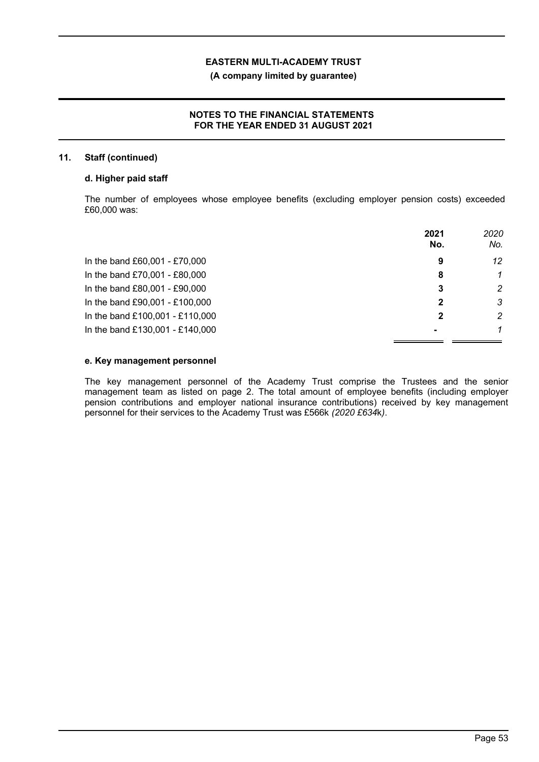### **(A company limited by guarantee)**

### **NOTES TO THE FINANCIAL STATEMENTS FOR THE YEAR ENDED 31 AUGUST 2021**

#### **11. Staff (continued)**

### **d. Higher paid staff**

The number of employees whose employee benefits (excluding employer pension costs) exceeded £60,000 was:

|                                 | 2021<br>No. | 2020<br>No. |
|---------------------------------|-------------|-------------|
| In the band £60,001 - £70,000   | 9           | 12          |
| In the band £70,001 - £80,000   | 8           |             |
| In the band £80,001 - £90,000   | 3           | 2           |
| In the band £90,001 - £100,000  |             | 3           |
| In the band £100,001 - £110,000 |             | 2           |
| In the band £130,001 - £140,000 |             |             |

#### **e. Key management personnel**

The key management personnel of the Academy Trust comprise the Trustees and the senior management team as listed on page 2. The total amount of employee benefits (including employer pension contributions and employer national insurance contributions) received by key management personnel for their services to the Academy Trust was £566k *(2020 £634*k*)*.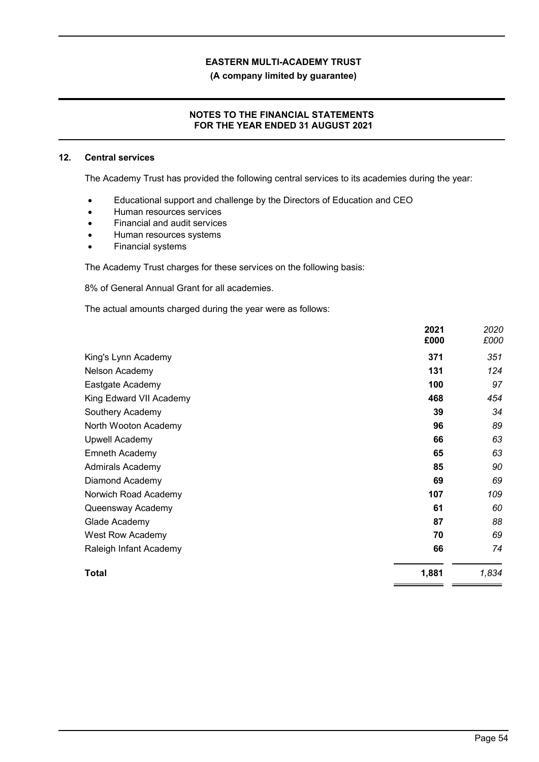**(A company limited by guarantee)**

## **NOTES TO THE FINANCIAL STATEMENTS FOR THE YEAR ENDED 31 AUGUST 2021**

### **12. Central services**

The Academy Trust has provided the following central services to its academies during the year:

- Educational support and challenge by the Directors of Education and CEO
- Human resources services
- Financial and audit services
- Human resources systems
- Financial systems

The Academy Trust charges for these services on the following basis:

8% of General Annual Grant for all academies.

The actual amounts charged during the year were as follows:

|                         | 2021<br>£000 | 2020<br>£000 |
|-------------------------|--------------|--------------|
| King's Lynn Academy     | 371          | 351          |
| Nelson Academy          | 131          | 124          |
| Eastgate Academy        | 100          | 97           |
| King Edward VII Academy | 468          | 454          |
| Southery Academy        | 39           | 34           |
| North Wooton Academy    | 96           | 89           |
| <b>Upwell Academy</b>   | 66           | 63           |
| Emneth Academy          | 65           | 63           |
| Admirals Academy        | 85           | 90           |
| Diamond Academy         | 69           | 69           |
| Norwich Road Academy    | 107          | 109          |
| Queensway Academy       | 61           | 60           |
| Glade Academy           | 87           | 88           |
| <b>West Row Academy</b> | 70           | 69           |
| Raleigh Infant Academy  | 66           | 74           |
| Total                   | 1,881        | 1,834        |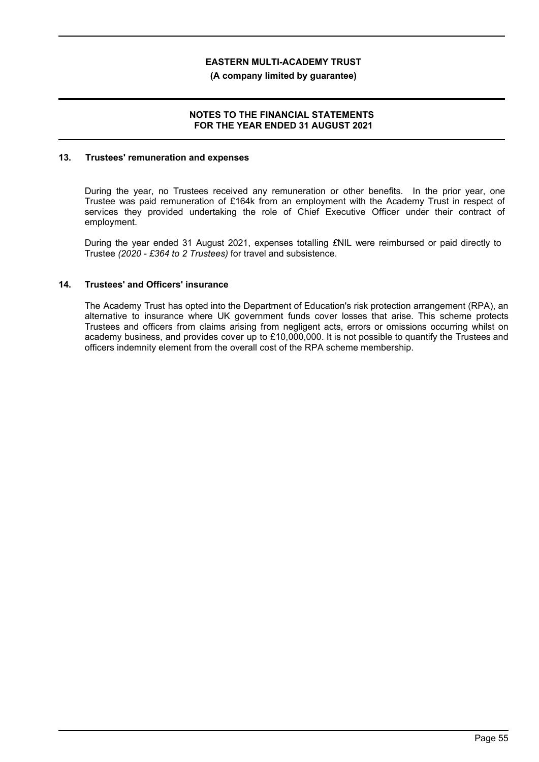**(A company limited by guarantee)**

### **NOTES TO THE FINANCIAL STATEMENTS FOR THE YEAR ENDED 31 AUGUST 2021**

#### **13. Trustees' remuneration and expenses**

During the year, no Trustees received any remuneration or other benefits. In the prior year, one Trustee was paid remuneration of £164k from an employment with the Academy Trust in respect of services they provided undertaking the role of Chief Executive Officer under their contract of employment.

During the year ended 31 August 2021, expenses totalling *£*NIL were reimbursed or paid directly to Trustee *(2020 - £364 to 2 Trustees)* for travel and subsistence.

### **14. Trustees' and Officers' insurance**

The Academy Trust has opted into the Department of Education's risk protection arrangement (RPA), an alternative to insurance where UK government funds cover losses that arise. This scheme protects Trustees and officers from claims arising from negligent acts, errors or omissions occurring whilst on academy business, and provides cover up to £10,000,000. It is not possible to quantify the Trustees and officers indemnity element from the overall cost of the RPA scheme membership.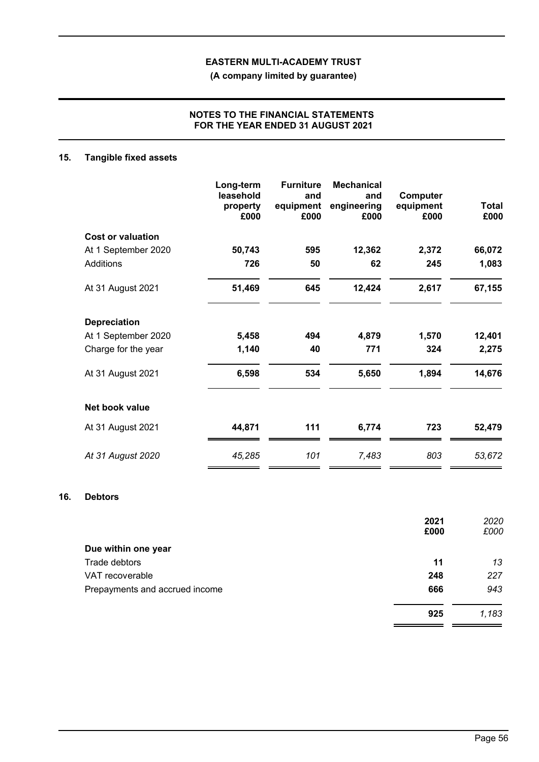**(A company limited by guarantee)**

## **NOTES TO THE FINANCIAL STATEMENTS FOR THE YEAR ENDED 31 AUGUST 2021**

# **15. Tangible fixed assets**

|                          | Long-term<br>leasehold<br>property<br>£000 | <b>Furniture</b><br>and<br>equipment<br>£000 | <b>Mechanical</b><br>and<br>engineering<br>£000 | Computer<br>equipment<br>£000 | Total<br>£000 |
|--------------------------|--------------------------------------------|----------------------------------------------|-------------------------------------------------|-------------------------------|---------------|
| <b>Cost or valuation</b> |                                            |                                              |                                                 |                               |               |
| At 1 September 2020      | 50,743                                     | 595                                          | 12,362                                          | 2,372                         | 66,072        |
| <b>Additions</b>         | 726                                        | 50                                           | 62                                              | 245                           | 1,083         |
| At 31 August 2021        | 51,469                                     | 645                                          | 12,424                                          | 2,617                         | 67,155        |
| <b>Depreciation</b>      |                                            |                                              |                                                 |                               |               |
| At 1 September 2020      | 5,458                                      | 494                                          | 4,879                                           | 1,570                         | 12,401        |
| Charge for the year      | 1,140                                      | 40                                           | 771                                             | 324                           | 2,275         |
| At 31 August 2021        | 6,598                                      | 534                                          | 5,650                                           | 1,894                         | 14,676        |
| Net book value           |                                            |                                              |                                                 |                               |               |
| At 31 August 2021        | 44,871                                     | 111                                          | 6,774                                           | 723                           | 52,479        |
| At 31 August 2020        | 45,285                                     | 101                                          | 7,483                                           | 803                           | 53,672        |

## **16. Debtors**

|                                | 2021 | 2020  |
|--------------------------------|------|-------|
|                                | £000 | £000  |
| Due within one year            |      |       |
| Trade debtors                  | 11   | 13    |
| VAT recoverable                | 248  | 227   |
| Prepayments and accrued income | 666  | 943   |
|                                | 925  | 1,183 |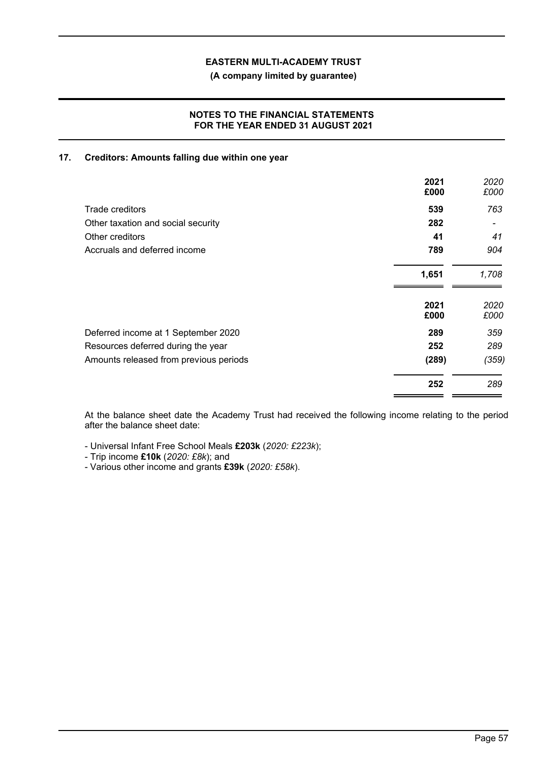**(A company limited by guarantee)**

## **NOTES TO THE FINANCIAL STATEMENTS FOR THE YEAR ENDED 31 AUGUST 2021**

### **17. Creditors: Amounts falling due within one year**

|                                        | 2021<br>£000 | 2020<br>£000 |
|----------------------------------------|--------------|--------------|
| Trade creditors                        | 539          | 763          |
| Other taxation and social security     | 282          |              |
| Other creditors                        | 41           | 41           |
| Accruals and deferred income           | 789          | 904          |
|                                        | 1,651        | 1,708        |
|                                        | 2021<br>£000 | 2020<br>£000 |
| Deferred income at 1 September 2020    | 289          | 359          |
| Resources deferred during the year     | 252          | 289          |
| Amounts released from previous periods | (289)        | (359)        |
|                                        | 252          | 289          |

At the balance sheet date the Academy Trust had received the following income relating to the period after the balance sheet date:

- Universal Infant Free School Meals **£203k** (*2020: £223k*);

- Trip income **£10k** (*2020: £8k*); and

- Various other income and grants **£39k** (*2020: £58k*).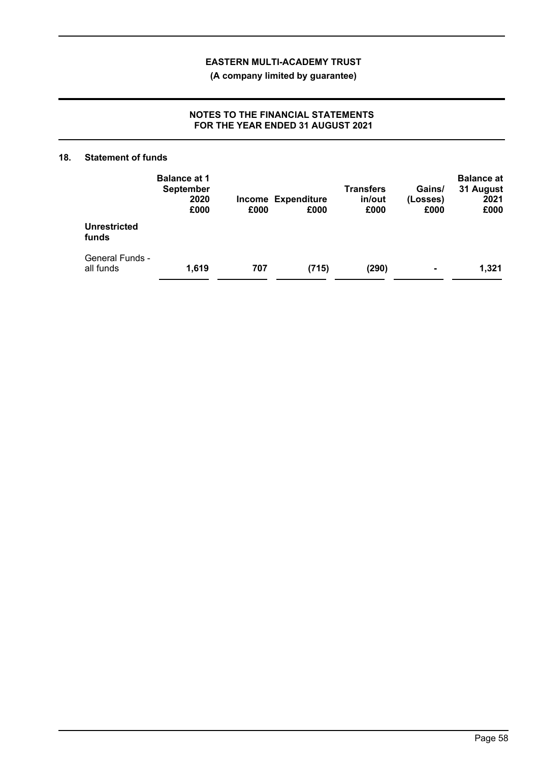**(A company limited by guarantee)**

## **NOTES TO THE FINANCIAL STATEMENTS FOR THE YEAR ENDED 31 AUGUST 2021**

### **18. Statement of funds**

|                                     | <b>Balance at 1</b><br><b>September</b><br>2020<br>£000 | £000 | <b>Income Expenditure</b><br>£000 | <b>Transfers</b><br>in/out<br>£000 | Gains/<br>(Losses)<br>£000 | <b>Balance at</b><br>31 August<br>2021<br>£000 |
|-------------------------------------|---------------------------------------------------------|------|-----------------------------------|------------------------------------|----------------------------|------------------------------------------------|
| <b>Unrestricted</b><br>funds        |                                                         |      |                                   |                                    |                            |                                                |
| <b>General Funds -</b><br>all funds | 1,619                                                   | 707  | (715)                             | (290)                              | ۰                          | 1,321                                          |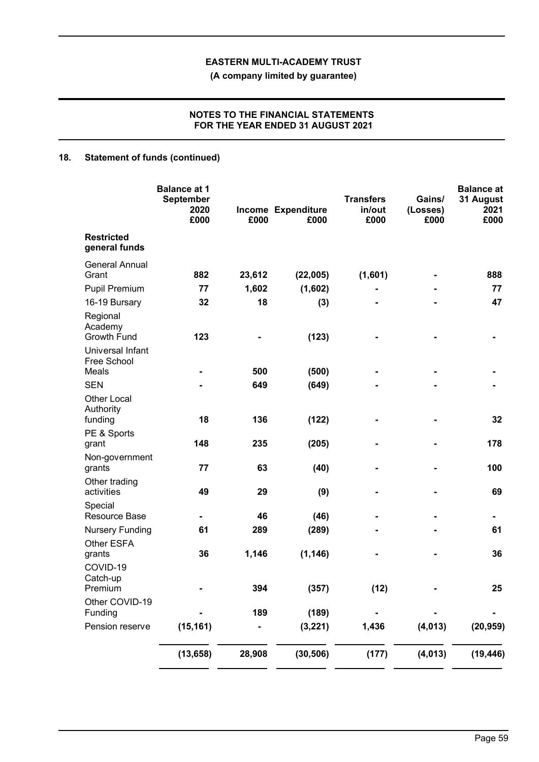**(A company limited by guarantee)**

## **NOTES TO THE FINANCIAL STATEMENTS FOR THE YEAR ENDED 31 AUGUST 2021**

# **18. Statement of funds (continued)**

|                                               | <b>Balance at 1</b><br><b>September</b><br>2020<br>£000 | £000   | Income Expenditure<br>£000 | <b>Transfers</b><br>in/out<br>£000 | Gains/<br>(Losses)<br>£000 | <b>Balance at</b><br>31 August<br>2021<br>£000 |
|-----------------------------------------------|---------------------------------------------------------|--------|----------------------------|------------------------------------|----------------------------|------------------------------------------------|
| <b>Restricted</b><br>general funds            |                                                         |        |                            |                                    |                            |                                                |
| <b>General Annual</b><br>Grant                | 882                                                     | 23,612 | (22,005)                   | (1,601)                            |                            | 888                                            |
| <b>Pupil Premium</b>                          | 77                                                      | 1,602  | (1,602)                    |                                    |                            | 77                                             |
| 16-19 Bursary                                 | 32                                                      | 18     | (3)                        |                                    |                            | 47                                             |
| Regional<br>Academy<br>Growth Fund            | 123                                                     |        | (123)                      |                                    |                            |                                                |
| Universal Infant<br>Free School               |                                                         |        |                            |                                    |                            |                                                |
| Meals                                         |                                                         | 500    | (500)                      |                                    |                            |                                                |
| <b>SEN</b><br><b>Other Local</b><br>Authority |                                                         | 649    | (649)                      |                                    |                            |                                                |
| funding                                       | 18                                                      | 136    | (122)                      |                                    |                            | 32                                             |
| PE & Sports<br>grant                          | 148                                                     | 235    | (205)                      |                                    |                            | 178                                            |
| Non-government<br>grants                      | 77                                                      | 63     | (40)                       |                                    |                            | 100                                            |
| Other trading<br>activities                   | 49                                                      | 29     | (9)                        |                                    |                            | 69                                             |
| Special<br>Resource Base                      |                                                         | 46     | (46)                       |                                    |                            |                                                |
| <b>Nursery Funding</b>                        | 61                                                      | 289    | (289)                      |                                    |                            | 61                                             |
| Other ESFA<br>grants                          | 36                                                      | 1,146  | (1, 146)                   |                                    |                            | 36                                             |
| COVID-19<br>Catch-up<br>Premium               |                                                         | 394    | (357)                      | (12)                               |                            | 25                                             |
| Other COVID-19                                |                                                         |        |                            |                                    |                            |                                                |
| Funding<br>Pension reserve                    |                                                         | 189    | (189)                      |                                    |                            |                                                |
|                                               | (15, 161)                                               |        | (3, 221)                   | 1,436                              | (4, 013)                   | (20, 959)                                      |
|                                               | (13, 658)                                               | 28,908 | (30, 506)                  | (177)                              | (4, 013)                   | (19, 446)                                      |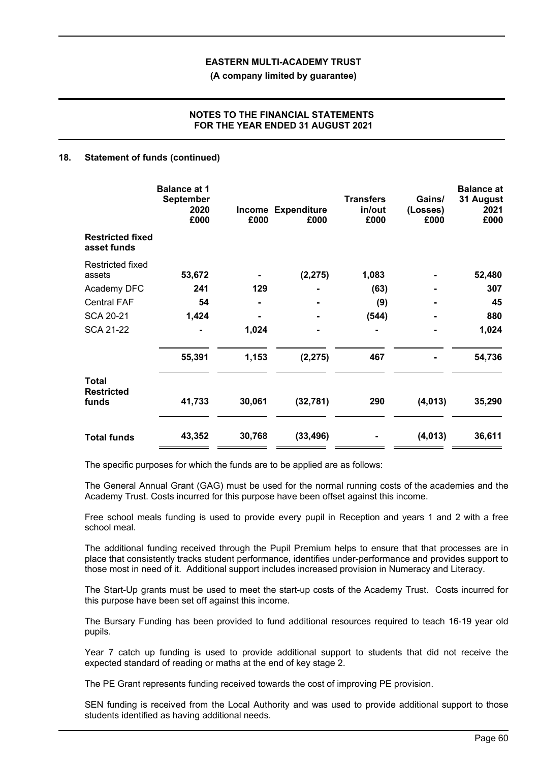**(A company limited by guarantee)**

## **NOTES TO THE FINANCIAL STATEMENTS FOR THE YEAR ENDED 31 AUGUST 2021**

### **18. Statement of funds (continued)**

|                                        | <b>Balance at 1</b><br><b>September</b><br>2020<br>£000 | Income<br>£000 | <b>Expenditure</b><br>£000 | <b>Transfers</b><br>in/out<br>£000 | Gains/<br>(Losses)<br>£000 | <b>Balance at</b><br>31 August<br>2021<br>£000 |
|----------------------------------------|---------------------------------------------------------|----------------|----------------------------|------------------------------------|----------------------------|------------------------------------------------|
| <b>Restricted fixed</b><br>asset funds |                                                         |                |                            |                                    |                            |                                                |
| Restricted fixed<br>assets             | 53,672                                                  |                | (2, 275)                   | 1,083                              |                            | 52,480                                         |
| Academy DFC                            | 241                                                     | 129            |                            | (63)                               |                            | 307                                            |
| <b>Central FAF</b>                     | 54                                                      |                |                            | (9)                                |                            | 45                                             |
| <b>SCA 20-21</b>                       | 1,424                                                   |                |                            | (544)                              |                            | 880                                            |
| <b>SCA 21-22</b>                       |                                                         | 1,024          |                            |                                    |                            | 1,024                                          |
|                                        | 55,391                                                  | 1,153          | (2, 275)                   | 467                                |                            | 54,736                                         |
| Total<br><b>Restricted</b><br>funds    | 41,733                                                  | 30,061         | (32, 781)                  | 290                                | (4, 013)                   | 35,290                                         |
| <b>Total funds</b>                     | 43,352                                                  | 30,768         | (33, 496)                  |                                    | (4,013)                    | 36,611                                         |

The specific purposes for which the funds are to be applied are as follows:

The General Annual Grant (GAG) must be used for the normal running costs of the academies and the Academy Trust. Costs incurred for this purpose have been offset against this income.

Free school meals funding is used to provide every pupil in Reception and years 1 and 2 with a free school meal.

The additional funding received through the Pupil Premium helps to ensure that that processes are in place that consistently tracks student performance, identifies under-performance and provides support to those most in need of it. Additional support includes increased provision in Numeracy and Literacy.

The Start-Up grants must be used to meet the start-up costs of the Academy Trust. Costs incurred for this purpose have been set off against this income.

The Bursary Funding has been provided to fund additional resources required to teach 16-19 year old pupils.

Year 7 catch up funding is used to provide additional support to students that did not receive the expected standard of reading or maths at the end of key stage 2.

The PE Grant represents funding received towards the cost of improving PE provision.

SEN funding is received from the Local Authority and was used to provide additional support to those students identified as having additional needs.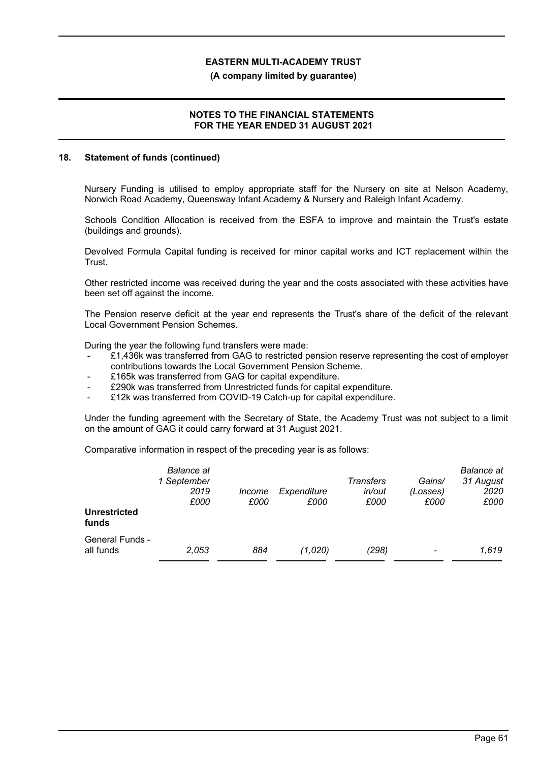#### **(A company limited by guarantee)**

#### **NOTES TO THE FINANCIAL STATEMENTS FOR THE YEAR ENDED 31 AUGUST 2021**

#### **18. Statement of funds (continued)**

Nursery Funding is utilised to employ appropriate staff for the Nursery on site at Nelson Academy, Norwich Road Academy, Queensway Infant Academy & Nursery and Raleigh Infant Academy.

Schools Condition Allocation is received from the ESFA to improve and maintain the Trust's estate (buildings and grounds).

Devolved Formula Capital funding is received for minor capital works and ICT replacement within the Trust.

Other restricted income was received during the year and the costs associated with these activities have been set off against the income.

The Pension reserve deficit at the year end represents the Trust's share of the deficit of the relevant Local Government Pension Schemes.

During the year the following fund transfers were made:

- £1,436k was transferred from GAG to restricted pension reserve representing the cost of employer contributions towards the Local Government Pension Scheme.
- £165k was transferred from GAG for capital expenditure.
- £290k was transferred from Unrestricted funds for capital expenditure.
- £12k was transferred from COVID-19 Catch-up for capital expenditure.

Under the funding agreement with the Secretary of State, the Academy Trust was not subject to a limit on the amount of GAG it could carry forward at 31 August 2021.

Comparative information in respect of the preceding year is as follows:

| <b>Unrestricted</b><br>funds        | <b>Balance</b> at<br>1 September<br>2019<br>£000 | Income<br>£000 | Expenditure<br>£000 | Transfers<br>in/out<br>£000 | Gains/<br>(Losses)<br>£000 | <b>Balance</b> at<br>31 August<br>2020<br>£000 |
|-------------------------------------|--------------------------------------------------|----------------|---------------------|-----------------------------|----------------------------|------------------------------------------------|
| <b>General Funds -</b><br>all funds | 2,053                                            | 884            | (1,020)             | (298)                       | $\overline{\phantom{a}}$   | 1,619                                          |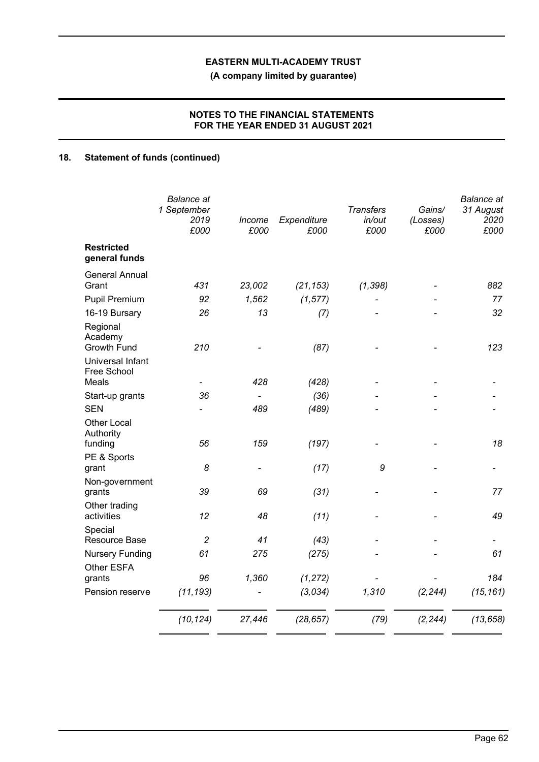**(A company limited by guarantee)**

# **NOTES TO THE FINANCIAL STATEMENTS FOR THE YEAR ENDED 31 AUGUST 2021**

# **18. Statement of funds (continued)**

|                                          | <b>Balance</b> at<br>1 September<br>2019<br>£000 | Income<br>£000 | Expenditure<br>£000 | <b>Transfers</b><br>in/out<br>£000 | Gains/<br>(Losses)<br>£000 | <b>Balance</b> at<br>31 August<br>2020<br>£000 |
|------------------------------------------|--------------------------------------------------|----------------|---------------------|------------------------------------|----------------------------|------------------------------------------------|
| <b>Restricted</b><br>general funds       |                                                  |                |                     |                                    |                            |                                                |
| <b>General Annual</b><br>Grant           | 431                                              | 23,002         | (21, 153)           | (1, 398)                           |                            | 882                                            |
| <b>Pupil Premium</b>                     | 92                                               | 1,562          | (1, 577)            |                                    |                            | 77                                             |
| 16-19 Bursary                            | 26                                               | 13             | (7)                 |                                    |                            | 32                                             |
| Regional<br>Academy<br>Growth Fund       | 210                                              |                | (87)                |                                    |                            | 123                                            |
| Universal Infant<br>Free School<br>Meals |                                                  | 428            | (428)               |                                    |                            |                                                |
| Start-up grants                          | 36                                               |                | (36)                |                                    |                            |                                                |
| <b>SEN</b>                               |                                                  | 489            | (489)               |                                    |                            |                                                |
| <b>Other Local</b><br>Authority          |                                                  |                |                     |                                    |                            |                                                |
| funding                                  | 56                                               | 159            | (197)               |                                    |                            | 18                                             |
| PE & Sports<br>grant                     | 8                                                |                | (17)                | 9                                  |                            |                                                |
| Non-government<br>grants                 | 39                                               | 69             | (31)                |                                    |                            | 77                                             |
| Other trading<br>activities              | 12                                               | 48             | (11)                |                                    |                            | 49                                             |
| Special<br>Resource Base                 | $\overline{c}$                                   | 41             | (43)                |                                    |                            |                                                |
| <b>Nursery Funding</b><br>Other ESFA     | 61                                               | 275            | (275)               |                                    |                            | 61                                             |
| grants                                   | 96                                               | 1,360          | (1, 272)            |                                    |                            | 184                                            |
| Pension reserve                          | (11, 193)                                        |                | (3,034)             | 1,310                              | (2, 244)                   | (15, 161)                                      |
|                                          | (10, 124)                                        | 27,446         | (28, 657)           | (79)                               | (2, 244)                   | (13, 658)                                      |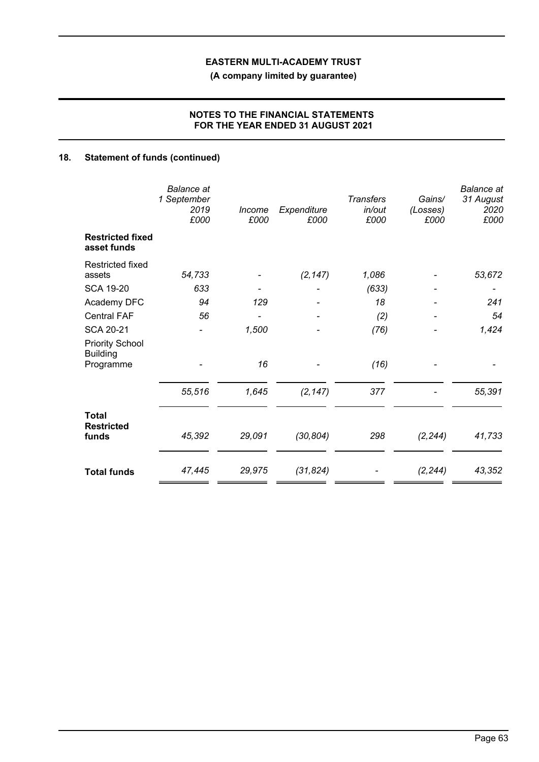**(A company limited by guarantee)**

# **NOTES TO THE FINANCIAL STATEMENTS FOR THE YEAR ENDED 31 AUGUST 2021**

# **18. Statement of funds (continued)**

|                                                        | <b>Balance</b> at<br>1 September<br>2019<br>£000 | Income<br>£000 | Expenditure<br>£000 | <b>Transfers</b><br>in/out<br>£000 | Gains/<br>(Losses)<br>£000 | <b>Balance</b> at<br>31 August<br>2020<br>£000 |
|--------------------------------------------------------|--------------------------------------------------|----------------|---------------------|------------------------------------|----------------------------|------------------------------------------------|
| <b>Restricted fixed</b><br>asset funds                 |                                                  |                |                     |                                    |                            |                                                |
| <b>Restricted fixed</b><br>assets                      | 54,733                                           |                | (2, 147)            | 1,086                              |                            | 53,672                                         |
| <b>SCA 19-20</b>                                       | 633                                              |                |                     | (633)                              |                            |                                                |
| Academy DFC                                            | 94                                               | 129            |                     | 18                                 |                            | 241                                            |
| <b>Central FAF</b>                                     | 56                                               |                |                     | (2)                                |                            | 54                                             |
| <b>SCA 20-21</b>                                       |                                                  | 1,500          |                     | (76)                               |                            | 1,424                                          |
| <b>Priority School</b><br><b>Building</b><br>Programme |                                                  | 16             |                     | (16)                               |                            |                                                |
|                                                        | 55,516                                           | 1,645          | (2, 147)            | 377                                |                            | 55,391                                         |
| Total<br><b>Restricted</b><br>funds                    | 45,392                                           | 29,091         | (30, 804)           | 298                                | (2, 244)                   | 41,733                                         |
| <b>Total funds</b>                                     | 47,445                                           | 29,975         | (31, 824)           |                                    | (2, 244)                   | 43,352                                         |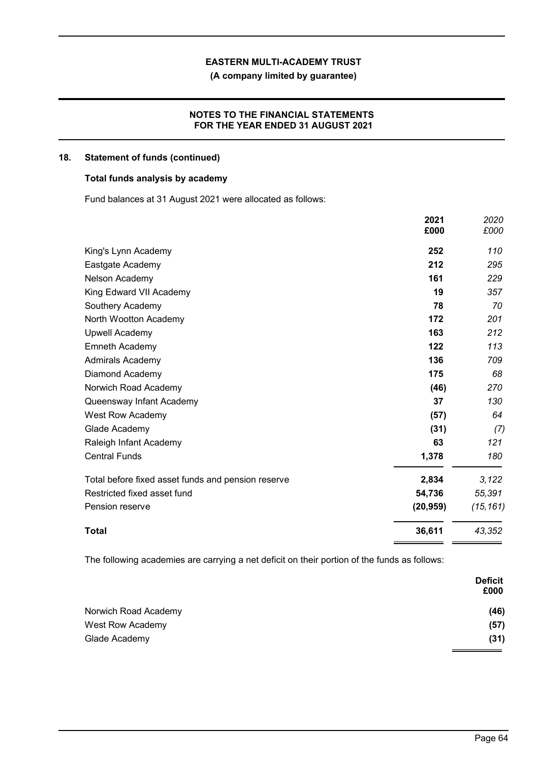**(A company limited by guarantee)**

# **NOTES TO THE FINANCIAL STATEMENTS FOR THE YEAR ENDED 31 AUGUST 2021**

## **18. Statement of funds (continued)**

## **Total funds analysis by academy**

Fund balances at 31 August 2021 were allocated as follows:

|                                                    | 2021<br>£000 | 2020<br>£000 |
|----------------------------------------------------|--------------|--------------|
| King's Lynn Academy                                | 252          | 110          |
| Eastgate Academy                                   | 212          | 295          |
| Nelson Academy                                     | 161          | 229          |
| King Edward VII Academy                            | 19           | 357          |
| Southery Academy                                   | 78           | 70           |
| North Wootton Academy                              | 172          | 201          |
| <b>Upwell Academy</b>                              | 163          | 212          |
| <b>Emneth Academy</b>                              | 122          | 113          |
| <b>Admirals Academy</b>                            | 136          | 709          |
| Diamond Academy                                    | 175          | 68           |
| Norwich Road Academy                               | (46)         | 270          |
| Queensway Infant Academy                           | 37           | 130          |
| West Row Academy                                   | (57)         | 64           |
| Glade Academy                                      | (31)         | (7)          |
| Raleigh Infant Academy                             | 63           | 121          |
| <b>Central Funds</b>                               | 1,378        | 180          |
| Total before fixed asset funds and pension reserve | 2,834        | 3,122        |
| Restricted fixed asset fund                        | 54,736       | 55,391       |
| Pension reserve                                    | (20, 959)    | (15, 161)    |
| Total                                              | 36,611       | 43,352       |

The following academies are carrying a net deficit on their portion of the funds as follows:

|                      | <b>Deficit</b><br>£000 |
|----------------------|------------------------|
| Norwich Road Academy | (46)                   |
| West Row Academy     | (57)                   |
| Glade Academy        | (31)                   |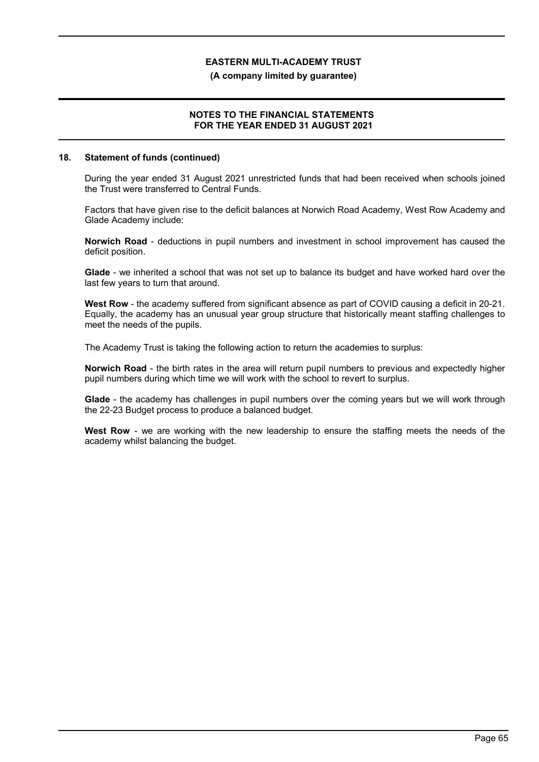#### **(A company limited by guarantee)**

### **NOTES TO THE FINANCIAL STATEMENTS FOR THE YEAR ENDED 31 AUGUST 2021**

#### **18. Statement of funds (continued)**

During the year ended 31 August 2021 unrestricted funds that had been received when schools joined the Trust were transferred to Central Funds.

Factors that have given rise to the deficit balances at Norwich Road Academy, West Row Academy and Glade Academy include:

**Norwich Road** - deductions in pupil numbers and investment in school improvement has caused the deficit position.

**Glade** - we inherited a school that was not set up to balance its budget and have worked hard over the last few years to turn that around.

West Row - the academy suffered from significant absence as part of COVID causing a deficit in 20-21. Equally, the academy has an unusual year group structure that historically meant staffing challenges to meet the needs of the pupils.

The Academy Trust is taking the following action to return the academies to surplus:

**Norwich Road** - the birth rates in the area will return pupil numbers to previous and expectedly higher pupil numbers during which time we will work with the school to revert to surplus.

**Glade** - the academy has challenges in pupil numbers over the coming years but we will work through the 22-23 Budget process to produce a balanced budget.

**West Row** - we are working with the new leadership to ensure the staffing meets the needs of the academy whilst balancing the budget.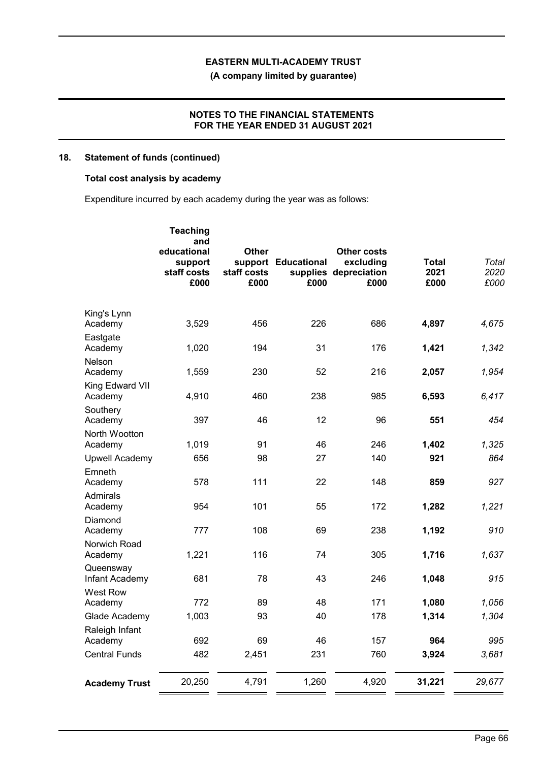**(A company limited by guarantee)**

### **NOTES TO THE FINANCIAL STATEMENTS FOR THE YEAR ENDED 31 AUGUST 2021**

## **18. Statement of funds (continued)**

## **Total cost analysis by academy**

Expenditure incurred by each academy during the year was as follows:

|                             | <b>Teaching</b><br>and<br>educational<br>support<br>staff costs<br>£000 | <b>Other</b><br>staff costs<br>£000 | support Educational<br>£000 | <b>Other costs</b><br>excluding<br>supplies depreciation<br>£000 | <b>Total</b><br>2021<br>£000 | Total<br>2020<br>£000 |
|-----------------------------|-------------------------------------------------------------------------|-------------------------------------|-----------------------------|------------------------------------------------------------------|------------------------------|-----------------------|
| King's Lynn<br>Academy      | 3,529                                                                   | 456                                 | 226                         | 686                                                              | 4,897                        | 4,675                 |
| Eastgate<br>Academy         | 1,020                                                                   | 194                                 | 31                          | 176                                                              | 1,421                        | 1,342                 |
| Nelson<br>Academy           | 1,559                                                                   | 230                                 | 52                          | 216                                                              | 2,057                        | 1,954                 |
| King Edward VII<br>Academy  | 4,910                                                                   | 460                                 | 238                         | 985                                                              | 6,593                        | 6,417                 |
| Southery<br>Academy         | 397                                                                     | 46                                  | 12                          | 96                                                               | 551                          | 454                   |
| North Wootton<br>Academy    | 1,019                                                                   | 91                                  | 46                          | 246                                                              | 1,402                        | 1,325                 |
| <b>Upwell Academy</b>       | 656                                                                     | 98                                  | 27                          | 140                                                              | 921                          | 864                   |
| Emneth<br>Academy           | 578                                                                     | 111                                 | 22                          | 148                                                              | 859                          | 927                   |
| Admirals<br>Academy         | 954                                                                     | 101                                 | 55                          | 172                                                              | 1,282                        | 1,221                 |
| Diamond<br>Academy          | 777                                                                     | 108                                 | 69                          | 238                                                              | 1,192                        | 910                   |
| Norwich Road<br>Academy     | 1,221                                                                   | 116                                 | 74                          | 305                                                              | 1,716                        | 1,637                 |
| Queensway<br>Infant Academy | 681                                                                     | 78                                  | 43                          | 246                                                              | 1,048                        | 915                   |
| West Row<br>Academy         | 772                                                                     | 89                                  | 48                          | 171                                                              | 1,080                        | 1,056                 |
| Glade Academy               | 1,003                                                                   | 93                                  | 40                          | 178                                                              | 1,314                        | 1,304                 |
| Raleigh Infant              |                                                                         |                                     |                             |                                                                  |                              |                       |
| Academy                     | 692                                                                     | 69                                  | 46                          | 157                                                              | 964                          | 995                   |
| <b>Central Funds</b>        | 482                                                                     | 2,451                               | 231                         | 760                                                              | 3,924                        | 3,681                 |
| <b>Academy Trust</b>        | 20,250                                                                  | 4,791                               | 1,260                       | 4,920                                                            | 31,221                       | 29,677                |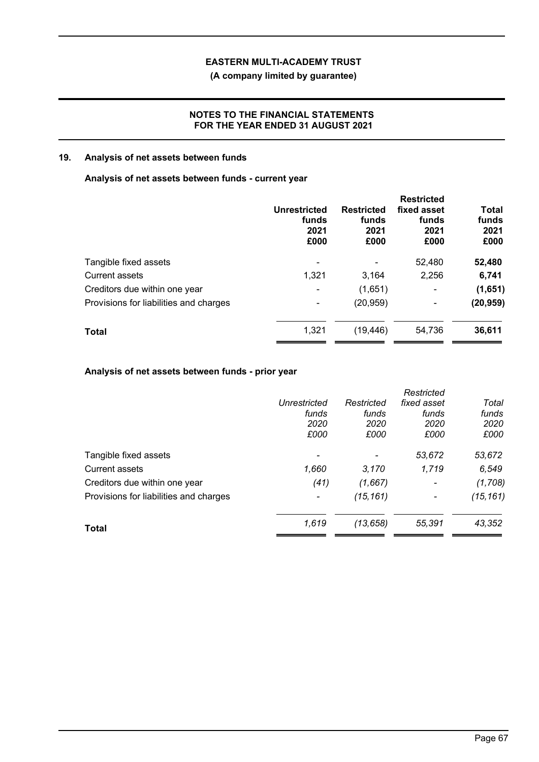**(A company limited by guarantee)**

## **NOTES TO THE FINANCIAL STATEMENTS FOR THE YEAR ENDED 31 AUGUST 2021**

## **19. Analysis of net assets between funds**

## **Analysis of net assets between funds - current year**

|                                        | Unrestricted<br>funds<br>2021<br>£000 | <b>Restricted</b><br>funds<br>2021<br>£000 | <b>Restricted</b><br>fixed asset<br>funds<br>2021<br>£000 | <b>Total</b><br>funds<br>2021<br>£000 |
|----------------------------------------|---------------------------------------|--------------------------------------------|-----------------------------------------------------------|---------------------------------------|
| Tangible fixed assets                  |                                       |                                            | 52,480                                                    | 52,480                                |
| <b>Current assets</b>                  | 1,321                                 | 3.164                                      | 2,256                                                     | 6,741                                 |
| Creditors due within one year          | $\blacksquare$                        | (1,651)                                    | $\blacksquare$                                            | (1,651)                               |
| Provisions for liabilities and charges | ٠                                     | (20, 959)                                  | $\blacksquare$                                            | (20, 959)                             |
| <b>Total</b>                           | 1,321                                 | (19, 446)                                  | 54,736                                                    | 36,611                                |

# **Analysis of net assets between funds - prior year**

|                                        |                          |            | Restricted               |           |
|----------------------------------------|--------------------------|------------|--------------------------|-----------|
|                                        | Unrestricted             | Restricted | fixed asset              | Total     |
|                                        | funds                    | funds      | funds                    | funds     |
|                                        | 2020                     | 2020       | 2020                     | 2020      |
|                                        | £000                     | £000       | £000                     | £000      |
| Tangible fixed assets                  |                          |            | 53,672                   | 53,672    |
| <b>Current assets</b>                  | 1,660                    | 3,170      | 1,719                    | 6,549     |
| Creditors due within one year          | (41)                     | (1,667)    | $\overline{\phantom{a}}$ | (1,708)   |
| Provisions for liabilities and charges | $\overline{\phantom{a}}$ | (15, 161)  | $\overline{\phantom{a}}$ | (15, 161) |
| <b>Total</b>                           | 1,619                    | (13, 658)  | 55,391                   | 43,352    |
|                                        |                          |            |                          |           |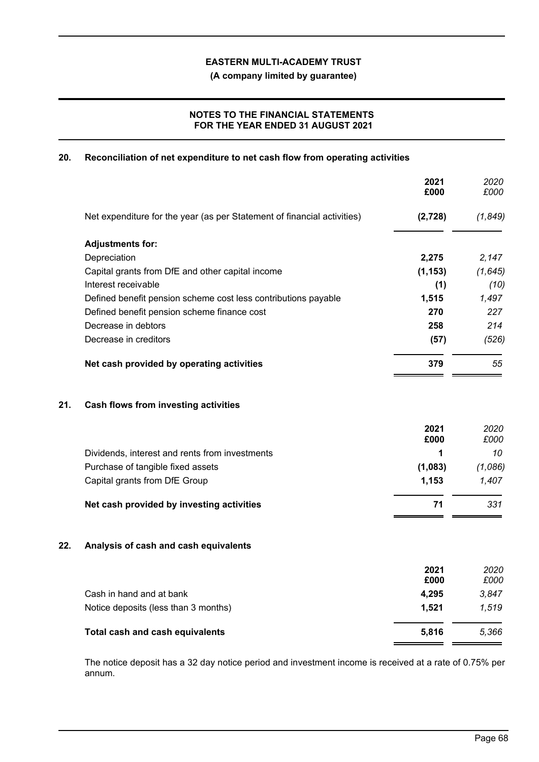**(A company limited by guarantee)**

# **NOTES TO THE FINANCIAL STATEMENTS FOR THE YEAR ENDED 31 AUGUST 2021**

## **20. Reconciliation of net expenditure to net cash flow from operating activities**

|     |                                                                         | 2021<br>£000 | 2020<br>£000 |
|-----|-------------------------------------------------------------------------|--------------|--------------|
|     | Net expenditure for the year (as per Statement of financial activities) | (2,728)      | (1, 849)     |
|     | <b>Adjustments for:</b>                                                 |              |              |
|     | Depreciation                                                            | 2,275        | 2,147        |
|     | Capital grants from DfE and other capital income                        | (1, 153)     | (1, 645)     |
|     | Interest receivable                                                     | (1)          | (10)         |
|     | Defined benefit pension scheme cost less contributions payable          | 1,515        | 1,497        |
|     | Defined benefit pension scheme finance cost                             | 270          | 227          |
|     | Decrease in debtors                                                     | 258          | 214          |
|     | Decrease in creditors                                                   | (57)         | (526)        |
|     | Net cash provided by operating activities                               | 379          | 55           |
| 21. | Cash flows from investing activities                                    |              |              |
|     |                                                                         | 2021<br>£000 | 2020<br>£000 |
|     | Dividends, interest and rents from investments                          | 1            | 10           |
|     | Purchase of tangible fixed assets                                       | (1,083)      | (1,086)      |
|     | Capital grants from DfE Group                                           | 1,153        | 1,407        |
|     | Net cash provided by investing activities                               | 71           | 331          |
| 22. | Analysis of cash and cash equivalents                                   |              |              |
|     |                                                                         | 2021         | 2020         |
|     |                                                                         | £000         | £000         |
|     | Cash in hand and at bank                                                | 4,295        | 3,847        |
|     | Notice deposits (less than 3 months)                                    | 1,521        | 1,519        |
|     | Total cash and cash equivalents                                         | 5,816        | 5,366        |
|     |                                                                         |              |              |

The notice deposit has a 32 day notice period and investment income is received at a rate of 0.75% per annum.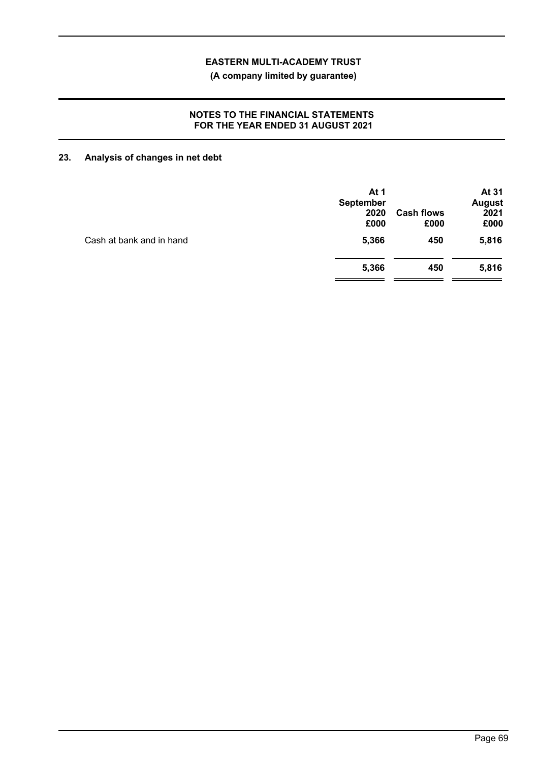**(A company limited by guarantee)**

## **NOTES TO THE FINANCIAL STATEMENTS FOR THE YEAR ENDED 31 AUGUST 2021**

# **23. Analysis of changes in net debt**

| At 1<br><b>September</b> |                           | At 31<br><b>August</b> |
|--------------------------|---------------------------|------------------------|
| 2020<br>£000             | <b>Cash flows</b><br>£000 | 2021<br>£000           |
| 5,366                    | 450                       | 5,816                  |
| 5,366                    | 450                       | 5,816                  |
|                          |                           |                        |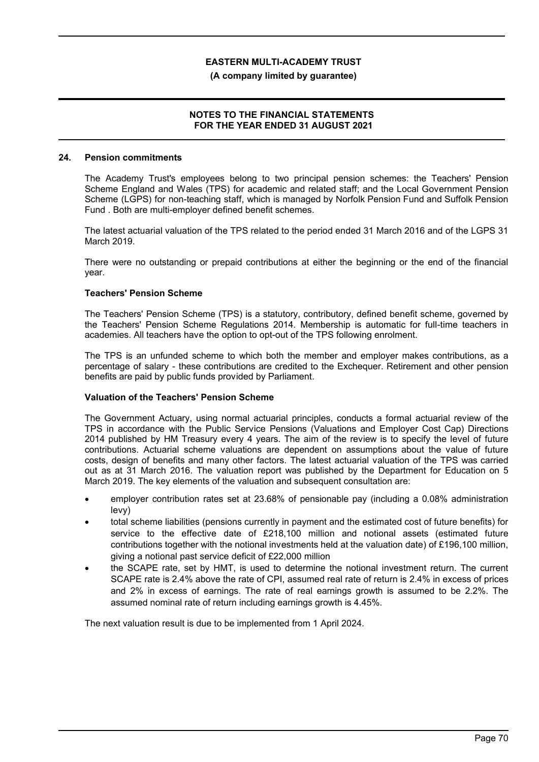#### **(A company limited by guarantee)**

### **NOTES TO THE FINANCIAL STATEMENTS FOR THE YEAR ENDED 31 AUGUST 2021**

#### **24. Pension commitments**

The Academy Trust's employees belong to two principal pension schemes: the Teachers' Pension Scheme England and Wales (TPS) for academic and related staff; and the Local Government Pension Scheme (LGPS) for non-teaching staff, which is managed by Norfolk Pension Fund and Suffolk Pension Fund . Both are multi-employer defined benefit schemes.

The latest actuarial valuation of the TPS related to the period ended 31 March 2016 and of the LGPS 31 March 2019.

There were no outstanding or prepaid contributions at either the beginning or the end of the financial year.

### **Teachers' Pension Scheme**

The Teachers' Pension Scheme (TPS) is a statutory, contributory, defined benefit scheme, governed by the Teachers' Pension Scheme Regulations 2014. Membership is automatic for full-time teachers in academies. All teachers have the option to opt-out of the TPS following enrolment.

The TPS is an unfunded scheme to which both the member and employer makes contributions, as a percentage of salary - these contributions are credited to the Exchequer. Retirement and other pension benefits are paid by public funds provided by Parliament.

### **Valuation of the Teachers' Pension Scheme**

The Government Actuary, using normal actuarial principles, conducts a formal actuarial review of the TPS in accordance with the Public Service Pensions (Valuations and Employer Cost Cap) Directions 2014 published by HM Treasury every 4 years. The aim of the review is to specify the level of future contributions. Actuarial scheme valuations are dependent on assumptions about the value of future costs, design of benefits and many other factors. The latest actuarial valuation of the TPS was carried out as at 31 March 2016. The valuation report was published by the Department for Education on 5 March 2019. The key elements of the valuation and subsequent consultation are:

- employer contribution rates set at 23.68% of pensionable pay (including a 0.08% administration levy)
- total scheme liabilities (pensions currently in payment and the estimated cost of future benefits) for service to the effective date of £218,100 million and notional assets (estimated future contributions together with the notional investments held at the valuation date) of £196,100 million, giving a notional past service deficit of £22,000 million
- the SCAPE rate, set by HMT, is used to determine the notional investment return. The current SCAPE rate is 2.4% above the rate of CPI, assumed real rate of return is 2.4% in excess of prices and 2% in excess of earnings. The rate of real earnings growth is assumed to be 2.2%. The assumed nominal rate of return including earnings growth is 4.45%.

The next valuation result is due to be implemented from 1 April 2024.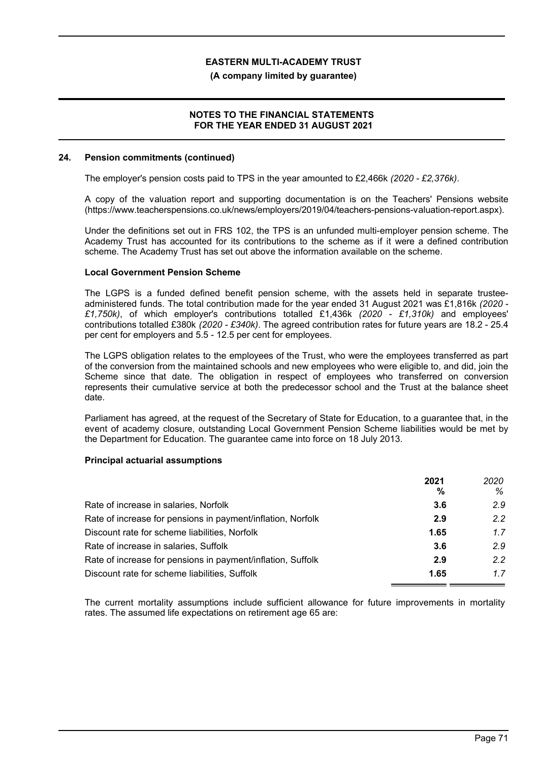### **(A company limited by guarantee)**

### **NOTES TO THE FINANCIAL STATEMENTS FOR THE YEAR ENDED 31 AUGUST 2021**

### **24. Pension commitments (continued)**

The employer's pension costs paid to TPS in the year amounted to £2,466k *(2020 - £2,376k)*.

A copy of the valuation report and supporting documentation is on the Teachers' Pensions website (https://www.teacherspensions.co.uk/news/employers/2019/04/teachers-pensions-valuation-report.aspx).

Under the definitions set out in FRS 102, the TPS is an unfunded multi-employer pension scheme. The Academy Trust has accounted for its contributions to the scheme as if it were a defined contribution scheme. The Academy Trust has set out above the information available on the scheme.

### **Local Government Pension Scheme**

The LGPS is a funded defined benefit pension scheme, with the assets held in separate trusteeadministered funds. The total contribution made for the year ended 31 August 2021 was £1,816k *(2020 - £1,750k)*, of which employer's contributions totalled £1,436k *(2020 - £1,310k)* and employees' contributions totalled £380k *(2020 - £340k)*. The agreed contribution rates for future years are 18.2 - 25.4 per cent for employers and 5.5 - 12.5 per cent for employees.

The LGPS obligation relates to the employees of the Trust, who were the employees transferred as part of the conversion from the maintained schools and new employees who were eligible to, and did, join the Scheme since that date. The obligation in respect of employees who transferred on conversion represents their cumulative service at both the predecessor school and the Trust at the balance sheet date.

Parliament has agreed, at the request of the Secretary of State for Education, to a guarantee that, in the event of academy closure, outstanding Local Government Pension Scheme liabilities would be met by the Department for Education. The guarantee came into force on 18 July 2013.

### **Principal actuarial assumptions**

| 2021 | 2020 |
|------|------|
| %    | %    |
| 3.6  | 2.9  |
| 2.9  | 22   |
| 1.65 | 17   |
| 3.6  | 2.9  |
| 2.9  | 2.2  |
| 1.65 | 17   |
|      |      |

The current mortality assumptions include sufficient allowance for future improvements in mortality rates. The assumed life expectations on retirement age 65 are: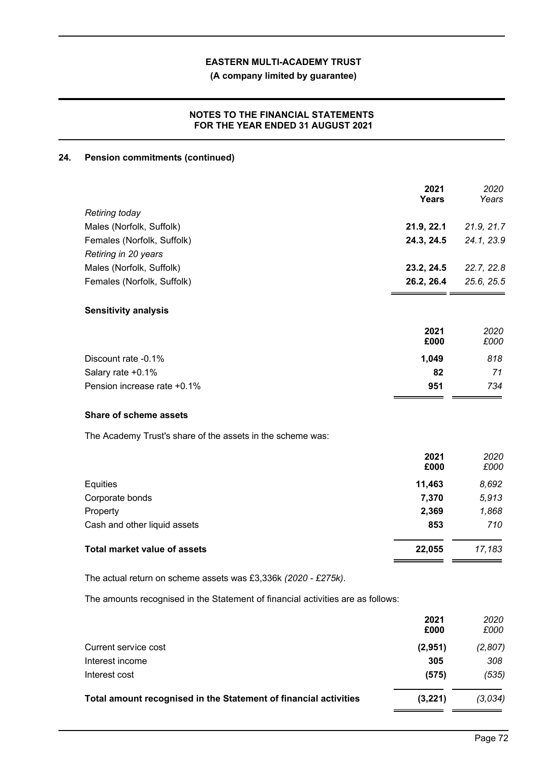**(A company limited by guarantee)**

# **NOTES TO THE FINANCIAL STATEMENTS FOR THE YEAR ENDED 31 AUGUST 2021**

# **24. Pension commitments (continued)**

|                                                                                 | 2021<br><b>Years</b> | 2020<br>Years |
|---------------------------------------------------------------------------------|----------------------|---------------|
| Retiring today                                                                  |                      |               |
| Males (Norfolk, Suffolk)                                                        | 21.9, 22.1           | 21.9, 21.7    |
| Females (Norfolk, Suffolk)                                                      | 24.3, 24.5           | 24.1, 23.9    |
| Retiring in 20 years                                                            |                      |               |
| Males (Norfolk, Suffolk)                                                        | 23.2, 24.5           | 22.7, 22.8    |
| Females (Norfolk, Suffolk)                                                      | 26.2, 26.4           | 25.6, 25.5    |
| <b>Sensitivity analysis</b>                                                     |                      |               |
|                                                                                 | 2021                 | 2020          |
|                                                                                 | £000                 | £000          |
| Discount rate -0.1%                                                             | 1,049                | 818           |
| Salary rate +0.1%                                                               | 82                   | 71            |
| Pension increase rate +0.1%                                                     | 951                  | 734           |
| <b>Share of scheme assets</b>                                                   |                      |               |
| The Academy Trust's share of the assets in the scheme was:                      |                      |               |
|                                                                                 | 2021<br>£000         | 2020<br>£000  |
|                                                                                 |                      |               |
| Equities                                                                        | 11,463               | 8,692         |
| Corporate bonds                                                                 | 7,370                | 5,913         |
| Property                                                                        | 2,369                | 1,868         |
| Cash and other liquid assets                                                    | 853                  | 710           |
| <b>Total market value of assets</b>                                             | 22,055               | 17,183        |
| The actual return on scheme assets was £3,336k (2020 - £275k).                  |                      |               |
| The amounts recognised in the Statement of financial activities are as follows: |                      |               |
|                                                                                 | 2021<br>£000         | 2020<br>£000  |

| Total amount recognised in the Statement of financial activities | (3,221)      | (3,034)             |
|------------------------------------------------------------------|--------------|---------------------|
| Interest cost                                                    | (575)        | (535)               |
| Interest income                                                  | 305          | 308                 |
| Current service cost                                             | (2,951)      | (2,807)             |
|                                                                  | 2021<br>£000 | <i>2020</i><br>£000 |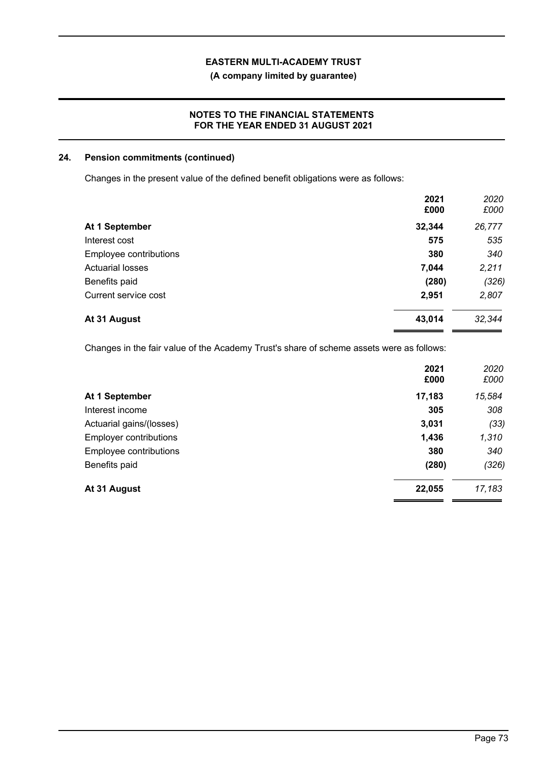**(A company limited by guarantee)**

### **NOTES TO THE FINANCIAL STATEMENTS FOR THE YEAR ENDED 31 AUGUST 2021**

### **24. Pension commitments (continued)**

Changes in the present value of the defined benefit obligations were as follows:

|                         | 2021<br>£000 | 2020<br>£000 |
|-------------------------|--------------|--------------|
| At 1 September          | 32,344       | 26,777       |
| Interest cost           | 575          | 535          |
| Employee contributions  | 380          | 340          |
| <b>Actuarial losses</b> | 7,044        | 2,211        |
| Benefits paid           | (280)        | (326)        |
| Current service cost    | 2,951        | 2,807        |
| At 31 August            | 43,014       | 32,344       |

Changes in the fair value of the Academy Trust's share of scheme assets were as follows:

|                               | 2021<br>£000 | 2020<br>£000 |
|-------------------------------|--------------|--------------|
| At 1 September                | 17,183       | 15,584       |
| Interest income               | 305          | 308          |
| Actuarial gains/(losses)      | 3,031        | (33)         |
| <b>Employer contributions</b> | 1,436        | 1,310        |
| Employee contributions        | 380          | 340          |
| Benefits paid                 | (280)        | (326)        |
| At 31 August                  | 22,055       | 17,183       |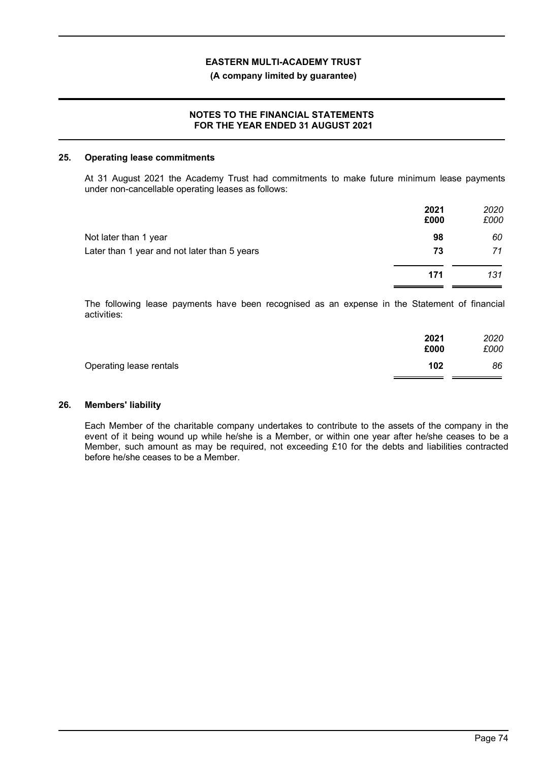### **(A company limited by guarantee)**

### **NOTES TO THE FINANCIAL STATEMENTS FOR THE YEAR ENDED 31 AUGUST 2021**

### **25. Operating lease commitments**

At 31 August 2021 the Academy Trust had commitments to make future minimum lease payments under non-cancellable operating leases as follows:

|                                              | 2021<br>£000 | 2020<br>£000 |
|----------------------------------------------|--------------|--------------|
| Not later than 1 year                        | 98           | 60           |
| Later than 1 year and not later than 5 years | 73           | 71           |
|                                              | 171          | 131          |

The following lease payments have been recognised as an expense in the Statement of financial activities:

|                         | 2021<br>£000 | 2020<br>£000 |
|-------------------------|--------------|--------------|
| Operating lease rentals | 102          | 86           |

### **26. Members' liability**

Each Member of the charitable company undertakes to contribute to the assets of the company in the event of it being wound up while he/she is a Member, or within one year after he/she ceases to be a Member, such amount as may be required, not exceeding £10 for the debts and liabilities contracted before he/she ceases to be a Member.